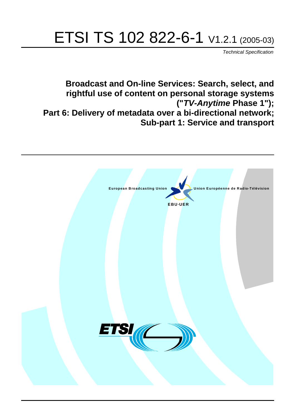# ETSI TS 102 822-6-1 V1.2.1 (2005-03)

Technical Specification

**Broadcast and On-line Services: Search, select, and rightful use of content on personal storage systems ("TV-Anytime Phase 1"); Part 6: Delivery of metadata over a bi-directional network; Sub-part 1: Service and transport**

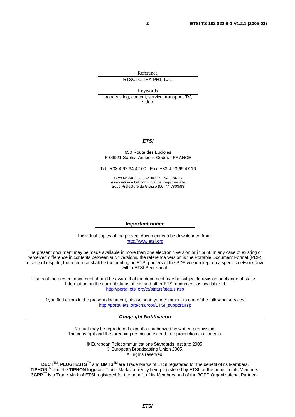Reference

RTS/JTC-TVA-PH1-10-1

Keywords

broadcasting, content, service, transport, TV, video

#### **ETSI**

#### 650 Route des Lucioles F-06921 Sophia Antipolis Cedex - FRANCE

Tel.: +33 4 92 94 42 00 Fax: +33 4 93 65 47 16

Siret N° 348 623 562 00017 - NAF 742 C Association à but non lucratif enregistrée à la Sous-Préfecture de Grasse (06) N° 7803/88

#### **Important notice**

Individual copies of the present document can be downloaded from: [http://www.etsi.org](http://www.etsi.org/)

The present document may be made available in more than one electronic version or in print. In any case of existing or perceived difference in contents between such versions, the reference version is the Portable Document Format (PDF). In case of dispute, the reference shall be the printing on ETSI printers of the PDF version kept on a specific network drive within ETSI Secretariat.

Users of the present document should be aware that the document may be subject to revision or change of status. Information on the current status of this and other ETSI documents is available at <http://portal.etsi.org/tb/status/status.asp>

If you find errors in the present document, please send your comment to one of the following services: [http://portal.etsi.org/chaircor/ETSI\\_support.asp](http://portal.etsi.org/chaircor/ETSI_support.asp)

#### **Copyright Notification**

No part may be reproduced except as authorized by written permission. The copyright and the foregoing restriction extend to reproduction in all media.

> © European Telecommunications Standards Institute 2005. © European Broadcasting Union 2005. All rights reserved.

**DECT**TM, **PLUGTESTS**TM and **UMTS**TM are Trade Marks of ETSI registered for the benefit of its Members. **TIPHON**TM and the **TIPHON logo** are Trade Marks currently being registered by ETSI for the benefit of its Members. **3GPP**TM is a Trade Mark of ETSI registered for the benefit of its Members and of the 3GPP Organizational Partners.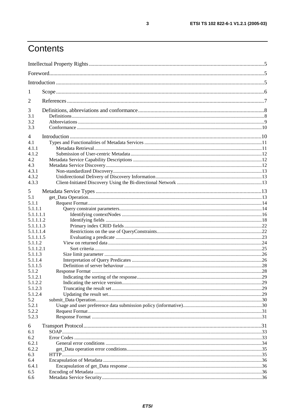# Contents

| 1              |  |  |  |
|----------------|--|--|--|
| 2              |  |  |  |
| 3              |  |  |  |
| 3.1            |  |  |  |
| 3.2            |  |  |  |
| 3.3            |  |  |  |
| $\overline{4}$ |  |  |  |
| 4.1            |  |  |  |
| 4.1.1          |  |  |  |
| 4.1.2          |  |  |  |
| 4.2            |  |  |  |
| 4.3            |  |  |  |
| 4.3.1          |  |  |  |
| 4.3.2          |  |  |  |
| 4.3.3          |  |  |  |
| 5              |  |  |  |
| 5.1            |  |  |  |
| 5.1.1          |  |  |  |
| 5.1.1.1        |  |  |  |
| 5.1.1.1.1      |  |  |  |
| 5.1.1.1.2      |  |  |  |
| 5.1.1.1.3      |  |  |  |
| 5.1.1.1.4      |  |  |  |
| 5.1.1.1.5      |  |  |  |
| 5.1.1.2        |  |  |  |
| 5.1.1.2.1      |  |  |  |
| 5.1.1.3        |  |  |  |
| 5.1.1.4        |  |  |  |
| 5.1.1.5        |  |  |  |
| 5.1.2          |  |  |  |
| 5.1.2.1        |  |  |  |
| 5.1.2.2        |  |  |  |
| 5.1.2.3        |  |  |  |
| 5.1.2.4        |  |  |  |
| 5.2            |  |  |  |
| 5.2.1          |  |  |  |
| 5.2.2          |  |  |  |
| 5.2.3          |  |  |  |
| 6              |  |  |  |
| 6.1            |  |  |  |
| 6.2            |  |  |  |
| 6.2.1          |  |  |  |
| 6.2.2          |  |  |  |
| 6.3            |  |  |  |
| 6.4            |  |  |  |
| 6.4.1          |  |  |  |
| 6.5            |  |  |  |
| 6.6            |  |  |  |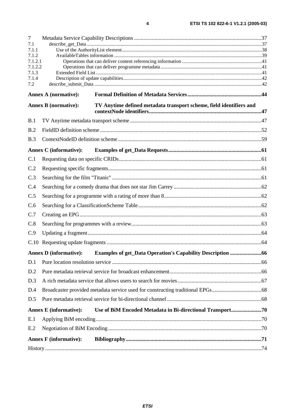| $\overline{7}$ |                               |                                                                     |  |
|----------------|-------------------------------|---------------------------------------------------------------------|--|
| 7.1            |                               |                                                                     |  |
| 7.1.1<br>7.1.2 |                               |                                                                     |  |
| 7.1.2.1        |                               |                                                                     |  |
| 7.1.2.2        |                               |                                                                     |  |
| 7.1.3<br>7.1.4 |                               |                                                                     |  |
| 7.2            |                               |                                                                     |  |
|                | <b>Annex A (normative):</b>   |                                                                     |  |
|                | <b>Annex B</b> (normative):   | TV Anytime defined metadata transport scheme, field identifiers and |  |
| B.1            |                               |                                                                     |  |
| B.2            |                               |                                                                     |  |
| B.3            |                               |                                                                     |  |
|                | <b>Annex C</b> (informative): |                                                                     |  |
| C.1            |                               |                                                                     |  |
| C.2            |                               |                                                                     |  |
| C.3            |                               |                                                                     |  |
| C.4            |                               |                                                                     |  |
| C.5            |                               |                                                                     |  |
| C.6            |                               |                                                                     |  |
| C.7            |                               |                                                                     |  |
| C.8            |                               |                                                                     |  |
| C.9            |                               |                                                                     |  |
| C.10           |                               |                                                                     |  |
|                | <b>Annex D</b> (informative): | <b>Examples of get_Data Operation's Capability Description 66</b>   |  |
| D.1            |                               |                                                                     |  |
| D.2            |                               |                                                                     |  |
| D.3            |                               |                                                                     |  |
| D.4            |                               |                                                                     |  |
| D.5            |                               |                                                                     |  |
|                | <b>Annex E</b> (informative): | Use of BiM Encoded Metadata in Bi-directional Transport70           |  |
| E.1            |                               |                                                                     |  |
| E.2            |                               |                                                                     |  |
|                | <b>Annex F</b> (informative): |                                                                     |  |
|                |                               |                                                                     |  |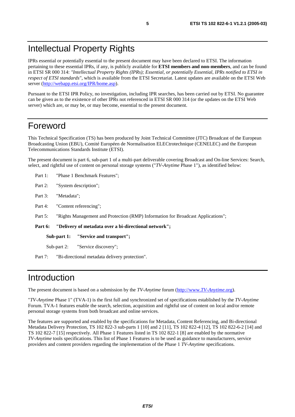# Intellectual Property Rights

IPRs essential or potentially essential to the present document may have been declared to ETSI. The information pertaining to these essential IPRs, if any, is publicly available for **ETSI members and non-members**, and can be found in ETSI SR 000 314: *"Intellectual Property Rights (IPRs); Essential, or potentially Essential, IPRs notified to ETSI in respect of ETSI standards"*, which is available from the ETSI Secretariat. Latest updates are available on the ETSI Web server ([http://webapp.etsi.org/IPR/home.asp\)](http://webapp.etsi.org/IPR/home.asp).

Pursuant to the ETSI IPR Policy, no investigation, including IPR searches, has been carried out by ETSI. No guarantee can be given as to the existence of other IPRs not referenced in ETSI SR 000 314 (or the updates on the ETSI Web server) which are, or may be, or may become, essential to the present document.

# Foreword

This Technical Specification (TS) has been produced by Joint Technical Committee (JTC) Broadcast of the European Broadcasting Union (EBU), Comité Européen de Normalisation ELECtrotechnique (CENELEC) and the European Telecommunications Standards Institute (ETSI).

The present document is part 6, sub-part 1 of a multi-part deliverable covering Broadcast and On-line Services: Search, select, and rightful use of content on personal storage systems ("*TV-Anytime* Phase 1"), as identified below:

- Part 1: "Phase 1 Benchmark Features";
- Part 2: "System description";
- Part 3: "Metadata";
- Part 4: "Content referencing":
- Part 5: "Rights Management and Protection (RMP) Information for Broadcast Applications";

**Part 6: "Delivery of metadata over a bi-directional network";** 

**Sub-part 1: "Service and transport";** 

Sub-part 2: "Service discovery";

Part 7: "Bi-directional metadata delivery protection".

# Introduction

The present document is based on a submission by the *TV-Anytime* forum ([http://www.](http://www.tv-anytime.org/)*TV-Anytime*.org).

"*TV-Anytime* Phase 1" (TVA-1) is the first full and synchronized set of specifications established by the *TV-Anytime* Forum. TVA-1 features enable the search, selection, acquisition and rightful use of content on local and/or remote personal storage systems from both broadcast and online services.

The features are supported and enabled by the specifications for Metadata, Content Referencing, and Bi-directional Metadata Delivery Protection, TS 102 822-3 sub-parts 1 [10] and 2 [11], TS 102 822-4 [12], TS 102 822-6-2 [14] and TS 102 822-7 [15] respectively. All Phase 1 Features listed in TS 102 822-1 [8] are enabled by the normative *TV-Anytime* tools specifications. This list of Phase 1 Features is to be used as guidance to manufacturers, service providers and content providers regarding the implementation of the Phase 1 *TV-Anytime* specifications.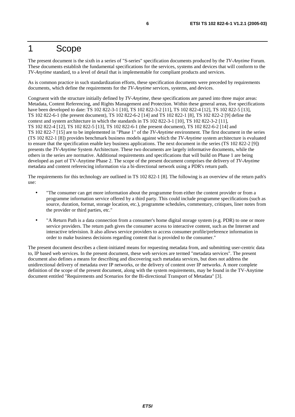# 1 Scope

The present document is the sixth in a series of "S-series" specification documents produced by the *TV-Anytime* Forum. These documents establish the fundamental specifications for the services, systems and devices that will conform to the *TV-Anytime* standard, to a level of detail that is implementable for compliant products and services.

As is common practice in such standardization efforts, these specification documents were preceded by requirements documents, which define the requirements for the *TV-Anytime* services, systems, and devices.

Congruent with the structure initially defined by *TV-Anytime*, these specifications are parsed into three major areas: Metadata, Content Referencing, and Rights Management and Protection. Within these general areas, five specifications have been developed to date: TS 102 822-3-1 [10], TS 102 822-3-2 [11], TS 102 822-4 [12], TS 102 822-5 [13], TS 102 822-6-1 (the present document), TS 102 822-6-2 [14] and TS 102 822-1 [8], TS 102 822-2 [9] define the context and system architecture in which the standards in TS 102 822-3-1 [10], TS 102 822-3-2 [11], TS 102 822-4 [12], TS 102 822-5 [13], TS 102 822-6-1 (the present document), TS 102 822-6-2 [14] and TS 102 822-7 [15] are to be implemented in "Phase 1" of the *TV-Anytime* environment. The first document in the series (TS 102 822-1 [8]) provides benchmark business models against which the *TV-Anytime* system architecture is evaluated to ensure that the specification enable key business applications. The next document in the series (TS 102 822-2 [9]) presents the *TV-Anytime* System Architecture. These two documents are largely informative documents, while the others in the series are normative. Additional requirements and specifications that will build on Phase 1 are being developed as part of TV-Anytime Phase 2. The scope of the present document comprises the delivery of *TV-Anytime* metadata and content referencing information via a bi-directional network using a PDR's return path.

The requirements for this technology are outlined in TS 102 822-1 [8]. The following is an overview of the return path's use:

- "The consumer can get more information about the programme from either the content provider or from a programme information service offered by a third party. This could include programme specifications (such as source, duration, format, storage location, etc.), programme schedules, commentary, critiques, liner notes from the provider or third parties, etc."
- "A Return Path is a data connection from a consumer's home digital storage system (e.g. PDR) to one or more service providers. The return path gives the consumer access to interactive content, such as the Internet and interactive television. It also allows service providers to access consumer profile/preference information in order to make business decisions regarding content that is provided to the consumer."

The present document describes a client-initiated means for requesting metadata from, and submitting user-centric data to, IP based web services. In the present document, these web services are termed "metadata services". The present document also defines a means for describing and discovering such metadata services, but does not address the unidirectional delivery of metadata over IP networks, or the delivery of content over IP networks. A more complete definition of the scope of the present document, along with the system requirements, may be found in the TV-Anytime document entitled "Requirements and Scenarios for the Bi-directional Transport of Metadata" [3].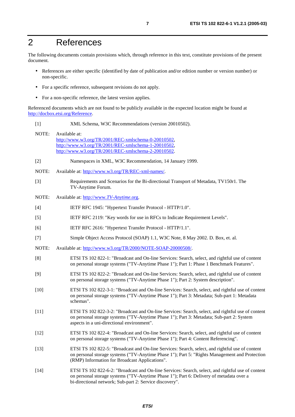# 2 References

The following documents contain provisions which, through reference in this text, constitute provisions of the present document.

- References are either specific (identified by date of publication and/or edition number or version number) or non-specific.
- For a specific reference, subsequent revisions do not apply.
- For a non-specific reference, the latest version applies.

Referenced documents which are not found to be publicly available in the expected location might be found at <http://docbox.etsi.org/Reference>.

- [1] XML Schema, W3C Recommendations (version 20010502).
- NOTE: Available at: [http://www.w3.org/TR/2001/REC-xmlschema-0-20010502,](http://www.w3.org/TR/2001/REC-xmlschema-0-20010502) [http://www.w3.org/TR/2001/REC-xmlschema-1-20010502,](http://www.w3.org/TR/2001/REC-xmlschema-1-20010502) [http://www.w3.org/TR/2001/REC-xmlschema-2-20010502.](http://www.w3.org/XML/Schema)
- [2] Namespaces in XML, W3C Recommendation, 14 January 1999.
- NOTE: Available at: [http://www.w3.org/TR/REC-xml-names/.](http://www.w3.org/TR/REC-xml-names/)
- [3] Requirements and Scenarios for the Bi-directional Transport of Metadata, TV150r1. The TV-Anytime Forum.
- NOTE: Available at: [http://www.](http://www.tv-anytime.org/)*TV-Anytime*.org.
- [4] IETF RFC 1945: "Hypertext Transfer Protocol HTTP/1.0".
- [5] IETF RFC 2119: "Key words for use in RFCs to Indicate Requirement Levels".
- [6] IETF RFC 2616: "Hypertext Transfer Protocol HTTP/1.1".
- [7] Simple Object Access Protocol (SOAP) 1.1, W3C Note, 8 May 2002. D. Box, et. al.
- NOTE: Available at:<http://www.w3.org/TR/2000/NOTE-SOAP-20000508/>.
- [8] ETSI TS 102 822-1: "Broadcast and On-line Services: Search, select, and rightful use of content on personal storage systems ("TV-Anytime Phase 1"); Part 1: Phase 1 Benchmark Features".
- [9] ETSI TS 102 822-2: "Broadcast and On-line Services: Search, select, and rightful use of content on personal storage systems ("TV-Anytime Phase 1"); Part 2: System description".
- [10] ETSI TS 102 822-3-1: "Broadcast and On-line Services: Search, select, and rightful use of content on personal storage systems ("TV-Anytime Phase 1"); Part 3: Metadata; Sub-part 1: Metadata schemas".
- [11] ETSI TS 102 822-3-2: "Broadcast and On-line Services: Search, select, and rightful use of content on personal storage systems ("TV-Anytime Phase 1"); Part 3: Metadata; Sub-part 2: System aspects in a uni-directional environment".
- [12] ETSI TS 102 822-4: "Broadcast and On-line Services: Search, select, and rightful use of content on personal storage systems ("TV-Anytime Phase 1"); Part 4: Content Referencing".
- [13] ETSI TS 102 822-5: "Broadcast and On-line Services: Search, select, and rightful use of content on personal storage systems ("TV-Anytime Phase 1"); Part 5: "Rights Management and Protection (RMP) Information for Broadcast Applications".
- [14] ETSI TS 102 822-6-2: "Broadcast and On-line Services: Search, select, and rightful use of content on personal storage systems ("TV-Anytime Phase 1"); Part 6: Delivery of metadata over a bi-directional network; Sub-part 2: Service discovery".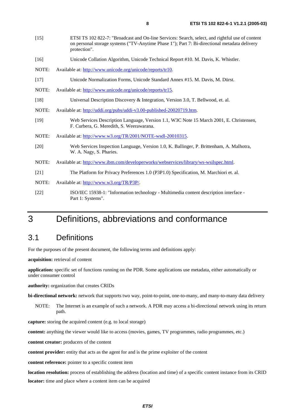| $[15]$ | ETSI TS 102 822-7: "Broadcast and On-line Services: Search, select, and rightful use of content<br>on personal storage systems ("TV-Anytime Phase 1"); Part 7: Bi-directional metadata delivery<br>protection". |
|--------|-----------------------------------------------------------------------------------------------------------------------------------------------------------------------------------------------------------------|
| $[16]$ | Unicode Collation Algorithm, Unicode Technical Report #10. M. Davis, K. Whistler.                                                                                                                               |
| NOTE:  | Available at: http://www.unicode.org/unicode/reports/tr10.                                                                                                                                                      |
| $[17]$ | Unicode Normalization Forms, Unicode Standard Annex #15. M. Davis, M. Dürst.                                                                                                                                    |
| NOTE:  | Available at: http://www.unicode.org/unicode/reports/tr15.                                                                                                                                                      |
| $[18]$ | Universal Description Discovery & Integration, Version 3.0, T. Bellwood, et. al.                                                                                                                                |
| NOTE:  | Available at: http://uddi.org/pubs/uddi-v3.00-published-20020719.htm.                                                                                                                                           |
| $[19]$ | Web Services Description Language, Version 1.1, W3C Note 15 March 2001, E. Christensen,<br>F. Curbera, G. Meredith, S. Weerawarana.                                                                             |
| NOTE:  | Available at: http://www.w3.org/TR/2001/NOTE-wsdl-20010315.                                                                                                                                                     |
| $[20]$ | Web Services Inspection Language, Version 1.0, K. Ballinger, P. Brittenham, A. Malhotra,<br>W. A. Nagy, S. Pharies.                                                                                             |
| NOTE:  | Available at: http://www.ibm.com/developerworks/webservices/library/ws-wsilspec.html.                                                                                                                           |
| [21]   | The Platform for Privacy Preferences 1.0 (P3P1.0) Specification, M. Marchiori et. al.                                                                                                                           |
| NOTE:  | Available at: http://www.w3.org/TR/P3P/.                                                                                                                                                                        |
| $[22]$ | ISO/IEC 15938-1: "Information technology - Multimedia content description interface -<br>Part 1: Systems".                                                                                                      |

# 3 Definitions, abbreviations and conformance

### 3.1 Definitions

For the purposes of the present document, the following terms and definitions apply:

**acquisition:** retrieval of content

**application:** specific set of functions running on the PDR. Some applications use metadata, either automatically or under consumer control

**authority:** organization that creates CRIDs

**bi-directional network:** network that supports two way, point-to-point, one-to-many, and many-to-many data delivery

NOTE: The Internet is an example of such a network. A PDR may access a bi-directional network using its return path.

**capture:** storing the acquired content (e.g. to local storage)

**content:** anything the viewer would like to access (movies, games, TV programmes, radio programmes, etc.)

**content creator:** producers of the content

**content provider:** entity that acts as the agent for and is the prime exploiter of the content

**content reference:** pointer to a specific content item

**location resolution:** process of establishing the address (location and time) of a specific content instance from its CRID **locator:** time and place where a content item can be acquired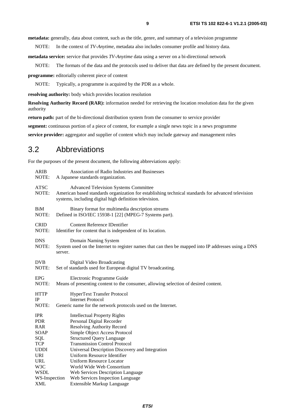**metadata:** generally, data about content, such as the title, genre, and summary of a television programme

NOTE: In the context of *TV-Anytime*, metadata also includes consumer profile and history data.

**metadata service:** service that provides *TV-Anytime* data using a server on a bi-directional network

NOTE: The formats of the data and the protocols used to deliver that data are defined by the present document.

**programme:** editorially coherent piece of content

NOTE: Typically, a programme is acquired by the PDR as a whole.

**resolving authority:** body which provides location resolution

**Resolving Authority Record (RAR):** information needed for retrieving the location resolution data for the given authority

**return path:** part of the bi-directional distribution system from the consumer to service provider

**segment:** continuous portion of a piece of content, for example a single news topic in a news programme

**service provider:** aggregator and supplier of content which may include gateway and management roles

### 3.2 Abbreviations

For the purposes of the present document, the following abbreviations apply:

| <b>ARIB</b><br>NOTE: | Association of Radio Industries and Businesses<br>A Japanese standards organization.                                                                                                                         |  |
|----------------------|--------------------------------------------------------------------------------------------------------------------------------------------------------------------------------------------------------------|--|
| <b>ATSC</b><br>NOTE: | <b>Advanced Television Systems Committee</b><br>American based standards organization for establishing technical standards for advanced television<br>systems, including digital high definition television. |  |
| BiM<br>NOTE:         | Binary format for multimedia description streams<br>Defined in ISO/IEC 15938-1 [22] (MPEG-7 Systems part).                                                                                                   |  |
| <b>CRID</b><br>NOTE: | <b>Content Reference IDentifier</b><br>Identifier for content that is independent of its location.                                                                                                           |  |
| <b>DNS</b><br>NOTE:  | Domain Naming System<br>System used on the Internet to register names that can then be mapped into IP addresses using a DNS<br>server.                                                                       |  |
| <b>DVB</b><br>NOTE:  | Digital Video Broadcasting<br>Set of standards used for European digital TV broadcasting.                                                                                                                    |  |
| <b>EPG</b><br>NOTE:  | Electronic Programme Guide<br>Means of presenting content to the consumer, allowing selection of desired content.                                                                                            |  |
| <b>HTTP</b><br>IP    | <b>HyperText Transfer Protocol</b><br><b>Internet Protocol</b>                                                                                                                                               |  |
| NOTE:                | Generic name for the network protocols used on the Internet.                                                                                                                                                 |  |
| <b>IPR</b>           | <b>Intellectual Property Rights</b>                                                                                                                                                                          |  |
| <b>PDR</b>           | Personal Digital Recorder                                                                                                                                                                                    |  |
| <b>RAR</b>           | <b>Resolving Authority Record</b>                                                                                                                                                                            |  |
| <b>SOAP</b>          | Simple Object Access Protocol                                                                                                                                                                                |  |
| SQL                  | <b>Structured Query Language</b>                                                                                                                                                                             |  |
| <b>TCP</b>           | <b>Transmission Control Protocol</b>                                                                                                                                                                         |  |
| <b>UDDI</b>          | Universal Description Discovery and Integration                                                                                                                                                              |  |
| URI                  | Uniform Resource Identifier                                                                                                                                                                                  |  |
| <b>URL</b>           | <b>Uniform Resource Locator</b>                                                                                                                                                                              |  |
| W3C<br><b>WSDL</b>   | World Wide Web Consortium                                                                                                                                                                                    |  |
| WS-Inspection        | Web Services Description Language                                                                                                                                                                            |  |
| <b>XML</b>           | Web Services Inspection Language                                                                                                                                                                             |  |
|                      | Extensible Markup Language                                                                                                                                                                                   |  |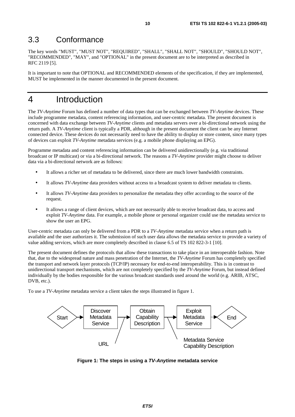### 3.3 Conformance

The key words "MUST", "MUST NOT", "REQUIRED", "SHALL", "SHALL NOT", "SHOULD", "SHOULD NOT", "RECOMMENDED", "MAY", and "OPTIONAL" in the present document are to be interpreted as described in RFC 2119 [5].

It is important to note that OPTIONAL and RECOMMENDED elements of the specification, if they are implemented, MUST be implemented in the manner documented in the present document.

# 4 Introduction

The *TV-Anytime* Forum has defined a number of data types that can be exchanged between *TV-Anytime* devices. These include programme metadata, content referencing information, and user-centric metadata. The present document is concerned with data exchange between *TV-Anytime* clients and metadata servers over a bi-directional network using the return path. A *TV-Anytime* client is typically a PDR, although in the present document the client can be any Internet connected device. These devices do not necessarily need to have the ability to display or store content, since many types of devices can exploit *TV-Anytime* metadata services (e.g. a mobile phone displaying an EPG).

Programme metadata and content referencing information can be delivered unidirectionally (e.g. via traditional broadcast or IP multicast) or via a bi-directional network. The reasons a *TV-Anytime* provider might choose to deliver data via a bi-directional network are as follows:

- It allows a richer set of metadata to be delivered, since there are much lower bandwidth constraints.
- It allows *TV-Anytime* data providers without access to a broadcast system to deliver metadata to clients.
- It allows *TV-Anytime* data providers to personalize the metadata they offer according to the source of the request.
- It allows a range of client devices, which are not necessarily able to receive broadcast data, to access and exploit *TV-Anytime* data. For example, a mobile phone or personal organizer could use the metadata service to show the user an EPG.

User-centric metadata can only be delivered from a PDR to a *TV-Anytime* metadata service when a return path is available and the user authorizes it. The submission of such user data allows the metadata service to provide a variety of value adding services, which are more completely described in clause 6.5 of TS 102 822-3-1 [10].

The present document defines the protocols that allow these transactions to take place in an interoperable fashion. Note that, due to the widespread nature and mass penetration of the Internet, the *TV-Anytime* Forum has completely specified the transport and network layer protocols (TCP/IP) necessary for end-to-end interoperability. This is in contrast to unidirectional transport mechanisms, which are not completely specified by the *TV-Anytime* Forum, but instead defined individually by the bodies responsible for the various broadcast standards used around the world (e.g. ARIB, ATSC, DVB, etc.).

To use a *TV-Anytime* metadata service a client takes the steps illustrated in figure 1.



**Figure 1: The steps in using a TV-Anytime metadata service**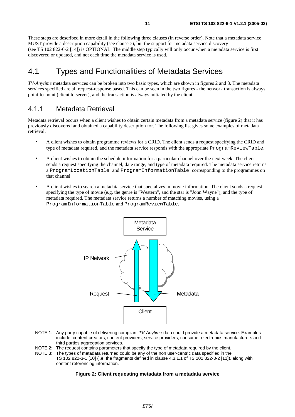These steps are described in more detail in the following three clauses (in reverse order). Note that a metadata service MUST provide a description capability (see clause 7), but the support for metadata service discovery (see TS 102 822-6-2 [14]) is OPTIONAL. The middle step typically will only occur when a metadata service is first discovered or updated, and not each time the metadata service is used.

# 4.1 Types and Functionalities of Metadata Services

*TV-Anytime* metadata services can be broken into two basic types, which are shown in figures 2 and 3. The metadata services specified are all request-response based. This can be seen in the two figures - the network transaction is always point-to-point (client to server), and the transaction is always initiated by the client.

### 4.1.1 Metadata Retrieval

Metadata retrieval occurs when a client wishes to obtain certain metadata from a metadata service (figure 2) that it has previously discovered and obtained a capability description for. The following list gives some examples of metadata retrieval:

- A client wishes to obtain programme reviews for a CRID. The client sends a request specifying the CRID and type of metadata required, and the metadata service responds with the appropriate ProgramReviewTable.
- A client wishes to obtain the schedule information for a particular channel over the next week. The client sends a request specifying the channel, date range, and type of metadata required. The metadata service returns a ProgramLocationTable and ProgramInformationTable corresponding to the programmes on that channel.
- A client wishes to search a metadata service that specializes in movie information. The client sends a request specifying the type of movie (e.g. the genre is "Western", and the star is "John Wayne"), and the type of metadata required. The metadata service returns a number of matching movies, using a ProgramInformationTable and ProgramReviewTable.



- NOTE 1: Any party capable of delivering compliant TV-Anytime data could provide a metadata service. Examples include: content creators, content providers, service providers, consumer electronics manufacturers and third parties aggregation services.
- NOTE 2: The request contains parameters that specify the type of metadata required by the client.
- NOTE 3: The types of metadata returned could be any of the non user-centric data specified in the TS 102 822-3-1 [10] (i.e. the fragments defined in clause 4.3.1.1 of TS 102 822-3-2 [11]), along with content referencing information.

#### **Figure 2: Client requesting metadata from a metadata service**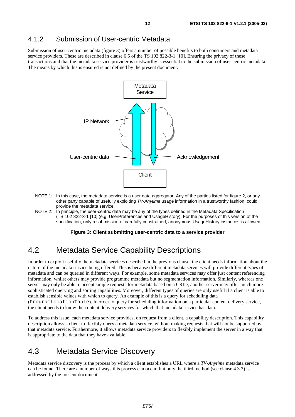### 4.1.2 Submission of User-centric Metadata

Submission of user-centric metadata (figure 3) offers a number of possible benefits to both consumers and metadata service providers. These are described in clause 6.5 of the TS 102 822-3-1 [10]. Ensuring the privacy of these transactions and that the metadata service provider is trustworthy is essential to the submission of user-centric metadata. The means by which this is ensured is not defined by the present document.



- NOTE 1: In this case, the metadata service is a user data aggregator. Any of the parties listed for figure 2, or any other party capable of usefully exploiting TV-Anytime usage information in a trustworthy fashion, could provide the metadata service.
- NOTE 2: In principle, the user-centric data may be any of the types defined in the Metadata Specification (TS 102 822-3-1 [10] (e.g. UserPreferences and UsageHistory). For the purposes of this version of the specification, only a submission of carefully constrained, anonymous UsageHistory instances is allowed.

#### **Figure 3: Client submitting user-centric data to a service provider**

# 4.2 Metadata Service Capability Descriptions

In order to exploit usefully the metadata services described in the previous clause, the client needs information about the nature of the metadata service being offered. This is because different metadata services will provide different types of metadata and can be queried in different ways. For example, some metadata services may offer just content referencing information, whilst others may provide programme metadata but no segmentation information. Similarly, whereas one server may only be able to accept simple requests for metadata based on a CRID, another server may offer much more sophisticated querying and sorting capabilities. Moreover, different types of queries are only useful if a client is able to establish sensible values with which to query. An example of this is a query for scheduling data (ProgramLocationTable). In order to query for scheduling information on a particular content delivery service, the client needs to know the content delivery services for which that metadata service has data.

To address this issue, each metadata service provides, on request from a client, a capability description. This capability description allows a client to flexibly query a metadata service, without making requests that will not be supported by that metadata service. Furthermore, it allows metadata service providers to flexibly implement the server in a way that is appropriate to the data that they have available.

# 4.3 Metadata Service Discovery

Metadata service discovery is the process by which a client establishes a URL where a *TV-Anytime* metadata service can be found. There are a number of ways this process can occur, but only the third method (see clause 4.3.3) is addressed by the present document.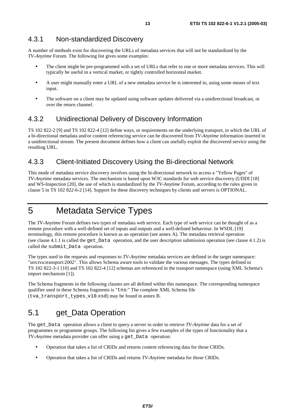A number of methods exist for discovering the URLs of metadata services that will not be standardized by the *TV-Anytime* Forum. The following list gives some examples:

- The client might be pre-programmed with a set of URLs that refer to one or more metadata services. This will typically be useful in a vertical market, or tightly controlled horizontal market.
- A user might manually enter a URL of a new metadata service he is interested in, using some means of text input.
- The software on a client may be updated using software updates delivered via a unidirectional broadcast, or over the return channel.

### 4.3.2 Unidirectional Delivery of Discovery Information

TS 102 822-2 [9] and TS 102 822-4 [12] define ways, or requirements on the underlying transport, in which the URL of a bi-directional metadata and/or content referencing service can be discovered from *TV-Anytime* information inserted in a unidirectional stream. The present document defines how a client can usefully exploit the discovered service using the resulting URL.

### 4.3.3 Client-Initiated Discovery Using the Bi-directional Network

This mode of metadata service discovery involves using the bi-directional network to access a "Yellow Pages" of *TV-Anytime* metadata services. The mechanism is based upon W3C standards for web service discovery (UDDI [18] and WS-Inspection [20], the use of which is standardized by the *TV-Anytime* Forum, according to the rules given in clause 5 in TS 102 822-6-2 [14]. Support for these discovery techniques by clients and servers is OPTIONAL.

# 5 Metadata Service Types

The *TV-Anytime* Forum defines two types of metadata web service. Each type of web service can be thought of as a remote procedure with a well-defined set of inputs and outputs and a well-defined behaviour. In WSDL [19] terminology, this remote procedure is known as an operation (see annex A). The metadata retrieval operation (see clause 4.1.1 is called the get Data operation, and the user description submission operation (see clause  $4.1.2$ ) is called the submit\_Data operation.

The types used in the requests and responses to *TV-Anytime* metadata services are defined in the target namespace: "urn:tva:transport:2002". This allows Schema aware tools to validate the various messages. The types defined in TS 102 822-3-1 [10] and TS 102 822-4 [12] schemas are referenced in the transport namespace (using XML Schema's import mechanism [1]).

The Schema fragments in the following clauses are all defined within this namespace. The corresponding namespace qualifier used in these Schema fragments is "tns:" The complete XML Schema file (tva\_transport\_types\_v10.xsd) may be found in annex B.

# 5.1 get\_Data Operation

The get\_Data operation allows a client to query a server in order to retrieve *TV-Anytime* data for a set of programmes or programme groups. The following list gives a few examples of the types of functionality that a *TV-Anytime* metadata provider can offer using a get\_Data operation:

- Operation that takes a list of CRIDs and returns content referencing data for those CRIDs.
- Operation that takes a list of CRIDs and returns *TV-Anytime* metadata for those CRIDs.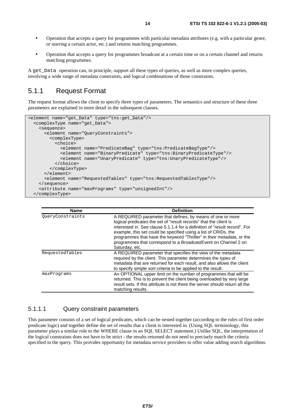- Operation that accepts a query for programmes with particular metadata attributes (e.g. with a particular genre, or starring a certain actor, etc.) and returns matching programmes.
- Operation that accepts a query for programmes broadcast at a certain time or on a certain channel and returns matching programmes.

A get\_Data operation can, in principle, support all these types of queries, as well as more complex queries, involving a wide range of metadata constraints, and logical combinations of those constraints.

### 5.1.1 Request Format

The request format allows the client to specify three types of parameters. The semantics and structure of these three parameters are explained in more detail in the subsequent clauses.

```
<element name="get_Data" type="tns:get_Data"/> 
   <complexType name="get_Data"> 
     <sequence> 
       <element name="QueryConstraints"> 
         <complexType> 
           <choice> 
             <element name="PredicateBag" type="tns:PredicateBagType"/> 
             <element name="BinaryPredicate" type="tns:BinaryPredicateType"/> 
             <element name="UnaryPredicate" type="tns:UnaryPredicateType"/> 
           </choice> 
         </complexType> 
       </element> 
       <element name="RequestedTables" type="tns:RequestedTablesType"/> 
     </sequence> 
     <attribute name="maxPrograms" type="unsignedInt"/> 
   </complexType>
```

| <b>Name</b>      | <b>Definition</b>                                                                                                                                                                                                                                                                                                                                                                                                                              |
|------------------|------------------------------------------------------------------------------------------------------------------------------------------------------------------------------------------------------------------------------------------------------------------------------------------------------------------------------------------------------------------------------------------------------------------------------------------------|
| OueryConstraints | A REQUIRED parameter that defines, by means of one or more<br>logical predicates the set of "result records" that the client is<br>interested in. See clause 5.1.1.4 for a definition of "result record". For<br>example, this set could be specified using a list of CRIDs, the<br>programmes that have the keyword "Thriller" in their metadata, or the<br>programmes that correspond to a Broadcast Event on Channel 2 on<br>Saturday, etc. |
| RequestedTables  | A REQUIRED parameter that specifies the view of the metadata<br>required by the client. This parameter determines the types of<br>metadata that are returned for each result, and also allows the client<br>to specify simple sort criteria to be applied to the result.                                                                                                                                                                       |
| maxPrograms      | An OPTIONAL upper limit on the number of programmes that will be<br>returned. This is to prevent the client being overloaded by very large<br>result sets. If this attribute is not there the server should return all the<br>matching results.                                                                                                                                                                                                |

#### 5.1.1.1 Query constraint parameters

This parameter consists of a set of logical predicates, which can be nested together (according to the rules of first order predicate logic) and together define the set of results that a client is interested in. (Using SQL terminology, this parameter plays a similar role to the WHERE clause in an SQL SELECT statement.) Unlike SQL, the interpretation of the logical constraints does not have to be strict - the results returned do not need to precisely match the criteria specified in the query. This provides opportunity for metadata service providers to offer value adding search algorithms.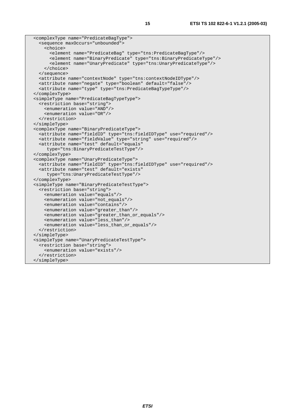```
 <complexType name="PredicateBagType"> 
   <sequence maxOccurs="unbounded"> 
     <choice> 
       <element name="PredicateBag" type="tns:PredicateBagType"/> 
       <element name="BinaryPredicate" type="tns:BinaryPredicateType"/> 
       <element name="UnaryPredicate" type="tns:UnaryPredicateType"/> 
     </choice> 
   </sequence> 
   <attribute name="contextNode" type="tns:contextNodeIDType"/> 
   <attribute name="negate" type="boolean" default="false"/> 
   <attribute name="type" type="tns:PredicateBagTypeType"/> 
 </complexType> 
 <simpleType name="PredicateBagTypeType"> 
   <restriction base="string"> 
     <enumeration value="AND"/> 
     <enumeration value="OR"/> 
   </restriction> 
 </simpleType> 
 <complexType name="BinaryPredicateType"> 
   <attribute name="fieldID" type="tns:fieldIDType" use="required"/> 
   <attribute name="fieldValue" type="string" use="required"/> 
   <attribute name="test" default="equals" 
      type="tns:BinaryPredicateTestType"/> 
 </complexType> 
 <complexType name="UnaryPredicateType"> 
   <attribute name="fieldID" type="tns:fieldIDType" use="required"/> 
   <attribute name="test" default="exists" 
      type="tns:UnaryPredicateTestType"/> 
 </complexType> 
 <simpleType name="BinaryPredicateTestType"> 
   <restriction base="string"> 
     <enumeration value="equals"/> 
     <enumeration value="not_equals"/> 
     <enumeration value="contains"/> 
     <enumeration value="greater_than"/> 
     <enumeration value="greater_than_or_equals"/> 
     <enumeration value="less_than"/> 
     <enumeration value="less_than_or_equals"/> 
   </restriction> 
 </simpleType> 
 <simpleType name="UnaryPredicateTestType"> 
   <restriction base="string"> 
     <enumeration value="exists"/> 
   </restriction> 
 </simpleType>
```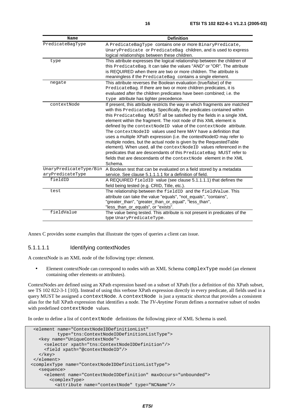| Name                   | <b>Definition</b>                                                           |
|------------------------|-----------------------------------------------------------------------------|
| PredicateBagType       | A PredicateBagType contains one or more BinaryPredicate,                    |
|                        | UnaryPredicate Of PredicateBag children, and is used to express             |
|                        | logical relationships between these children.                               |
| type                   | This attribute expresses the logical relationship between the children of   |
|                        | this PredicateBag. It can take the values "AND" or "OR". The attribute      |
|                        | is REQUIRED when there are two or more children. The attribute is           |
|                        | meaningless if the PredicateBag contains a single element.                  |
| negate                 | This attribute reverses the Boolean evaluation (true/false) of the          |
|                        | PredicateBag. If there are two or more children predicates, it is           |
|                        | evaluated after the children predicates have been combined; i.e. the        |
|                        | type attribute has tighter precedence.                                      |
| contextNode            | If present, this attribute restricts the way in which fragments are matched |
|                        | with this PredicateBag. Specifically, the predicates contained within       |
|                        | this PredicateBag MUST all be satisfied by the fields in a single XML       |
|                        | element within the fragment. The root node of this XML element is           |
|                        | defined by the context Node ID value of the context Node attribute.         |
|                        | The contextNodeID values used here MAY have a definition that               |
|                        | uses a multiple XPath expression (i.e. the contextNodelD may refer to       |
|                        | multiple nodes, but the actual node is given by the Requested Table         |
|                        | element). When used, all the contextNodeID values referenced in the         |
|                        | predicates that are descendants of this PredicateBag MUST refer to          |
|                        | fields that are descendants of the context Node element in the XML          |
|                        | Schema.                                                                     |
| UnaryPredicateType/Bin | A Boolean test that can be evaluated on a field stored by a metadata        |
| aryPredicateType       | service. See clause 5.1.1.1.1 for a definition of field.                    |
| fieldID                | A REQUIRED fieldID value (see clause 5.1.1.1.1) that defines the            |
|                        | field being tested (e.g. CRID, Title, etc.).                                |
| test                   | The relationship between the fieldID and the fieldValue. This               |
|                        | attribute can take the value "equals", "not_equals", "contains",            |
|                        | "greater_than", "greater_than_or_equal", "less_than",                       |
|                        | "less_than_or_equals", or "exists".                                         |
| fieldValue             | The value being tested. This attribute is not present in predicates of the  |
|                        | type UnaryPredicateType.                                                    |

Annex C provides some examples that illustrate the types of queries a client can issue.

#### 5.1.1.1.1 Identifying contextNodes

A contextNode is an XML node of the following type: element.

• Element contextNode can correspond to nodes with an XML Schema complexType model (an element containing other elements or attributes).

ContextNodes are defined using an XPath expression based on a subset of XPath (for a definition of this XPath subset, see TS 102 822-3-1 [10]). Instead of using this verbose XPath expression directly in every predicate, all fields used in a query MUST be assigned a contextNode. A contextNode is just a syntactic shortcut that provides a consistent alias for the full XPath expression that identifies a node. The *TV-Anytime* Forum defines a normative subset of nodes with predefined contextNode values.

In order to define a list of contextNode definitions the following piece of XML Schema is used.

```
 <element name="ContextNodeIDDefinitionList" 
           type="tns:ContextNodeIDDefinitionListType"> 
    <key name="UniqueContextNode"> 
      <selector xpath="tns:ContextNodeIDDefinition"/> 
      <field xpath="@contextNodeID"/> 
   </key> 
 </element> 
 <complexType name="ContextNodeIDDefinitionListType"> 
    <sequence> 
      <element name="ContextNodeIDDefinition" maxOccurs="unbounded"> 
        <complexType> 
          <attribute name="contextNode" type="NCName"/>
```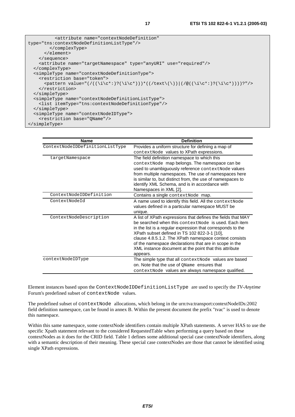| sattribute name="contextNodeDefinition"                                     |
|-----------------------------------------------------------------------------|
| type="tns:contextNodeDefinitionListType"/>                                  |
|                                                                             |
| $\langle$ /element>                                                         |
| $\langle$ sequence>                                                         |
| <attribute name="targetNamespace" type="anyURI" use="required"></attribute> |
|                                                                             |
| <simpletype name="contextNodeDefinitionType"></simpletype>                  |
| <restriction base="token"></restriction>                                    |
|                                                                             |
|                                                                             |
|                                                                             |
| <simpletype name="contextNodeDefinitionListType"></simpletype>              |
| <list itemtype="tns:contextNodeDefinitionType"></list>                      |
|                                                                             |
| <simpletype name="contextNodeIDType"></simpletype>                          |
| <restriction base="OName"></restriction>                                    |
|                                                                             |

| <b>Name</b>                     | <b>Definition</b>                                                                                                                                                                                                                                                                                                                                                                                                              |
|---------------------------------|--------------------------------------------------------------------------------------------------------------------------------------------------------------------------------------------------------------------------------------------------------------------------------------------------------------------------------------------------------------------------------------------------------------------------------|
| ContextNodeIDDefinitionListType | Provides a uniform structure for defining a map of<br>contextNode values to XPath expressions.                                                                                                                                                                                                                                                                                                                                 |
| targetNamespace                 | The field definition namespace to which this<br>contextNode map belongs. The namespace can be<br>used to unambiguously reference contextNode values<br>from multiple namespaces. The use of namespaces here<br>is similar to, but distinct from, the use of namespaces to<br>identify XML Schema, and is in accordance with<br>Namespaces in XML [2].                                                                          |
| ContextNodeIDDefinition         | Contains a single context Node map.                                                                                                                                                                                                                                                                                                                                                                                            |
| ContextNodeId                   | A name used to identify this field. All the context Node<br>values defined in a particular namespace MUST be<br>unique.                                                                                                                                                                                                                                                                                                        |
| ContextNodeDescription          | A list of XPath expressions that defines the fields that MAY<br>be searched when this context Node is used. Each item<br>in the list is a regular expression that corresponds to the<br>XPath subset defined in TS 102 822-3-1 [10],<br>clause 4.8.5.1.2. The XPath namespace context consists<br>of the namespace declarations that are in scope in the<br>XML instance document at the point that this attribute<br>appears. |
| contextNodeIDType               | The simple type that all context Node values are based<br>on. Note that the use of OName ensures that<br>context Node values are always namespace qualified.                                                                                                                                                                                                                                                                   |

Element instances based upon the ContextNodeIDDefinitionListType are used to specify the *TV-Anytime* Forum's predefined subset of contextNode values.

The predefined subset of contextNode allocations, which belong in the urn:tva:transport:contextNodeIDs:2002 field definition namespace, can be found in annex B. Within the present document the prefix "tvac" is used to denote this namespace.

Within this same namespace, some contextNode identifiers contain multiple XPath statements. A server HAS to use the specific Xpath statement relevant to the considered RequestedTable when performing a query based on these contextNodes as it does for the CRID field. Table 1 defines some additional special case contextNode identifiers, along with a semantic description of their meaning. These special case contextNodes are those that cannot be identified using single XPath expressions.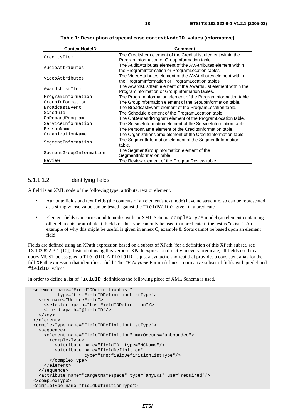| <b>ContextNodelD</b>    | <b>Comment</b>                                                                                                      |
|-------------------------|---------------------------------------------------------------------------------------------------------------------|
| CreditsItem             | The CreditsItem element of the CreditsList element within the<br>ProgramInformation or GroupInformation table.      |
| AudioAttributes         | The AudioAttributes element of the AVAtrributes element within<br>the ProgramInformation or ProgramLocation tables. |
| VideoAttributes         | The VideoAttributes element of the AVAtrributes element within<br>the ProgramInformation or ProgramLocation tables. |
| AwardsListItem          | The AwardsListItem element of the AwardsList element within the<br>ProgramInformation or GroupInformation tables.   |
| ProgramInformation      | The ProgramInformation element of the ProgramInformation table.                                                     |
| GroupInformation        | The GroupInformation element of the GroupInformation table.                                                         |
| <b>BroadcastEvent</b>   | The BroadcastEvent element of the ProgramLocation table.                                                            |
| Schedule                | The Schedule element of the ProgramLocation table.                                                                  |
| OnDemandProgram         | The OnDemandProgram element of the ProgramLocation table.                                                           |
| ServiceInformation      | The ServiceInformation element of the ServiceInformation table.                                                     |
| PersonName              | The PersonName element of the CreditsInformation table.                                                             |
| OrganizationName        | The OrganizationName element of the CreditsInformation table.                                                       |
| SeqmentInformation      | The SegmentInformation element of the SegmentInformation<br>table.                                                  |
| SegmentGroupInformation | The SegmentGroupInformation element of the<br>SegmentInformation table.                                             |
| Review                  | The Review element of the ProgramReview table.                                                                      |

**Table 1: Description of special case contextNodeID values (informative)** 

#### 5.1.1.1.2 Identifying fields

A field is an XML node of the following type: attribute, text or element.

- Attribute fields and text fields (the contents of an element's text node) have no structure, so can be represented as a string whose value can be tested against the fieldValue given in a predicate.
- Element fields can correspond to nodes with an XML Schema complexType model (an element containing other elements or attributes). Fields of this type can only be used in a predicate if the test is "exists". An example of why this might be useful is given in annex C, example 8. Sorts cannot be based upon an element field.

Fields are defined using an XPath expression based on a subset of XPath (for a definition of this XPath subset, see TS 102 822-3-1 [10]). Instead of using this verbose XPath expression directly in every predicate, all fields used in a query MUST be assigned a fieldID. A fieldID is just a syntactic shortcut that provides a consistent alias for the full XPath expression that identifies a field. The *TV-Anytime* Forum defines a normative subset of fields with predefined fieldID values.

In order to define a list of fieldID definitions the following piece of XML Schema is used.

```
 <element name="FieldIDDefinitionList" 
          type="tns:FieldIDDefinitionListType"> 
   <key name="UniqueField"> 
    <selector xpath="tns:FieldIDDefinition"/> 
     <field xpath="@fieldID"/> 
  </key> 
 </element> 
 <complexType name="FieldIDDefinitionListType"> 
   <sequence> 
     <element name="FieldIDDefinition" maxOccurs="unbounded"> 
       <complexType> 
         <attribute name="fieldID" type="NCName"/> 
         <attribute name="fieldDefinition" 
                     type="tns:fieldDefinitionListType"/> 
       </complexType> 
     </element> 
   </sequence> 
   <attribute name="targetNamespace" type="anyURI" use="required"/> 
 </complexType> 
 <simpleType name="fieldDefinitionType">
```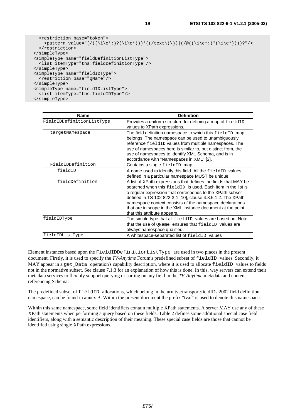```
 <restriction base="token"> 
    \zeta <pattern value="(/((\i\c*:)?(\i\c*)))*((/text\(\))|(/@((\i\c*:)?(\i\c*))))?"/>
   </restriction> 
 </simpleType> 
 <simpleType name="fieldDefinitionListType"> 
   <list itemType="tns:fieldDefinitionType"/> 
 </simpleType> 
 <simpleType name="fieldIDType"> 
   <restriction base="QName"/> 
 </simpleType> 
 <simpleType name="fieldIDListType"> 
  <list itemType="tns:fieldIDType"/> 
 </simpleType>
```

| <b>Name</b>               | <b>Definition</b>                                                                                                                                                                                                                                                                                                                                                                                                      |
|---------------------------|------------------------------------------------------------------------------------------------------------------------------------------------------------------------------------------------------------------------------------------------------------------------------------------------------------------------------------------------------------------------------------------------------------------------|
| FieldIDDefinitionListType | Provides a uniform structure for defining a map of field ID<br>values to XPath expressions.                                                                                                                                                                                                                                                                                                                            |
| targetNamespace           | The field definition namespace to which this fieldID map<br>belongs. The namespace can be used to unambiguously<br>reference fieldID values from multiple namespaces. The<br>use of namespaces here is similar to, but distinct from, the<br>use of namespaces to identify XML Schema, and is in<br>accordance with "Namespaces in XML" [2].                                                                           |
| FieldIDDefinition         | Contains a single fieldID map.                                                                                                                                                                                                                                                                                                                                                                                         |
| fieldID                   | A name used to identify this field. All the fieldID values<br>defined in a particular namespace MUST be unique.                                                                                                                                                                                                                                                                                                        |
| fieldDefinition           | A list of XPath expressions that defines the fields that MAY be<br>searched when this fieldID is used. Each item in the list is<br>a regular expression that corresponds to the XPath subset<br>defined in TS 102 822-3-1 [10], clause 4.8.5.1.2. The XPath<br>namespace context consists of the namespace declarations<br>that are in scope in the XML instance document at the point<br>that this attribute appears. |
| fieldIDType               | The simple type that all fieldID values are based on. Note<br>that the use of OName ensures that fieldID values are<br>always namespace qualified.                                                                                                                                                                                                                                                                     |
| fieldIDListType           | A whitespace-separated list of fieldID values                                                                                                                                                                                                                                                                                                                                                                          |

Element instances based upon the FieldIDDefinitionListType are used in two places in the present document. Firstly, it is used to specify the *TV-Anytime* Forum's predefined subset of fieldID values. Secondly, it MAY appear in a get Data operation's capability description, where it is used to allocate fieldID values to fields not in the normative subset. See clause 7.1.3 for an explanation of how this is done. In this, way servers can extend their metadata services to flexibly support querying or sorting on any field in the *TV-Anytime* metadata and content referencing Schema.

The predefined subset of fieldID allocations, which belong in the urn:tva:transport:fieldIDs:2002 field definition namespace, can be found in annex B. Within the present document the prefix "tvaf" is used to denote this namespace.

Within this same namespace, some field identifiers contain multiple XPath statements. A server MAY use any of these XPath statements when performing a query based on these fields. Table 2 defines some additional special case field identifiers, along with a semantic description of their meaning. These special case fields are those that cannot be identified using single XPath expressions.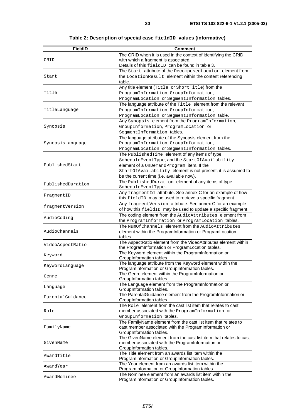| <b>FieldID</b>                                                                                                                                                                                                                                                                       | Comment                                                                                                                  |
|--------------------------------------------------------------------------------------------------------------------------------------------------------------------------------------------------------------------------------------------------------------------------------------|--------------------------------------------------------------------------------------------------------------------------|
|                                                                                                                                                                                                                                                                                      | The CRID when it is used in the context of identifying the CRID                                                          |
| CRID                                                                                                                                                                                                                                                                                 | with which a fragment is associated.                                                                                     |
|                                                                                                                                                                                                                                                                                      | Details of this fieldID can be found in table 3.                                                                         |
| AwardYear                                                                                                                                                                                                                                                                            | The Start attribute of the DecomposedLocator element from                                                                |
|                                                                                                                                                                                                                                                                                      | the LocationResult element within the content referencing<br>table.                                                      |
| Start<br>Title<br>TitleLanguage<br>Synopsis<br>SynopsisLanguage<br>PublishedStart<br>PublishedDuration<br>FragmentID<br>fragmentVersion<br>AudioCoding<br>AudioChannels<br>KeywordLanguage<br>Genre<br>Language<br>ParentalGuidance<br>Role<br>FamilyName<br>GivenName<br>AwardTitle | Any title element (Title or ShortTitle) from the                                                                         |
|                                                                                                                                                                                                                                                                                      | ProgramInformation, GroupInformation,                                                                                    |
|                                                                                                                                                                                                                                                                                      | ProgramLocation Or SegmentInformation tables.                                                                            |
|                                                                                                                                                                                                                                                                                      | The language attribute of the Title element from the relevant                                                            |
|                                                                                                                                                                                                                                                                                      | ProgramInformation, GroupInformation,                                                                                    |
|                                                                                                                                                                                                                                                                                      | ProgramLocation Of SegmentInformation table.                                                                             |
|                                                                                                                                                                                                                                                                                      | Any Synopsis element from the ProgramInformation,                                                                        |
|                                                                                                                                                                                                                                                                                      | GroupInformation, ProgramLocation Of<br>SegmentInformation tables.                                                       |
|                                                                                                                                                                                                                                                                                      | The language attribute of the Synopsis element from the                                                                  |
|                                                                                                                                                                                                                                                                                      | ProgramInformation, GroupInformation,                                                                                    |
|                                                                                                                                                                                                                                                                                      | ProgramLocation Or SegmentInformation tables.                                                                            |
|                                                                                                                                                                                                                                                                                      | The PublishedTime element of any items of type                                                                           |
|                                                                                                                                                                                                                                                                                      | ScheduleEventType, and the StartOfAvailability                                                                           |
|                                                                                                                                                                                                                                                                                      | element of a OnDemandProgram item. If the                                                                                |
|                                                                                                                                                                                                                                                                                      | StartOfAvailability element is not present, it is assumed to                                                             |
|                                                                                                                                                                                                                                                                                      | be the current time (i.e. available now).                                                                                |
|                                                                                                                                                                                                                                                                                      | The PublishedDuration element of any items of type                                                                       |
|                                                                                                                                                                                                                                                                                      | ScheduleEventType.                                                                                                       |
|                                                                                                                                                                                                                                                                                      | Any fragmentId attribute. See annex C for an example of how<br>this fieldID may be used to retrieve a specific fragment. |
|                                                                                                                                                                                                                                                                                      | Any fragmentVersion attribute. See annex C for an example                                                                |
|                                                                                                                                                                                                                                                                                      | of how this fieldID may be used to update a specific fragment.                                                           |
|                                                                                                                                                                                                                                                                                      | The coding element from the AudioAttributes element from                                                                 |
|                                                                                                                                                                                                                                                                                      | the ProgramInformation Of ProgramLocation tables.                                                                        |
|                                                                                                                                                                                                                                                                                      | The NumOfChannels element from the AudioAttributes                                                                       |
|                                                                                                                                                                                                                                                                                      | element within the ProgramInformation or ProgramLocation                                                                 |
|                                                                                                                                                                                                                                                                                      | tables.                                                                                                                  |
| VideoAspectRatio                                                                                                                                                                                                                                                                     | The AspectRatio element from the VideoAttributes element within                                                          |
|                                                                                                                                                                                                                                                                                      | the ProgramInformation or ProgramLocation tables.                                                                        |
| Keyword                                                                                                                                                                                                                                                                              | The Keyword element within the ProgramInformation or<br>GroupInformation tables.                                         |
|                                                                                                                                                                                                                                                                                      | The language attribute from the Keyword element within the                                                               |
|                                                                                                                                                                                                                                                                                      | ProgramInformation or GroupInformation tables.                                                                           |
|                                                                                                                                                                                                                                                                                      | The Genre element within the ProgramInformation or                                                                       |
|                                                                                                                                                                                                                                                                                      | GroupInformation tables.                                                                                                 |
|                                                                                                                                                                                                                                                                                      | The Language element from the ProgramInformation or<br>GroupInformation tables.                                          |
|                                                                                                                                                                                                                                                                                      | The ParentalGuidance element from the ProgramInformation or                                                              |
|                                                                                                                                                                                                                                                                                      | GroupInformation tables.                                                                                                 |
|                                                                                                                                                                                                                                                                                      | The Role element from the cast list item that relates to cast                                                            |
|                                                                                                                                                                                                                                                                                      | member associated with the ProgramInformation or                                                                         |
|                                                                                                                                                                                                                                                                                      | GroupInformation tables.                                                                                                 |
|                                                                                                                                                                                                                                                                                      | The FamilyName element from the cast list item that relates to                                                           |
|                                                                                                                                                                                                                                                                                      | cast member associated with the ProgramInformation or                                                                    |
|                                                                                                                                                                                                                                                                                      | GroupInformation tables.                                                                                                 |
|                                                                                                                                                                                                                                                                                      | The GivenName element from the cast list item that relates to cast<br>member associated with the ProgramInformation or   |
|                                                                                                                                                                                                                                                                                      | GroupInformation tables.                                                                                                 |
|                                                                                                                                                                                                                                                                                      | The Title element from an awards list item within the                                                                    |
|                                                                                                                                                                                                                                                                                      | ProgramInformation or GroupInformation tables.                                                                           |
|                                                                                                                                                                                                                                                                                      | The Year element from an awards list item within the                                                                     |
|                                                                                                                                                                                                                                                                                      | ProgramInformation or GroupInformation tables.                                                                           |
| AwardNominee                                                                                                                                                                                                                                                                         | The Nominee element from an awards list item within the                                                                  |
|                                                                                                                                                                                                                                                                                      | ProgramInformation or GroupInformation tables.                                                                           |

**Table 2: Description of special case fieldID values (informative)**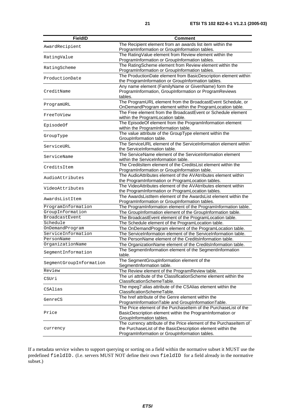| <b>FieldID</b>                                                                                                                                                                                                                                                                                                                                                                                                                                            | <b>Comment</b>                                                     |
|-----------------------------------------------------------------------------------------------------------------------------------------------------------------------------------------------------------------------------------------------------------------------------------------------------------------------------------------------------------------------------------------------------------------------------------------------------------|--------------------------------------------------------------------|
|                                                                                                                                                                                                                                                                                                                                                                                                                                                           | The Recipient element from an awards list item within the          |
|                                                                                                                                                                                                                                                                                                                                                                                                                                                           | ProgramInformation or GroupInformation tables.                     |
|                                                                                                                                                                                                                                                                                                                                                                                                                                                           | The RatingValue element from Review element within the             |
|                                                                                                                                                                                                                                                                                                                                                                                                                                                           | ProgramInformation or GroupInformation tables.                     |
|                                                                                                                                                                                                                                                                                                                                                                                                                                                           | The RatingScheme element from Review element within the            |
|                                                                                                                                                                                                                                                                                                                                                                                                                                                           | ProgramInformation or GroupInformation tables.                     |
|                                                                                                                                                                                                                                                                                                                                                                                                                                                           | The ProductionDate element from BasicDescription element within    |
|                                                                                                                                                                                                                                                                                                                                                                                                                                                           | the ProgramInformation or GroupInformation tables.                 |
|                                                                                                                                                                                                                                                                                                                                                                                                                                                           | Any name element (FamilyName or GivenName) form the                |
| CreditName                                                                                                                                                                                                                                                                                                                                                                                                                                                | ProgramInformation, GroupInformation or ProgramReviews             |
|                                                                                                                                                                                                                                                                                                                                                                                                                                                           | tables.                                                            |
|                                                                                                                                                                                                                                                                                                                                                                                                                                                           | The ProgramURL element from the BroadcastEvent Schedule, or        |
|                                                                                                                                                                                                                                                                                                                                                                                                                                                           | OnDemandProgram element within the ProgramLocation table.          |
|                                                                                                                                                                                                                                                                                                                                                                                                                                                           | The Free element from the BroadcastEvent or Schedule element       |
|                                                                                                                                                                                                                                                                                                                                                                                                                                                           | within the ProgramLocation table.                                  |
|                                                                                                                                                                                                                                                                                                                                                                                                                                                           | The EpisodeOf element from the ProgramInformation element          |
|                                                                                                                                                                                                                                                                                                                                                                                                                                                           | within the ProgramInformation table.                               |
|                                                                                                                                                                                                                                                                                                                                                                                                                                                           | The value attribute of the GroupType element within the            |
|                                                                                                                                                                                                                                                                                                                                                                                                                                                           | GroupInformation table.                                            |
|                                                                                                                                                                                                                                                                                                                                                                                                                                                           | The ServiceURL element of the ServiceInformation element within    |
|                                                                                                                                                                                                                                                                                                                                                                                                                                                           | the ServiceInformation table.                                      |
|                                                                                                                                                                                                                                                                                                                                                                                                                                                           | The ServiceName element of the ServiceInformation element          |
|                                                                                                                                                                                                                                                                                                                                                                                                                                                           | within the ServiceInformation table.                               |
|                                                                                                                                                                                                                                                                                                                                                                                                                                                           | The CreditsItem element of the CreditsList element within the      |
| CreditsItem<br>AudioAttributes                                                                                                                                                                                                                                                                                                                                                                                                                            | ProgramInformation or GroupInformation table.                      |
| AwardRecipient<br>RatingValue<br>RatingScheme<br>ProductionDate<br>ProgramURL<br>FreeToView<br>EpisodeOf<br>GroupType<br>ServiceURL<br>ServiceName<br>VideoAttributes<br>AwardsListItem<br>ProgramInformation<br>GroupInformation<br>BroadcastEvent<br>Schedule<br>OnDemandProgram<br>ServiceInformation<br>PersonName<br>OrganizationName<br>SeqmentInformation<br>SegmentGroupInformation<br>Review<br>CSUri<br>CSAlias<br>GenreCS<br>Price<br>currency | The AudioAttributes element of the AVAtrributes element within     |
|                                                                                                                                                                                                                                                                                                                                                                                                                                                           | the ProgramInformation or ProgramLocation tables.                  |
|                                                                                                                                                                                                                                                                                                                                                                                                                                                           | The VideoAttributes element of the AVAtrributes element within     |
|                                                                                                                                                                                                                                                                                                                                                                                                                                                           | the ProgramInformation or ProgramLocation tables.                  |
|                                                                                                                                                                                                                                                                                                                                                                                                                                                           | The AwardsListItem element of the AwardsList element within the    |
|                                                                                                                                                                                                                                                                                                                                                                                                                                                           | ProgramInformation or GroupInformation tables.                     |
|                                                                                                                                                                                                                                                                                                                                                                                                                                                           | The ProgramInformation element of the ProgramInformation table.    |
|                                                                                                                                                                                                                                                                                                                                                                                                                                                           | The GroupInformation element of the GroupInformation table.        |
|                                                                                                                                                                                                                                                                                                                                                                                                                                                           | The BroadcastEvent element of the ProgramLocation table.           |
|                                                                                                                                                                                                                                                                                                                                                                                                                                                           | The Schedule element of the ProgramLocation table.                 |
|                                                                                                                                                                                                                                                                                                                                                                                                                                                           | The OnDemandProgram element of the ProgramLocation table.          |
|                                                                                                                                                                                                                                                                                                                                                                                                                                                           | The ServiceInformation element of the ServiceInformation table.    |
|                                                                                                                                                                                                                                                                                                                                                                                                                                                           | The PersonName element of the CreditsInformation table.            |
|                                                                                                                                                                                                                                                                                                                                                                                                                                                           | The OrganizationName element of the CreditsInformation table.      |
|                                                                                                                                                                                                                                                                                                                                                                                                                                                           | The SegmentInformation element of the SegmentInformation           |
|                                                                                                                                                                                                                                                                                                                                                                                                                                                           | table.                                                             |
|                                                                                                                                                                                                                                                                                                                                                                                                                                                           | The SegmentGroupInformation element of the                         |
|                                                                                                                                                                                                                                                                                                                                                                                                                                                           | SegmentInformation table.                                          |
|                                                                                                                                                                                                                                                                                                                                                                                                                                                           | The Review element of the ProgramReview table.                     |
|                                                                                                                                                                                                                                                                                                                                                                                                                                                           | The uri attribute of the ClassificationScheme element within the   |
|                                                                                                                                                                                                                                                                                                                                                                                                                                                           | ClassificationSchemeTable.                                         |
|                                                                                                                                                                                                                                                                                                                                                                                                                                                           | The mpeg7:alias attribute of the CSAlias element within the        |
|                                                                                                                                                                                                                                                                                                                                                                                                                                                           | ClassificationSchemeTable.                                         |
|                                                                                                                                                                                                                                                                                                                                                                                                                                                           | The href attribute of the Genre element within the                 |
|                                                                                                                                                                                                                                                                                                                                                                                                                                                           | ProgramInformationTable and GroupInformationTable.                 |
|                                                                                                                                                                                                                                                                                                                                                                                                                                                           | The Price element of the Purchaseltem of the PurchaseList of the   |
|                                                                                                                                                                                                                                                                                                                                                                                                                                                           | BasicDescription element within the ProgramInformation or          |
|                                                                                                                                                                                                                                                                                                                                                                                                                                                           | GroupInformation tables.                                           |
|                                                                                                                                                                                                                                                                                                                                                                                                                                                           | The currency attribute of the Price element of the Purchaseltem of |
|                                                                                                                                                                                                                                                                                                                                                                                                                                                           | the PurchaseList of the BasicDescription element within the        |
|                                                                                                                                                                                                                                                                                                                                                                                                                                                           | ProgramInformation or GroupInformation tables.                     |

If a metadata service wishes to support querying or sorting on a field within the normative subset it MUST use the predefined fieldID. (I.e. servers MUST NOT define their own fieldID for a field already in the normative subset.)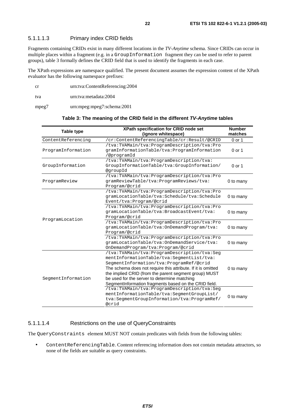#### 5.1.1.1.3 Primary index CRID fields

Fragments containing CRIDs exist in many different locations in the *TV-Anytime* schema. Since CRIDs can occur in multiple places within a fragment (e.g. in a GroupInformation fragment they can be used to refer to parent groups), table 3 formally defines the CRID field that is used to identify the fragments in each case.

The XPath expressions are namespace qualified. The present document assumes the expression content of the XPath evaluator has the following namespace prefixes:

| <sub>cr</sub> | urn:tva:ContentReferencing:2004 |
|---------------|---------------------------------|
| tva           | urn:tva:metadata:2004           |
| mpeg7         | urn:mpeg:mpeg7:schema:2001      |

#### **Table 3: The meaning of the CRID field in the different TV-Anytime tables**

| Table type         | XPath specification for CRID node set<br>(ignore whitespace)                                                                                                                                                                                                                                                                                                           | <b>Number</b><br>matches |
|--------------------|------------------------------------------------------------------------------------------------------------------------------------------------------------------------------------------------------------------------------------------------------------------------------------------------------------------------------------------------------------------------|--------------------------|
| ContentReferencing | /cr:ContentReferencingTable/cr:Result/@CRID                                                                                                                                                                                                                                                                                                                            | 0 or 1                   |
| ProgramInformation | /tva:TVAMain/tva:ProgramDescription/tva:Pro<br>gramInformationTable/tva:ProgramInformation<br>/@programId                                                                                                                                                                                                                                                              | $0$ or 1                 |
| GroupInformation   | /tva:TVAMain/tva:ProgramDescription/tva:<br>GroupInformationTable/tva:GroupInformation/<br>@qroupId                                                                                                                                                                                                                                                                    | $0$ or 1                 |
| ProgramReview      | /tva:TVAMain/tva:ProgramDescription/tva:Pro<br>qramReviewTable/tva:ProqramReviews/tva:<br>Program/@crid                                                                                                                                                                                                                                                                | 0 to many                |
| ProgramLocation    | /tva:TVAMain/tva:ProgramDescription/tva:Pro<br>gramLocationTable/tva:Schedule/tva:Schedule<br>Event/tva: Program/@crid                                                                                                                                                                                                                                                 | 0 to many                |
|                    | /tva:TVAMain/tva:ProgramDescription/tva:Pro<br>qramLocationTable/tva:BroadcastEvent/tva:<br>Program/@crid                                                                                                                                                                                                                                                              | 0 to many                |
|                    | /tva:TVAMain/tva:ProgramDescription/tva:Pro<br>gramLocationTable/tva:OnDemandProgram/tva:<br>Program/@crid                                                                                                                                                                                                                                                             | 0 to many                |
|                    | /tva:TVAMain/tva:ProgramDescription/tva:Pro<br>gramLocationTable/tva:OnDemandService/tva:<br>OnDemandProgram/tva:Program/@crid                                                                                                                                                                                                                                         | 0 to many                |
| SeqmentInformation | /tva:TVAMain/tva:ProgramDescription/tva:Seg<br>mentInformationTable/tva:SegmentList/tva:<br>SegmentInformation/tva:ProgramRef/@crid<br>The schema does not require this attribute. If it is omitted<br>the implied CRID (from the parent segment group) MUST<br>be used for the server to determine matching<br>Segment Information fragments based on the CRID field. | 0 to many                |
|                    | /tva:TVAMain/tva:ProgramDescription/tva:Seg<br>mentInformationTable/tva:SeqmentGroupList/<br>tva:SeqmentGroupInformation/tva:ProgramRef/<br>@crid                                                                                                                                                                                                                      | 0 to many                |

#### 5.1.1.1.4 Restrictions on the use of QueryConstraints

The QueryConstraints element MUST NOT contain predicates with fields from the following tables:

• ContentReferencingTable. Content referencing information does not contain metadata attractors, so none of the fields are suitable as query constraints.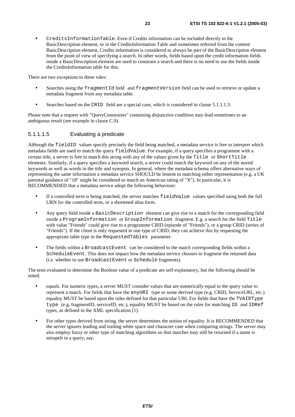• CreditsInformationTable. Even if Credits information can be included directly in the BasicDescription element, or in the CreditsInformation Table and sometimes referred from the content BasicDescription element, Credits information is considered to always be part of the BasicDescription element from the point of view of specifying a search. In other words, fields based upon the credit information fields inside a BasicDescription element are used to constrain a search and there is no need to use the fields inside the CreditsInformation table for this.

There are two exceptions to these rules:

- Searches using the fragmentId field and fragmentVersion field can be used to retrieve or update a metadata fragment from any metadata table.
- Searches based on the CRID field are a special case, which is considered in clause 5.1.1.1.3.

Please note that a request with "QueryConstraints" containing disjunctive condition may lead sometimes to an ambiguous result (see example in clause C.9).

#### 5.1.1.1.5 Evaluating a predicate

Although the fieldID values specify precisely the field being matched, a metadata service is free to interpret which metadata fields are used to match the query fieldValue. For example, if a query specifies a programme with a certain title, a server is free to match this string with any of the values given by the Title or ShortTitle elements. Similarly, if a query specifies a keyword search, a server could match the keyword on any of the stored keywords as well as words in the title and synopsis. In general, where the metadata schema offers alternative ways of representing the same information a metadata service SHOULD be lenient in matching either representation (e.g. a UK parental guidance of "18" might be considered to match an American rating of "X"). In particular, it is RECOMMENDED that a metadata service adopt the following behaviour:

- If a controlled term is being matched, the server matches fieldValue values specified using both the full URN for the controlled term, or a shortened alias form.
- Any query field inside a BasicDescription element can give rise to a match for the corresponding field inside a ProgramInformation or GroupInformation fragment. E.g. a search for the field Title with value "Friends" could give rise to a programme CRID (episode of "Friends"), or a group CRID (series of "Friends"). If the client is only requested in one type of CRID, they can achieve this by requesting the appropriate table type in the RequestedTables parameter.
- The fields within a BroadcastEvent can be considered to the match corresponding fields within a ScheduleEvent. This does not impact how the metadata service chooses to fragment the returned data (i.e. whether to use BroadcastEvent or Schedule fragments).

The tests evaluated to determine the Boolean value of a predicate are self-explanatory, but the following should be noted.

- *equals*. For numeric types, a server MUST consider values that are numerically equal to the query value to represent a match. For fields that have the anyURI type or some derived type (e.g. CRID, ServiceURL, etc.) equality MUST be based upon the rules defined for that particular URI. For fields that have the TVAIDType type (e.g. fragmentID, serviceID, etc.), equality MUST be based on the rules for matching ID and IDRef types, as defined in the XML specification [1].
- For other types derived from string, the server determines the notion of equality. It is RECOMMENDED that the server ignores leading and trailing white space and character case when comparing strings. The server may also employ fuzzy or other type of matching algorithms so that matches may still be returned if a name is misspelt in a query, say.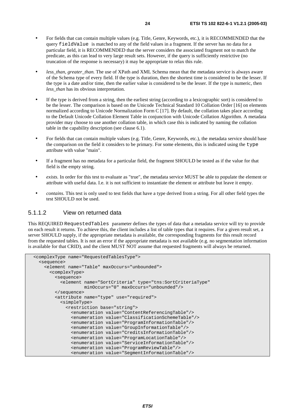- For fields that can contain multiple values (e.g. Title, Genre, Keywords, etc.), it is RECOMMENDED that the query fieldValue is matched to any of the field values in a fragment. If the server has no data for a particular field, it is RECOMMENDED that the server considers the associated fragment not to match the predicate, as this can lead to very large result sets. However, if the query is sufficiently restrictive (no truncation of the response is necessary) it may be appropriate to relax this rule.
- less than, greater than. The use of XPath and XML Schema mean that the metadata service is always aware of the Schema type of every field. If the type is duration, then the shortest time is considered to be the lesser. If the type is a date and/or time, then the earlier value is considered to be the lesser. If the type is numeric, then *less*\_*than* has its obvious interpretation.
- If the type is derived from a string, then the earliest string (according to a lexicographic sort) is considered to be the lesser. The comparison is based on the Unicode Technical Standard 10 Collation Order [16] on elements normalized according to Unicode Normalization Form C [17]. By default, the collation takes place according to the Default Unicode Collation Element Table in conjunction with Unicode Collation Algorithm. A metadata provider may choose to use another collation table, in which case this is indicated by naming the collation table in the capability description (see clause 6.1).
- For fields that can contain multiple values (e.g. Title, Genre, Keywords, etc.), the metadata service should base the comparison on the field it considers to be primary. For some elements, this is indicated using the type attribute with value "main".
- If a fragment has no metadata for a particular field, the fragment SHOULD be tested as if the value for that field is the empty string.
- *exists.* In order for this test to evaluate as "true", the metadata service MUST be able to populate the element or attribute with useful data. I.e. it is not sufficient to instantiate the element or attribute but leave it empty.
- *contains*. This test is only used to test fields that have a type derived from a string. For all other field types the test SHOULD not be used.

#### 5.1.1.2 View on returned data

This REQUIRED RequestedTables parameter defines the types of data that a metadata service will try to provide on each result it returns. To achieve this, the client includes a list of table types that it requires. For a given result set, a server SHOULD supply, if the appropriate metadata is available, the corresponding fragments for this result record from the requested tables. It is not an error if the appropriate metadata is not available (e.g. no segmentation information is available for that CRID), and the client MUST NOT assume that requested fragments will always be returned.

```
 <complexType name="RequestedTablesType"> 
   <sequence> 
     <element name="Table" maxOccurs="unbounded"> 
       <complexType> 
         <sequence> 
           <element name="SortCriteria" type="tns:SortCriteriaType" 
                     minOccurs="0" maxOccurs="unbounded"/> 
         </sequence> 
         <attribute name="type" use="required"> 
           <simpleType> 
              <restriction base="string"> 
               <enumeration value="ContentReferencingTable"/> 
               <enumeration value="ClassificationSchemeTable"/> 
               <enumeration value="ProgramInformationTable"/> 
                <enumeration value="GroupInformationTable"/> 
               <enumeration value="CreditsInformationTable"/> 
               <enumeration value="ProgramLocationTable"/> 
               <enumeration value="ServiceInformationTable"/> 
               <enumeration value="ProgramReviewTable"/> 
                <enumeration value="SegmentInformationTable"/>
```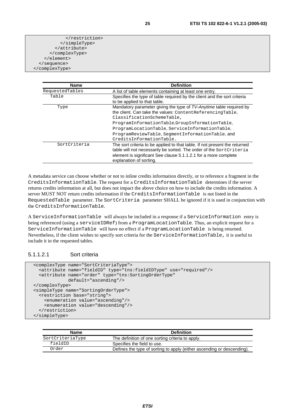| <b>Name</b>     | <b>Definition</b>                                                          |
|-----------------|----------------------------------------------------------------------------|
| RequestedTables | A list of table elements containing at least one entry.                    |
| Table           | Specifies the type of table required by the client and the sort criteria   |
|                 | to be applied to that table.                                               |
| Type            | Mandatory parameter giving the type of TV-Anytime table required by        |
|                 | the client. Can take the values: Content Referencing Table,                |
|                 | ClassificationSchemeTable,                                                 |
|                 | ProgramInformationTable,GroupInformationTable,                             |
|                 | ProgramLocationTable, ServiceInformationTable,                             |
|                 | ProgramReviewTable, SegmentInformationTable, and                           |
|                 | CreditsInformationTable.                                                   |
| SortCriteria    | The sort criteria to be applied to that table. If not present the returned |
|                 | table will not necessarily be sorted. The order of the SortCriteria        |
|                 | element is significant See clause 5.1.1.2.1 for a more complete            |
|                 | explanation of sorting.                                                    |

A metadata service can choose whether or not to inline credits information directly, or to reference a fragment in the CreditsInformationTable. The request for a CreditsInformationTable determines if the server returns credits information at all, but does not impact the above choice on how to include the credits information. A server MUST NOT return credits information if the CreditsInformationTable is not listed in the RequestedTable parameter. The SortCriteria parameter SHALL be ignored if it is used in conjunction with the CreditsInformationTable.

A ServiceInformationTable will always be included in a response if a ServiceInformation entry is being referenced (using a serviceIDRef) from a ProgramLocationTable. Thus, an explicit request for a ServiceInformationTable will have no effect if a ProgramLocationTable is being returned. Nevertheless, if the client wishes to specify sort criteria for the ServiceInformationTable, it is useful to include it in the requested tables.

#### 5.1.1.2.1 Sort criteria

```
 <complexType name="SortCriteriaType"> 
   <attribute name="fieldID" type="tns:fieldIDType" use="required"/> 
   <attribute name="order" type="tns:SortingOrderType" 
              default="ascending"/> 
 </complexType> 
 <simpleType name="SortingOrderType"> 
   <restriction base="string"> 
     <enumeration value="ascending"/> 
     <enumeration value="descending"/> 
  </restriction> 
 </simpleType>
```

| Name             | <b>Definition</b>                                                      |
|------------------|------------------------------------------------------------------------|
| SortCriteriaType | The definition of one sorting criteria to apply.                       |
| fieldID          | Specifies the field to use.                                            |
| Order            | Defines the type of sorting to apply (either ascending or descending). |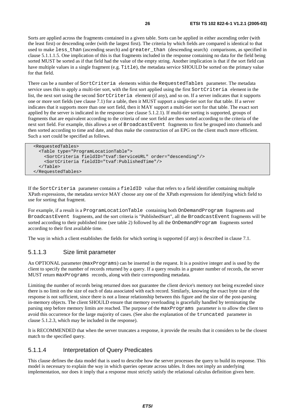Sorts are applied across the fragments contained in a given table. Sorts can be applied in either ascending order (with the least first) or descending order (with the largest first). The criteria by which fields are compared is identical to that used to make less\_than (ascending search) and greater\_than (descending search) comparisons, as specified in clause 5.1.1.1.5. One implication of this is that fragments included in the response containing no data for the field being sorted MUST be sorted as if that field had the value of the empty string. Another implication is that if the sort field can have multiple values in a single fragment (e.g. Title), the metadata service SHOULD be sorted on the primary value for that field.

There can be a number of SortCriteria elements within the RequestedTables parameter. The metadata service uses this to apply a multi-tier sort, with the first sort applied using the first SortCriteria element in the list, the next sort using the second SortCriteria element (if any), and so on. If a server indicates that it supports one or more sort fields (see clause 7.1) for a table, then it MUST support a single-tier sort for that table. If a server indicates that it supports more than one sort field, then it MAY support a multi-tier sort for that table. The exact sort applied by the server is indicated in the response (see clause 5.1.2.1). If multi-tier sorting is supported, groups of fragments that are equivalent according to the criteria of one sort field are then sorted according to the criteria of the next sort field. For example, this allows a set of BroadcastEvent fragments to first be grouped into channels and then sorted according to time and date, and thus make the construction of an EPG on the client much more efficient. Such a sort could be specified as follows.

```
 <RequestedTables> 
   <Table type="ProgramLocationTable"> 
     <SortCriteria fieldID="tvaf:ServiceURL" order="descending"/> 
     <SortCriteria fieldID="tvaf:PublishedTime"/> 
   </Table> 
 </RequestedTables>
```
If the SortCriteria parameter contains a fieldID value that refers to a field identifier containing multiple XPath expressions, the metadata service MAY choose any one of the XPath expressions for identifying which field to use for sorting that fragment.

For example, if a result is a ProgramLocationTable containing both OnDemandProgram fragments and BroadcastEvent fragments, and the sort criteria is "PublishedStart", all the BroadcastEvent fragments will be sorted according to their published time (see table 2) followed by all the OnDemandProgram fragments sorted according to their first available time.

The way in which a client establishes the fields for which sorting is supported (if any) is described in clause 7.1.

#### 5.1.1.3 Size limit parameter

An OPTIONAL parameter (maxPrograms) can be inserted in the request. It is a positive integer and is used by the client to specify the number of records returned by a query. If a query results in a greater number of records, the server MUST return maxPrograms records, along with their corresponding metadata.

Limiting the number of records being returned does not guarantee the client device's memory not being exceeded since there is no limit on the size of each of data associated with each record. Similarly, knowing the exact byte size of the response is not sufficient, since there is not a linear relationship between this figure and the size of the post-parsing in-memory objects. The client SHOULD ensure that memory overloading is gracefully handled by terminating the parsing step before memory limits are reached. The purpose of the maxPrograms parameter is to allow the client to avoid this occurrence for the large majority of cases. (See also the explanation of the truncated parameter in clause 5.1.2.3, which may be included in the response).

It is RECOMMENDED that when the server truncates a response, it provide the results that it considers to be the closest match to the specified query.

#### 5.1.1.4 Interpretation of Query Predicates

This clause defines the data model that is used to describe how the server processes the query to build its response. This model is necessary to explain the way in which queries operate across tables. It does not imply an underlying implementation, nor does it imply that a response must strictly satisfy the relational calculus definition given here.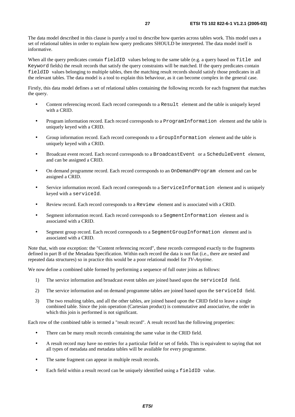The data model described in this clause is purely a tool to describe how queries across tables work. This model uses a set of relational tables in order to explain how query predicates SHOULD be interpreted. The data model itself is informative.

When all the query predicates contain fieldID values belong to the same table (e.g. a query based on Title and Keyword fields) the result records that satisfy the query constraints will be matched. If the query predicates contain fieldID values belonging to multiple tables, then the matching result records should satisfy those predicates in all the relevant tables. The data model is a tool to explain this behaviour, as it can become complex in the general case.

Firstly, this data model defines a set of relational tables containing the following records for each fragment that matches the query.

- Content referencing record. Each record corresponds to a Result element and the table is uniquely keyed with a CRID.
- Program information record. Each record corresponds to a ProgramInformation element and the table is uniquely keyed with a CRID.
- Group information record. Each record corresponds to a GroupInformation element and the table is uniquely keyed with a CRID.
- Broadcast event record. Each record corresponds to a BroadcastEvent or a ScheduleEvent element, and can be assigned a CRID.
- On demand programme record. Each record corresponds to an OnDemandProgram element and can be assigned a CRID.
- Service information record. Each record corresponds to a ServiceInformation element and is uniquely keyed with a serviceId.
- Review record. Each record corresponds to a Review element and is associated with a CRID.
- Segment information record. Each record corresponds to a SegmentInformation element and is associated with a CRID.
- Segment group record. Each record corresponds to a SegmentGroupInformation element and is associated with a CRID.

Note that, with one exception: the "Content referencing record", these records correspond exactly to the fragments defined in part B of the Metadata Specification. Within each record the data is not flat (i.e., there are nested and repeated data structures) so in practice this would be a poor relational model for *TV-Anytime*.

We now define a combined table formed by performing a sequence of full outer joins as follows:

- 1) The service information and broadcast event tables are joined based upon the serviceId field.
- 2) The service information and on demand programme tables are joined based upon the serviceId field.
- 3) The two resulting tables, and all the other tables, are joined based upon the CRID field to leave a single combined table. Since the join operation (Cartesian product) is commutative and associative, the order in which this join is performed is not significant.

Each row of the combined table is termed a "result record". A result record has the following properties:

- There can be many result records containing the same value in the CRID field.
- A result record may have no entries for a particular field or set of fields. This is equivalent to saying that not all types of metadata and metadata tables will be available for every programme.
- The same fragment can appear in multiple result records.
- Each field within a result record can be uniquely identified using a fieldID value.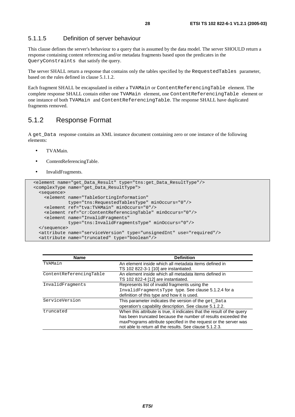#### 5.1.1.5 Definition of server behaviour

This clause defines the server's behaviour to a query that is assumed by the data model. The server SHOULD return a response containing content referencing and/or metadata fragments based upon the predicates in the QueryConstraints that satisfy the query.

The server SHALL return a response that contains only the tables specified by the RequestedTables parameter, based on the rules defined in clause 5.1.1.2.

Each fragment SHALL be encapsulated in either a TVAMain or ContentReferencingTable element. The complete response SHALL contain either one TVAMain element, one ContentReferencingTable element or one instance of both TVAMain and ContentReferencingTable. The response SHALL have duplicated fragments removed.

### 5.1.2 Response Format

A get\_Data response contains an XML instance document containing zero or one instance of the following elements:

- TVAMain.
- ContentReferencingTable.
- InvalidFragments.

```
 <element name="get_Data_Result" type="tns:get_Data_ResultType"/> 
 <complexType name="get_Data_ResultType"> 
   <sequence> 
     <element name="TableSortingInformation" 
              type="tns:RequestedTablesType" minOccurs="0"/> 
     <element ref="tva:TVAMain" minOccurs="0"/> 
     <element ref="cr:ContentReferencingTable" minOccurs="0"/> 
     <element name="InvalidFragments" 
              type="tns:InvalidFragmentsType" minOccurs="0"/> 
   </sequence> 
   <attribute name="serviceVersion" type="unsignedInt" use="required"/> 
   <attribute name="truncated" type="boolean"/>
```

| <b>Name</b>             | <b>Definition</b>                                                      |
|-------------------------|------------------------------------------------------------------------|
| TVAMain                 | An element inside which all metadata items defined in                  |
|                         | TS 102 822-3-1 [10] are instantiated.                                  |
| ContentReferencingTable | An element inside which all metadata items defined in                  |
|                         | TS 102 822-4 [12] are instantiated.                                    |
| InvalidFragments        | Represents list of invalid fragments using the                         |
|                         | InvalidFragmentsType type. See clause 5.1.2.4 for a                    |
|                         | definition of this type and how it is used.                            |
| ServiceVersion          | This parameter indicates the version of the get_Data                   |
|                         | operation's capability description. See clause 5.1.2.2.                |
| truncated               | When this attribute is true, it indicates that the result of the query |
|                         | has been truncated because the number of results exceeded the          |
|                         | maxPrograms attribute specified in the request or the server was       |
|                         | not able to return all the results. See clause 5.1.2.3.                |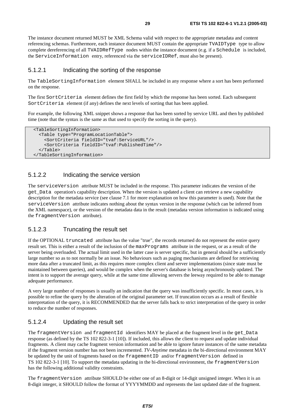The instance document returned MUST be XML Schema valid with respect to the appropriate metadata and content referencing schemas. Furthermore, each instance document MUST contain the appropriate TVAIDType type to allow complete dereferencing of all TVAIDRefType nodes within the instance document (e.g. if a Schedule is included, the ServiceInformation entry, referenced via the serviceIDRef, must also be present).

#### 5.1.2.1 Indicating the sorting of the response

The TableSortingInformation element SHALL be included in any response where a sort has been performed on the response.

The first SortCriteria element defines the first field by which the response has been sorted. Each subsequent SortCriteria element (if any) defines the next levels of sorting that has been applied.

For example, the following XML snippet shows a response that has been sorted by service URL and then by published time (note that the syntax is the same as that used to specify the sorting in the query).

```
 <TableSortingInformation> 
   <Table type="ProgramLocationTable"> 
     <SortCriteria fieldID="tvaf:ServiceURL"/> 
     <SortCriteria fieldID="tvaf:PublishedTime"/> 
   </Table> 
 </TableSortingInformation>
```
#### 5.1.2.2 Indicating the service version

The serviceVersion attribute MUST be included in the response. This parameter indicates the version of the get\_Data operation's capability description. When the version is updated a client can retrieve a new capability description for the metadata service (see clause 7.1 for more explanation on how this parameter is used). Note that the serviceVersion attribute indicates nothing about the syntax version in the response (which can be inferred from the XML namespace), or the version of the metadata data in the result (metadata version information is indicated using the fragmentVersion attribute).

#### 5.1.2.3 Truncating the result set

If the OPTIONAL truncated attribute has the value "true", the records returned do not represent the entire query result set. This is either a result of the inclusion of the maxPrograms attribute in the request, or as a result of the server being overloaded. The actual limit used in the latter case is server specific, but in general should be a sufficiently large number so as to not normally be an issue. No behaviours such as paging mechanisms are defined for retrieving more data after a truncated limit, as this requires more complex client and server implementations (since state must be maintained between queries), and would be complex when the server's database is being asynchronously updated. The intent is to support the average query, while at the same time allowing servers the leeway required to be able to manage adequate performance.

A very large number of responses is usually an indication that the query was insufficiently specific. In most cases, it is possible to refine the query by the alteration of the original parameter set. If truncation occurs as a result of flexible interpretation of the query, it is RECOMMENDED that the server falls back to strict interpretation of the query in order to reduce the number of responses.

#### 5.1.2.4 Updating the result set

The fragmentVersion and fragmentId identifiers MAY be placed at the fragment level in the get\_Data response (as defined by the TS 102 822-3-1 [10]). If included, this allows the client to request and update individual fragments. A client may cache fragment version information and be able to ignore future instances of the same metadata if the fragment version number has not been incremented. *TV-Anytime* metadata in the bi-directional environment MAY be updated by the unit of fragments based on the fragementID and/or fragmentVersion defined in TS 102 822-3-1 [10]. To support the metadata updating in the bi-directional environment, the fragmentVersion has the following additional validity constraints.

The fragmentVersion attribute SHOULD be either one of an 8-digit or 14-digit unsigned integer. When it is an 8-digit integer, it SHOULD follow the format of YYYYMMDD and represents the last updated date of the fragment.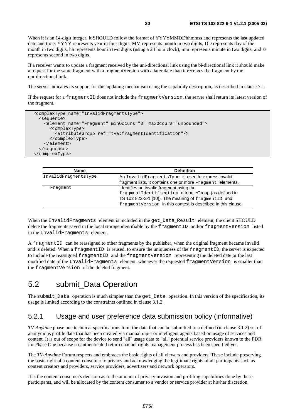When it is an 14-digit integer, it SHOULD follow the format of YYYYMMDDhhmmss and represents the last updated date and time. YYYY represents year in four digits, MM represents month in two digits, DD represents day of the month in two digits, hh represents hour in two digits (using a 24 hour clock), mm represents minute in two digits, and ss represents second in two digits.

If a receiver wants to update a fragment received by the uni-directional link using the bi-directional link it should make a request for the same fragment with a fragmentVersion with a later date than it receives the fragment by the uni-directional link.

The server indicates its support for this updating mechanism using the capability description, as described in clause 7.1.

If the request for a fragmentID does not include the fragmentVersion, the server shall return its latest version of the fragment.

```
 <complexType name="InvalidFragmentsType"> 
   <sequence> 
     <element name="Fragment" minOccurs="0" maxOccurs="unbounded"> 
       <complexType> 
         <attributeGroup ref="tva:fragmentIdentification"/> 
       </complexType> 
     </element> 
   </sequence> 
 </complexType>
```

| <b>Name</b>          | <b>Definition</b>                                            |
|----------------------|--------------------------------------------------------------|
| InvalidFraqmentsType | An InvalidFragmentsType is used to express invalid           |
|                      | fragment lists. It contains one or more Fragment elements.   |
| Fraqment             | Identifies an invalid fragment using the                     |
|                      | fragmentIdentification attributeGroup (as defined in         |
|                      | TS 102 822-3-1 [10]). The meaning of fragmentID and          |
|                      | fragmentVersion in this context is described in this clause. |

When the InvalidFragments element is included in the get Data Result element, the client SHOULD delete the fragments saved in the local storage identifiable by the fragmentID and/or fragmentVersion listed in the InvalidFragments element.

A fragmentID can be reassigned to other fragments by the publisher, when the original fragment became invalid and is deleted. When a fragmentID is reused, to ensure the uniqueness of the fragmentID, the server is expected to include the reassigned fragmentID and the fragmentVersion representing the deleted date or the last modified date of the InvalidFragments element, whenever the requested fragmentVersion is smaller than the fragmentVersion of the deleted fragment.

# 5.2 submit\_Data Operation

The submit Data operation is much simpler than the get Data operation. In this version of the specification, its usage is limited according to the constraints outlined in clause 3.1.2.

### 5.2.1 Usage and user preference data submission policy (informative)

*TV-Anytime* phase one technical specifications limit the data that can be submitted to a defined (in clause 3.1.2) set of anonymous profile data that has been created via manual input or intelligent agents based on usage of services and content. It is out of scope for the device to send "all" usage data to "all" potential service providers known to the PDR for Phase One because no authenticated return channel rights management process has been specified yet.

The *TV-Anytime* Forum respects and embraces the basic rights of all viewers and providers. These include preserving the basic right of a content consumer to privacy and acknowledging the legitimate rights of all participants such as content creators and providers, service providers, advertisers and network operators.

It is the content consumer's decision as to the amount of privacy invasion and profiling capabilities done by these participants, and will be allocated by the content consumer to a vendor or service provider at his/her discretion.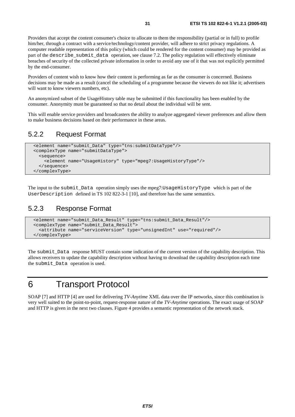Providers that accept the content consumer's choice to allocate to them the responsibility (partial or in full) to profile him/her, through a contract with a service/technology/content provider, will adhere to strict privacy regulations. A computer readable representation of this policy (which could be rendered for the content consumer) may be provided as part of the describe\_submit\_data operation, see clause 7.2. The policy regulation will effectively eliminate breaches of security of the collected private information in order to avoid any use of it that was not explicitly permitted by the end-consumer.

Providers of content wish to know how their content is performing as far as the consumer is concerned. Business decisions may be made as a result (cancel the scheduling of a programme because the viewers do not like it; advertisers will want to know viewers numbers, etc).

An anonymized subset of the UsageHistory table may be submitted if this functionality has been enabled by the consumer. Anonymity must be guaranteed so that no detail about the individual will be sent.

This will enable service providers and broadcasters the ability to analyze aggregated viewer preferences and allow them to make business decisions based on their performance in these areas.

### 5.2.2 Request Format

```
 <element name="submit_Data" type="tns:submitDataType"/> 
 <complexType name="submitDataType"> 
   <sequence> 
     <element name="UsageHistory" type="mpeg7:UsageHistoryType"/> 
   </sequence> 
 </complexType>
```
The input to the submit\_Data operation simply uses the mpeg7:UsageHistoryType which is part of the UserDescription defined in TS 102 822-3-1 [10], and therefore has the same semantics.

### 5.2.3 Response Format

```
 <element name="submit_Data_Result" type="tns:submit_Data_Result"/> 
 <complexType name="submit_Data_Result"> 
   <attribute name="serviceVersion" type="unsignedInt" use="required"/> 
 </complexType>
```
The submit\_Data response MUST contain some indication of the current version of the capability description. This allows receivers to update the capability description without having to download the capability description each time the submit\_Data operation is used.

# 6 Transport Protocol

SOAP [7] and HTTP [4] are used for delivering *TV-Anytime* XML data over the IP networks, since this combination is very well suited to the point-to-point, request-response nature of the *TV-Anytime* operations. The exact usage of SOAP and HTTP is given in the next two clauses. Figure 4 provides a semantic representation of the network stack.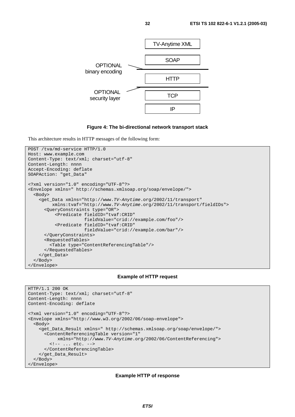

#### **Figure 4: The bi-directional network transport stack**

This architecture results in HTTP messages of the following form:

```
POST /tva/md-service HTTP/1.0 
Host: www.example.com 
Content-Type: text/xml; charset="utf-8" 
Content-Length: nnnn 
Accept-Encoding: deflate 
SOAPAction: "get_Data" 
<?xml version="1.0" encoding="UTF-8"?> 
<Envelope xmlns=" http://schemas.xmlsoap.org/soap/envelope/"> 
   <Body> 
     <get_Data xmlns="http://www.TV-Anytime.org/2002/11/transport" 
          xmlns:tvaf="http://www.TV-Anytime.org/2002/11/transport/fieldIDs"> 
       <QueryConstraints type="OR"> 
           <Predicate fieldID="tvaf:CRID" 
                       fieldValue="crid://example.com/foo"/> 
           <Predicate fieldID="tvaf:CRID" 
                       fieldValue="crid://example.com/bar"/> 
       </QueryConstraints> 
       <RequestedTables> 
         <Table type="ContentReferencingTable"/> 
       </RequestedTables> 
     </get_Data> 
   </Body> 
</Envelope>
```
#### **Example of HTTP request**

```
HTTP/1.1 200 OK 
Content-Type: text/xml; charset="utf-8" 
Content-Length: nnnn 
Content-Encoding: deflate 
<?xml version="1.0" encoding="UTF-8"?> 
<Envelope xmlns="http://www.w3.org/2002/06/soap-envelope"> 
   <Body> 
     <get_Data_Result xmlns=" http://schemas.xmlsoap.org/soap/envelope/"> 
       <ContentReferencingTable version="1" 
            xmlns="http://www.TV-Anytime.org/2002/06/ContentReferencing"> 
         <!-- ... etc. --> 
       </ContentReferencingTable> 
     </get_Data_Result> 
   </Body> 
</Envelope>
```
#### **Example HTTP of response**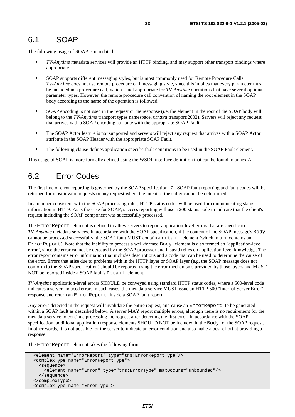# 6.1 SOAP

The following usage of SOAP is mandated:

- *TV-Anytime* metadata services will provide an HTTP binding, and may support other transport bindings where appropriate.
- SOAP supports different messaging styles, but is most commonly used for Remote Procedure Calls. *TV-Anytime* does not use remote procedure call messaging style, since this implies that every parameter must be included in a procedure call, which is not appropriate for *TV-Anytime* operations that have several optional parameter types. However, the remote procedure call convention of naming the root element in the SOAP body according to the name of the operation is followed.
- SOAP encoding is not used in the request or the response (i.e. the element in the root of the SOAP body will belong to the *TV-Anytime* transport types namespace, urn:tva:transport:2002). Servers will reject any request that arrives with a SOAP encoding attribute with the appropriate SOAP Fault.
- The SOAP Actor feature is not supported and servers will reject any request that arrives with a SOAP Actor attribute in the SOAP Header with the appropriate SOAP Fault.
- The following clause defines application specific fault conditions to be used in the SOAP Fault element.

This usage of SOAP is more formally defined using the WSDL interface definition that can be found in annex A.

# 6.2 Error Codes

The first line of error reporting is governed by the SOAP specification [7]. SOAP fault reporting and fault codes will be returned for most invalid requests or any request where the intent of the caller cannot be determined.

In a manner consistent with the SOAP processing rules, HTTP status codes will be used for communicating status information in HTTP. As is the case for SOAP, success reporting will use a 200-status code to indicate that the client's request including the SOAP component was successfully processed.

The ErrorReport element is defined to allow servers to report application-level errors that are specific to *TV-Anytime* metadata services. In accordance with the SOAP specification, if the content of the SOAP message's Body cannot be processed successfully, the SOAP fault MUST contain a detail element (which in turn contains an ErrorReport). Note that the inability to process a well-formed Body element is also termed an "application-level error", since the error cannot be detected by the SOAP processor and instead relies on application-level knowledge. The error report contains error information that includes descriptions and a code that can be used to determine the cause of the error. Errors that arise due to problems with in the HTTP layer or SOAP layer (e.g. the SOAP message does not conform to the SOAP specification) should be reported using the error mechanisms provided by those layers and MUST NOT be reported inside a SOAP fault's Detail element.

*TV-Anytime* application-level errors SHOULD be conveyed using standard HTTP status codes, where a 500-level code indicates a server-induced error. In such cases, the metadata service MUST issue an HTTP 500 "Internal Server Error" response and return an ErrorReport inside a SOAP fault report.

Any errors detected in the request will invalidate the entire request, and cause an ErrorReport to be generated within a SOAP fault as described below. A server MAY report multiple errors, although there is no requirement for the metadata service to continue processing the request after detecting the first error. In accordance with the SOAP specification, additional application response elements SHOULD NOT be included in the Body of the SOAP request. In other words, it is not possible for the server to indicate an error condition and also make a best-effort at providing a response.

The ErrorReport element takes the following form:

```
 <element name="ErrorReport" type="tns:ErrorReportType"/> 
 <complexType name="ErrorReportType"> 
   <sequence> 
     <element name="Error" type="tns:ErrorType" maxOccurs="unbounded"/> 
   </sequence> 
 </complexType> 
 <complexType name="ErrorType">
```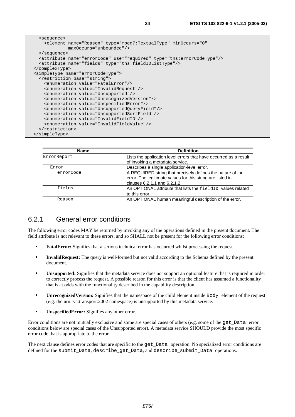| <b>Name</b> | <b>Definition</b>                                                                                                                                        |
|-------------|----------------------------------------------------------------------------------------------------------------------------------------------------------|
| ErrorReport | Lists the application level errors that have occurred as a result<br>of invoking a metadata service.                                                     |
| Error       | Describes a single application-level error.                                                                                                              |
| errorCode   | A REQUIRED string that precisely defines the nature of the<br>error. The legitimate values for this string are listed in<br>clauses 6.2.1.1 and 6.2.1.2. |
| fields      | An OPTIONAL attribute that lists the fieldID values related<br>to this error.                                                                            |
| Reason      | An OPTIONAL human meaningful description of the error.                                                                                                   |

### 6.2.1 General error conditions

The following error codes MAY be returned by invoking any of the operations defined in the present document. The field attribute is not relevant to these errors, and so SHALL not be present for the following error conditions:

- **FatalError:** Signifies that a serious technical error has occurred whilst processing the request.
- **InvalidRequest:** The query is well-formed but not valid according to the Schema defined by the present document.
- **Unsupported:** Signifies that the metadata service does not support an optional feature that is required in order to correctly process the request. A possible reason for this error is that the client has assumed a functionality that is at odds with the functionality described in the capability description.
- **Unrecognized Version:** Signifies that the namespace of the child element inside Body element of the request (e.g. the urn:tva:transport:2002 namespace) is unsupported by this metadata service.
- **UnspecifiedError:** Signifies any other error.

Error conditions are not mutually exclusive and some are special cases of others (e.g. some of the get\_Data error conditions below are special cases of the Unsupported error). A metadata service SHOULD provide the most specific error code that is appropriate to the error.

The next clause defines error codes that are specific to the get Data operation. No specialized error conditions are defined for the submit Data, describe get Data, and describe submit Data operations.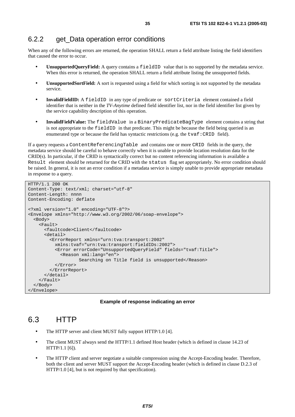When any of the following errors are returned, the operation SHALL return a field attribute listing the field identifiers that caused the error to occur.

- **UnsupportedQueryField:** A query contains a fieldID value that is no supported by the metadata service. When this error is returned, the operation SHALL return a field attribute listing the unsupported fields.
- **UnsupportedSortField:** A sort is requested using a field for which sorting is not supported by the metadata service.
- **InvalidFieldID:** A fieldID in any type of predicate or sortCriteria element contained a field identifier that is neither in the *TV-Anytime* defined field identifier list, nor in the field identifier list given by the service capability description of this operation.
- **InvalidFieldValue:** The fieldValue in a BinaryPredicateBagType element contains a string that is not appropriate to the fieldID in that predicate. This might be because the field being queried is an enumerated type or because the field has syntactic restrictions (e.g. the tvaf:CRID field).

If a query requests a ContentReferencingTable and contains one or more CRID fields in the query, the metadata service should be careful to behave correctly when it is unable to provide location resolution data for the CRID(s). In particular, if the CRID is syntactically correct but no content referencing information is available a Result element should be returned for the CRID with the status flag set appropriately. No error condition should be raised. In general, it is not an error condition if a metadata service is simply unable to provide appropriate metadata in response to a query.

```
HTTP/1.1 200 OK 
Content-Type: text/xml; charset="utf-8" 
Content-Length: nnnn 
Content-Encoding: deflate 
<?xml version="1.0" encoding="UTF-8"?> 
<Envelope xmlns="http://www.w3.org/2002/06/soap-envelope"> 
   <Body> 
     <Fault> 
       <faultcode>Client</faultcode> 
       <detail> 
          <ErrorReport xmlns="urn:tva:transport:2002" 
           xmlns:tvaf="urn:tva:transport:fieldIDs:2002"> 
            <Error errorCode="UnsupportedQueryField" fields="tvaf:Title"> 
              <Reason xml:lang="en"> 
                    Searching on Title field is unsupported</Reason>
           </Error> 
         </ErrorReport> 
       </detail> 
    \langleFault>
   </Body> 
</Envelope>
```
#### **Example of response indicating an error**

# 6.3 HTTP

- The HTTP server and client MUST fully support HTTP/1.0 [4].
- The client MUST always send the HTTP/1.1 defined Host header (which is defined in clause 14.23 of HTTP/1.1 [6]).
- The HTTP client and server negotiate a suitable compression using the Accept-Encoding header. Therefore, both the client and server MUST support the Accept-Encoding header (which is defined in clause D.2.3 of HTTP/1.0 [4], but is not required by that specification).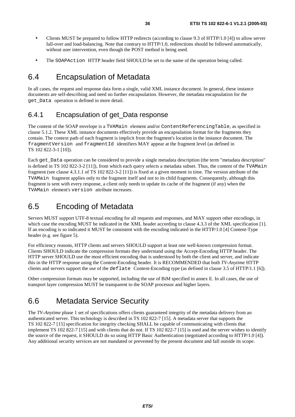- Clients MUST be prepared to follow HTTP redirects (according to clause 9.3 of HTTP/1.0 [4]) to allow server fall-over and load-balancing. Note that contrary to HTTP/1.0, redirections should be followed automatically, without user intervention, even though the POST method is being used.
- The SOAPAction HTTP header field SHOULD be set to the name of the operation being called.

### 6.4 Encapsulation of Metadata

In all cases, the request and response data form a single, valid XML instance document. In general, these instance documents are self-describing and need no further encapsulation. However, the metadata encapsulation for the get\_Data operation is defined in more detail.

### 6.4.1 Encapsulation of get\_Data response

The content of the SOAP envelope is a TVAMain element and/or ContentReferencingTable, as specified in clause 5.1.2. These XML instance documents effectively provide an encapsulation format for the fragments they contain. The context path of each fragment is implicit from the fragment's location in the instance document. The fragmentVersion and fragmentId identifiers MAY appear at the fragment level (as defined in TS 102 822-3-1 [10]).

Each get\_Data operation can be considered to provide a single metadata description (the term "metadata description" is defined in TS 102 822-3-2 [11]), from which each query selects a metadata subset. Thus, the content of the TVAMain fragment (see clause 4.3.1.1 of TS 102 822-3-2 [11]) is fixed at a given moment in time. The version attribute of the TVAMain fragment applies only to the fragment itself and not to its child fragments. Consequently, although this fragment is sent with every response, a client only needs to update its cache of the fragment (if any) when the TVAMain element's version attribute increases.

# 6.5 Encoding of Metadata

Servers MUST support UTF-8 textual encoding for all requests and responses, and MAY support other encodings, in which case the encoding MUST be indicated in the XML header according to clause 4.3.3 of the XML specification [1]. If an encoding is so indicated it MUST be consistent with the encoding indicated in the HTTP/1.0 [4] Content-Type header (e.g. see figure 5).

For efficiency reasons, HTTP clients and servers SHOULD support at least one well-known compression format. Clients SHOULD indicate the compression formats they understand using the Accept-Encoding HTTP header. The HTTP server SHOULD use the most efficient encoding that is understood by both the client and server, and indicate this in the HTTP response using the Content-Encoding header. It is RECOMMENDED that both *TV-Anytime* HTTP clients and servers support the use of the deflate Content-Encoding type (as defined in clause 3.5 of HTTP/1.1 [6]).

Other compression formats may be supported, including the use of BiM specified in annex E. In all cases, the use of transport layer compression MUST be transparent to the SOAP processor and higher layers.

# 6.6 Metadata Service Security

The *TV-Anytime* phase 1 set of specifications offers clients guaranteed integrity of the metadata delivery from an authenticated server. This technology is described in TS 102 822-7 [15]. A metadata server that supports the TS 102 822-7 [15] specification for integrity checking SHALL be capable of communicating with clients that implement TS 102 822-7 [15] and with clients that do not. If TS 102 822-7 [15] is used and the server wishes to identify the source of the request, it SHOULD do so using HTTP Basic Authentication (negotiated according to HTTP/1.0 [4]). Any additional security services are not mandated or prevented by the present document and fall outside its scope.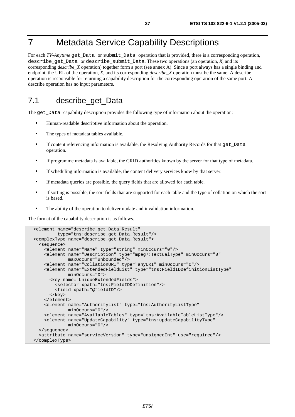## 7 Metadata Service Capability Descriptions

For each *TV-Anytime* get\_Data or submit\_Data operation that is provided, there is a corresponding operation, describe\_get\_Data or describe\_submit\_Data. These two operations (an operation, *X*, and its corresponding *describe*\_*X* operation) together form a port (see annex A). Since a port always has a single binding and endpoint, the URL of the operation, *X*, and its corresponding *describe\_X* operation must be the same. A describe operation is responsible for returning a capability description for the corresponding operation of the same port. A describe operation has no input parameters.

#### 7.1 describe\_get\_Data

The get\_Data capability description provides the following type of information about the operation:

- Human-readable descriptive information about the operation.
- The types of metadata tables available.
- If content referencing information is available, the Resolving Authority Records for that get Data operation.
- If programme metadata is available, the CRID authorities known by the server for that type of metadata.
- If scheduling information is available, the content delivery services know by that server.
- If metadata queries are possible, the query fields that are allowed for each table.
- If sorting is possible, the sort fields that are supported for each table and the type of collation on which the sort is based.
- The ability of the operation to deliver update and invalidation information.

The format of the capability description is as follows.

```
 <element name="describe_get_Data_Result" 
          type="tns:describe_get_Data_Result"/> 
 <complexType name="describe_get_Data_Result"> 
   <sequence> 
     <element name="Name" type="string" minOccurs="0"/> 
     <element name="Description" type="mpeg7:TextualType" minOccurs="0" 
              maxOccurs="unbounded"/> 
     <element name="CollationURI" type="anyURI" minOccurs="0"/> 
     <element name="ExtendedFieldList" type="tns:FieldIDDefinitionListType" 
              minOccurs="0"> 
       <key name="UniqueExtendedFields"> 
         <selector xpath="tns:FieldIDDefinition"/> 
         <field xpath="@fieldID"/> 
      </key>
     </element> 
     <element name="AuthorityList" type="tns:AuthorityListType" 
              minOccurs="0"/> 
     <element name="AvailableTables" type="tns:AvailableTableListType"/> 
     <element name="UpdateCapability" type="tns:updateCapabilityType" 
              minOccurs="0"/> 
   </sequence> 
   <attribute name="serviceVersion" type="unsignedInt" use="required"/> 
 </complexType>
```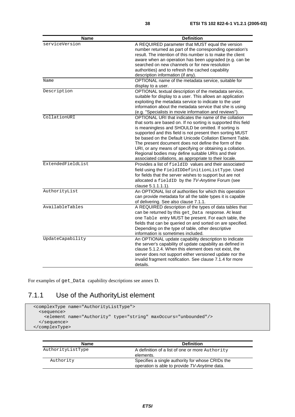| <b>Name</b>       | <b>Definition</b>                                                                                                                                                                                                                                                                                                                                                                                                                                                                                                                            |
|-------------------|----------------------------------------------------------------------------------------------------------------------------------------------------------------------------------------------------------------------------------------------------------------------------------------------------------------------------------------------------------------------------------------------------------------------------------------------------------------------------------------------------------------------------------------------|
| serviceVersion    | A REQUIRED parameter that MUST equal the version<br>number returned as part of the corresponding operation's<br>result. The intention of this number is to make the client<br>aware when an operation has been upgraded (e.g. can be<br>searched on new channels or for new resolution<br>authorities) and to refresh the cached capability<br>description information (if any).                                                                                                                                                             |
| Name              | OPTIONAL name of the metadata service, suitable for<br>display to a user.                                                                                                                                                                                                                                                                                                                                                                                                                                                                    |
| Description       | OPTIONAL textual description of the metadata service,<br>suitable for display to a user. This allows an application<br>exploiting the metadata service to indicate to the user<br>information about the metadata service that she is using<br>(e.g. "Specialists in movie information and reviews").                                                                                                                                                                                                                                         |
| CollationURI      | OPTIONAL URI that indicates the name of the collation<br>that sorts are based on. If no sorting is supported this field<br>is meaningless and SHOULD be omitted. If sorting is<br>supported and this field is not present then sorting MUST<br>be based on the Default Unicode Collation Element Table.<br>The present document does not define the form of the<br>URI, or any means of specifying or obtaining a collation.<br>Regional bodies may define suitable URIs and their<br>associated collations, as appropriate to their locale. |
| ExtendedFieldList | Provides a list of fieldID values and their associated<br>field using the FieldIDDefinitionListType. Used<br>for fields that the server wishes to support but are not<br>allocated a fieldID by the TV-Anytime Forum (see<br>clause 5.1.1.1.1).                                                                                                                                                                                                                                                                                              |
| AuthorityList     | An OPTIONAL list of authorities for which this operation<br>can provide metadata for all the table types it is capable<br>of delivering. See also clause 7.1.1.                                                                                                                                                                                                                                                                                                                                                                              |
| AvailableTables   | A REQUIRED description of the types of data tables that<br>can be returned by this get_Data response. At least<br>one Table entry MUST be present. For each table, the<br>fields that can be queried on and sorted on are specified.<br>Depending on the type of table, other descriptive<br>information is sometimes included.                                                                                                                                                                                                              |
| UpdateCapability  | An OPTIONAL update capability description to indicate<br>the server's capability of update capability as defined in<br>clause 5.1.2.4. When this element does not exist, the<br>server does not support either versioned update nor the<br>invalid fragment notification. See clause 7.1.4 for more<br>details.                                                                                                                                                                                                                              |

For examples of get\_Data capability descriptions see annex D.

#### 7.1.1 Use of the AuthorityList element

```
 <complexType name="AuthorityListType"> 
   <sequence> 
     <element name="Authority" type="string" maxOccurs="unbounded"/> 
   </sequence> 
 </complexType>
```

| <b>Name</b>       | <b>Definition</b>                                |
|-------------------|--------------------------------------------------|
| AuthorityListType | A definition of a list of one or more Authority  |
|                   | elements.                                        |
| Authority         | Specifies a single authority for whose CRIDs the |
|                   | operation is able to provide TV-Anytime data.    |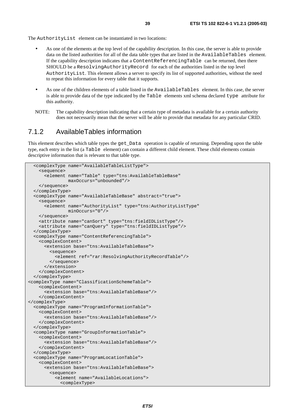The AuthorityList element can be instantiated in two locations:

- As one of the elements at the top level of the capability description. In this case, the server is able to provide data on the listed authorities for all of the data table types that are listed in the AvailableTables element. If the capability description indicates that a ContentReferencingTable can be returned, then there SHOULD be a ResolvingAuthorityRecord for each of the authorities listed in the top level AuthorityList. This element allows a server to specify its list of supported authorities, without the need to repeat this information for every table that it supports.
- As one of the children elements of a table listed in the AvailableTables element. In this case, the server is able to provide data of the type indicated by the Table elements xml schema declared type attribute for this authority.
- NOTE: The capability description indicating that a certain type of metadata is available for a certain authority does not necessarily mean that the server will be able to provide that metadata for any particular CRID.

#### 7.1.2 AvailableTables information

This element describes which table types the get\_Data operation is capable of returning. Depending upon the table type, each entry in the list (a Table element) can contain a different child element. These child elements contain descriptive information that is relevant to that table type.

```
 <complexType name="AvailableTableListType"> 
     <sequence> 
       <element name="Table" type="tns:AvailableTableBase" 
                maxOccurs="unbounded"/> 
     </sequence> 
   </complexType> 
   <complexType name="AvailableTableBase" abstract="true"> 
     <sequence> 
       <element name="AuthorityList" type="tns:AuthorityListType" 
                minOccurs="0"/> 
     </sequence> 
     <attribute name="canSort" type="tns:fieldIDListType"/> 
     <attribute name="canQuery" type="tns:fieldIDListType"/> 
   </complexType> 
   <complexType name="ContentReferencingTable"> 
     <complexContent> 
       <extension base="tns:AvailableTableBase"> 
         <sequence> 
           <element ref="rar:ResolvingAuthorityRecordTable"/> 
         </sequence> 
       </extension> 
     </complexContent> 
  </complexType> 
<complexType name="ClassificationSchemeTable"> 
     <complexContent> 
       <extension base="tns:AvailableTableBase"/> 
     </complexContent> 
</complexType> 
  <complexType name="ProgramInformationTable"> 
     <complexContent> 
       <extension base="tns:AvailableTableBase"/> 
     </complexContent> 
   </complexType> 
  <complexType name="GroupInformationTable"> 
     <complexContent> 
       <extension base="tns:AvailableTableBase"/> 
     </complexContent> 
   </complexType> 
   <complexType name="ProgramLocationTable"> 
     <complexContent> 
       <extension base="tns:AvailableTableBase"> 
         <sequence> 
           <element name="AvailableLocations"> 
             <complexType>
```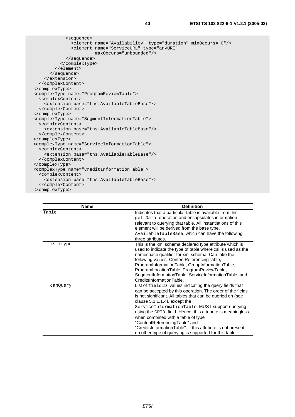| <sequence></sequence>                                                   |  |
|-------------------------------------------------------------------------|--|
| <element minoccurs="0" name="Availability" type="duration"></element>   |  |
| <element <="" name="ServiceURL" td="" type="anyURI"><td></td></element> |  |
| maxOccurs="unbounded"/>                                                 |  |
|                                                                         |  |
|                                                                         |  |
|                                                                         |  |
|                                                                         |  |
|                                                                         |  |
|                                                                         |  |
|                                                                         |  |
| <complextype name="ProgramReviewTable"></complextype>                   |  |
| <complexcontent></complexcontent>                                       |  |
| <extension base="tns:AvailableTableBase"></extension>                   |  |
|                                                                         |  |
|                                                                         |  |
| <complextype name="SeqmentInformationTable"></complextype>              |  |
| <complexcontent></complexcontent>                                       |  |
| <extension base="tns:AvailableTableBase"></extension>                   |  |
|                                                                         |  |
|                                                                         |  |
| <complextype name="ServiceInformationTable"></complextype>              |  |
| <complexcontent></complexcontent>                                       |  |
| <extension base="tns:AvailableTableBase"></extension>                   |  |
|                                                                         |  |
|                                                                         |  |
| <complextype name="CreditInformationTable"></complextype>               |  |
| <complexcontent></complexcontent>                                       |  |
| <extension base="tns:AvailableTableBase"></extension>                   |  |
|                                                                         |  |
|                                                                         |  |

| <b>Name</b> | <b>Definition</b>                                           |
|-------------|-------------------------------------------------------------|
| Table       | Indicates that a particular table is available from this    |
|             | get_Data operation and encapsulates information             |
|             | relevant to querying that table. All instantiations of this |
|             | element will be derived from the base type,                 |
|             | AvailableTableBase, which can have the following            |
|             | three attributes.                                           |
| xsi:type    | This is the xml schema declared type attribute which is     |
|             | used to indicate the type of table where xsi is used as the |
|             | namespace qualifier for xml schema. Can take the            |
|             | following values: ContentReferencingTable,                  |
|             | ProgramInformationTable, GroupInformationTable,             |
|             | ProgramLocationTable, ProgramReviewTable,                   |
|             | SegmentInformationTable, ServiceInformationTable, and       |
|             | CreditsInformationTable.                                    |
| canQuery    | List of fieldID values indicating the query fields that     |
|             | can be accepted by this operation. The order of the fields  |
|             | is not significant. All tables that can be queried on (see  |
|             | clause $5.1.1.1.4$ ), except the                            |
|             | ServiceInformationTable, MUST support querying              |
|             | using the CRID field. Hence, this attribute is meaningless  |
|             | when combined with a table of type                          |
|             | "ContentReferencingTable" and                               |
|             | "CreditsInformationTable". If this attribute is not present |
|             | no other type of querying is supported for this table.      |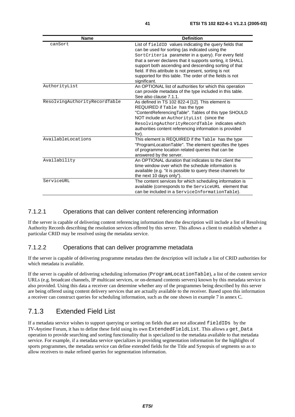| <b>Name</b>                   | <b>Definition</b>                                                                                                                                                                                                                                                                                                                                                                                                              |
|-------------------------------|--------------------------------------------------------------------------------------------------------------------------------------------------------------------------------------------------------------------------------------------------------------------------------------------------------------------------------------------------------------------------------------------------------------------------------|
| canSort                       | List of fieldID values indicating the query fields that<br>can be used for sorting (as indicated using the<br>SortCriteria parameter in a query). For every field<br>that a server declares that it supports sorting, it SHALL<br>support both ascending and descending sorting of that<br>field. If this attribute is not present, sorting is not<br>supported for this table. The order of the fields is not<br>significant. |
| AuthorityList                 | An OPTIONAL list of authorities for which this operation<br>can provide metadata of the type included in this table.<br>See also clause 7.1.1.                                                                                                                                                                                                                                                                                 |
| ResolvingAuthorityRecordTable | As defined in TS 102 822-4 [12]. This element is<br>REQUIRED if Table has the type<br>"ContentReferencingTable". Tables of this type SHOULD<br>NOT include an AuthorityList (since the<br>ResolvingAuthorityRecordTable indicates which<br>authorities content referencing information is provided<br>for).                                                                                                                    |
| AvailableLocations            | This element is REQUIRED if the Table has the type<br>"ProgramLocationTable". The element specifies the types<br>of programme location related queries that can be<br>answered by the server.                                                                                                                                                                                                                                  |
| Availability                  | An OPTIONAL duration that indicates to the client the<br>time window over which the schedule information is<br>available (e.g. "it is possible to query these channels for<br>the next 10 days only").                                                                                                                                                                                                                         |
| ServiceURL                    | The content services for which scheduling information is<br>available (corresponds to the ServiceURL element that<br>can be included in a ServiceInformationTable).                                                                                                                                                                                                                                                            |

#### 7.1.2.1 Operations that can deliver content referencing information

If the server is capable of delivering content referencing information then the description will include a list of Resolving Authority Records describing the resolution services offered by this server. This allows a client to establish whether a particular CRID may be resolved using the metadata service.

#### 7.1.2.2 Operations that can deliver programme metadata

If the server is capable of delivering programme metadata then the description will include a list of CRID authorities for which metadata is available.

If the server is capable of delivering scheduling information (ProgramLocationTable), a list of the content service URLs (e.g. broadcast channels, IP multicast services, or on-demand contents servers) known by this metadata service is also provided. Using this data a receiver can determine whether any of the programmes being described by this server are being offered using content delivery services that are actually available to the receiver. Based upon this information a receiver can construct queries for scheduling information, such as the one shown in example 7 in annex C.

#### 7.1.3 Extended Field List

If a metadata service wishes to support querying or sorting on fields that are not allocated fieldIDs by the *TV-Anytime* Forum, it has to define these field using its own ExtendedFieldList. This allows a get Data operation to provide searching and sorting functionality that is specialized to the metadata available to that metadata service. For example, if a metadata service specializes in providing segmentation information for the highlights of sports programmes, the metadata service can define extended fields for the Title and Synopsis of segments so as to allow receivers to make refined queries for segmentation information.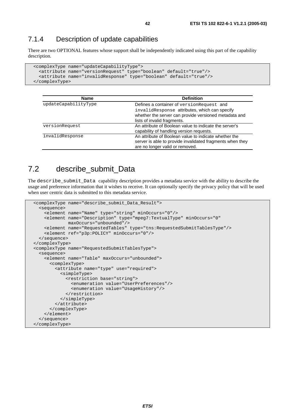#### 7.1.4 Description of update capabilities

There are two OPTIONAL features whose support shall be independently indicated using this part of the capability description.

```
 <complexType name="updateCapabilityType"> 
   <attribute name="versionRequest" type="boolean" default="true"/> 
   <attribute name="invalidResponse" type="boolean" default="true"/> 
 </complexType>
```

| <b>Name</b>          | <b>Definition</b>                                         |
|----------------------|-----------------------------------------------------------|
| updateCapabilityType | Defines a container of version Request and                |
|                      | invalidResponse attributes, which can specify             |
|                      | whether the server can provide versioned metadata and     |
|                      | lists of invalid fragments.                               |
| versionRequest       | An attribute of Boolean value to indicate the server's    |
|                      | capability of handling version requests.                  |
| invalidResponse      | An attribute of Boolean value to indicate whether the     |
|                      | server is able to provide invalidated fragments when they |
|                      | are no longer valid or removed.                           |

#### 7.2 describe\_submit\_Data

The describe\_submit\_Data capability description provides a metadata service with the ability to describe the usage and preference information that it wishes to receive. It can optionally specify the privacy policy that will be used when user centric data is submitted to this metadata service.

```
 <complexType name="describe_submit_Data_Result"> 
   <sequence> 
     <element name="Name" type="string" minOccurs="0"/> 
     <element name="Description" type="mpeg7:TextualType" minOccurs="0" 
              maxOccurs="unbounded"/> 
     <element name="RequestedTables" type="tns:RequestedSubmitTablesType"/> 
     <element ref="p3p:POLICY" minOccurs="0"/> 
  </sequence> 
 </complexType> 
 <complexType name="RequestedSubmitTablesType"> 
   <sequence> 
     <element name="Table" maxOccurs="unbounded"> 
       <complexType> 
         <attribute name="type" use="required"> 
           <simpleType> 
             <restriction base="string"> 
                <enumeration value="UserPreferences"/> 
                <enumeration value="UsageHistory"/> 
             </restriction> 
           </simpleType> 
         </attribute> 
       </complexType> 
     </element> 
   </sequence> 
 </complexType>
```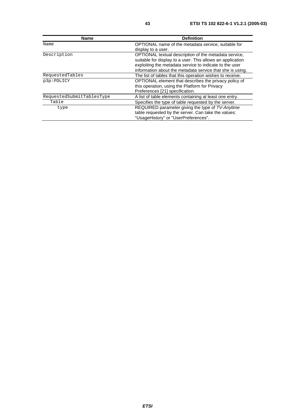| <b>Name</b>               | <b>Definition</b>                                          |
|---------------------------|------------------------------------------------------------|
| Name                      | OPTIONAL name of the metadata service, suitable for        |
|                           | display to a user.                                         |
| Description               | OPTIONAL textual description of the metadata service,      |
|                           | suitable for display to a user. This allows an application |
|                           | exploiting the metadata service to indicate to the user    |
|                           | information about the metadata service that she is using.  |
| RequestedTables           | The list of tables that this operation wishes to receive.  |
| p3p:POLICY                | OPTIONAL element that describes the privacy policy of      |
|                           | this operation, using the Platform for Privacy             |
|                           | Preferences [21] specification.                            |
| RequestedSubmitTablesType | A list of table elements containing at least one entry.    |
| Table                     | Specifies the type of table requested by the server.       |
| type                      | REQUIRED parameter giving the type of TV-Anytime           |
|                           | table requested by the server. Can take the values:        |
|                           | "UsageHistory" or "UserPreferences".                       |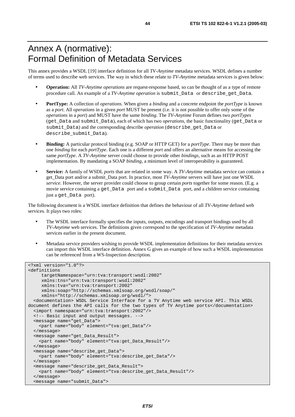#### Annex A (normative): Formal Definition of Metadata Services

This annex provides a WSDL [19] interface definition for all *TV-Anytime* metadata services. WSDL defines a number of terms used to describe web services. The way in which these relate to *TV-Anytime* metadata services is given below:

- **Operation:** All *TV-Anytime operations* are request-response based, so can be thought of as a type of remote procedure call. An example of a *TV-Anytime operation* is submit*\_*Data or describe*\_*get*\_*Data.
- **PortType:** A collection of *operations*. When given a *binding* and a concrete endpoint the *portType* is known as a *port*. All *operations* in a given *port* MUST be present (i.e. it is not possible to offer only some of the *operations* in a *port*) and MUST have the same *binding*. The *TV-Anytime* Forum defines two *portTypes* (get*\_*Data and submit*\_*Data), each of which has two *operations*, the basic functionality (get*\_*Data or submit*\_*Data) and the corresponding describe *operation* (describe\_get*\_*Data or describe\_submit*\_*Data).
- **Binding:** A particular protocol binding (e.g. SOAP or HTTP GET) for a *portType*. There may be more than one *binding* for each *portType*. Each one is a different *port* and offers an alternative means for accessing the same *portType*. A *TV-Anytime* server could choose to provide other *bindings*, such as an HTTP POST implementation. By mandating a SOAP *binding*, a minimum level of interoperability is guaranteed.
- **Service:** A family of WSDL *ports* that are related in some way. A *TV-Anytime* metadata service can contain a get\_Data port and/or a submit\_Data port. In practice, most *TV-Anytime* servers will have just one WSDL *service*. However, the server provider could choose to group certain *ports* together for some reason. (E.g. a movie service containing a get Data port and a submit Data port, and a children service containing just a get\_Data port).

The following document is a WSDL interface definition that defines the behaviour of all *TV-Anytime* defined web services. It plays two roles:

- The WSDL interface formally specifies the inputs, outputs, encodings and transport bindings used by all *TV-Anytime* web services. The definitions given correspond to the specification of *TV-Anytime* metadata services earlier in the present document.
- Metadata service providers wishing to provide WSDL implementation definitions for their metadata services can import this WSDL interface definition. Annex G gives an example of how such a WSDL implementation can be referenced from a WS-Inspection description.

```
<?xml version="1.0"?> 
<definitions 
      targetNamespace="urn:tva:transport:wsdl:2002" 
      xmlns:tns="urn:tva:transport:wsdl:2002" 
      xmlns:tva="urn:tva:transport:2002" 
      xmlns:soap="http://schemas.xmlsoap.org/wsdl/soap/" 
      xmlns="http://schemas.xmlsoap.org/wsdl/"> 
   <documentation> WSDL Service Interface for a TV Anytime web service API. This WSDL 
document defines the API calls for the two types of TV Anytime ports</documentation> 
   <import namespace="urn:tva:transport:2002"/> 
   <!-- Basic input and output messages. --> 
   <message name="get_Data"> 
     <part name="body" element="tva:get_Data"/> 
   </message> 
   <message name="get_Data_Result"> 
     <part name="body" element="tva:get_Data_Result"/> 
   </message> 
   <message name="describe_get_Data"> 
     <part name="body" element="tva:describe_get_Data"/> 
   </message> 
   <message name="describe_get_Data_Result"> 
     <part name="body" element="tva:describe_get_Data_Result"/> 
   </message> 
   <message name="submit_Data">
```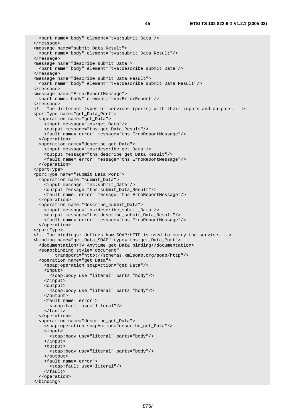```
 <part name="body" element="tva:submit_Data"/> 
 </message> 
 <message name="submit_Data_Result"> 
   <part name="body" element="tva:submit_Data_Result"/> 
 </message> 
 <message name="describe_submit_Data"> 
   <part name="body" element="tva:describe_submit_Data"/> 
 </message> 
 <message name="describe_submit_Data_Result"> 
  <part name="body" element="tva:describe_submit_Data_Result"/> 
 </message> 
 <message name="ErrorReportMessage"> 
  <part name="body" element="tva:ErrorReport"/> 
 </message> 
 <!-- The different types of services (ports) with their inputs and outputs. --> 
 <portType name="get_Data_Port"> 
   <operation name="get_Data"> 
     <input message="tns:get_Data"/> 
     <output message="tns:get_Data_Result"/> 
     <fault name="error" message="tns:ErroReportMessage"/> 
   </operation> 
   <operation name="describe_get_Data"> 
     <input message="tns:describe_get_Data"/> 
     <output message="tns:describe_get_Data_Result"/> 
     <fault name="error" message="tns:ErroReportMessage"/> 
   </operation> 
 </portType> 
 <portType name="submit_Data_Port"> 
   <operation name="submit_Data"> 
     <input message="tns:submit_Data"/> 
     <output message="tns:submit_Data_Result"/> 
     <fault name="error" message="tns:ErroReportMessage"/> 
   </operation> 
   <operation name="describe_submit_Data"> 
     <input message="tns:describe_submit_Data"/> 
     <output message="tns:describe_submit_Data_Result"/> 
     <fault name="error" message="tns:ErroReportMessage"/> 
   </operation> 
 </portType> 
 <!-- The bindings: defines how SOAP/HTTP is used to carry the service. --> 
 <binding name="get_Data_SOAP" type="tns:get_Data_Port"> 
   <documentation>TV Anytime get_Data binding</documentation> 
   <soap:binding style="document" 
         transport="http://schemas.xmlsoap.org/soap/http"/> 
   <operation name="get_Data"> 
     <soap:operation soapAction="get_Data"/> 
     <input> 
       <soap:body use="literal" parts="body"/> 
     </input> 
     <output> 
       <soap:body use="literal" parts="body"/> 
     </output> 
     <fault name="error"> 
       <soap:fault use="literal"/> 
     </fault> 
   </operation> 
   <operation name="describe_get_Data"> 
     <soap:operation soapAction="describe_get_Data"/> 
     <input> 
       <soap:body use="literal" parts="body"/> 
     </input> 
     <output> 
       <soap:body use="literal" parts="body"/> 
     </output> 
     <fault name="error"> 
       <soap:fault use="literal"/> 
     </fault> 
   </operation> 
 </binding>
```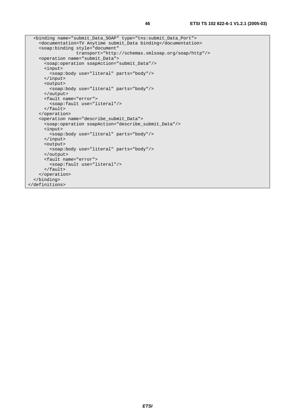```
 <binding name="submit_Data_SOAP" type="tns:submit_Data_Port"> 
     <documentation>TV Anytime submit_Data binding</documentation> 
     <soap:binding style="document" 
                   transport="http://schemas.xmlsoap.org/soap/http"/> 
     <operation name="submit_Data"> 
       <soap:operation soapAction="submit_Data"/> 
       <input> 
        <soap:body use="literal" parts="body"/> 
       </input> 
       <output> 
         <soap:body use="literal" parts="body"/> 
       </output> 
       <fault name="error"> 
         <soap:fault use="literal"/> 
       </fault> 
    </operation> 
     <operation name="describe_submit_Data"> 
       <soap:operation soapAction="describe_submit_Data"/> 
       <input> 
        <soap:body use="literal" parts="body"/> 
       </input> 
       <output> 
         <soap:body use="literal" parts="body"/> 
       </output> 
       <fault name="error"> 
         <soap:fault use="literal"/> 
       </fault> 
     </operation> 
   </binding> 
</definitions>
```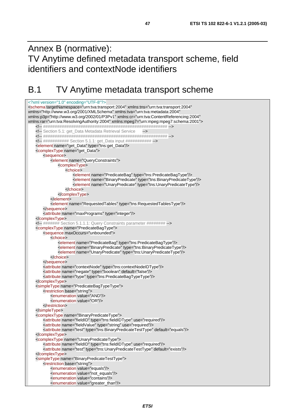Annex B (normative): TV Anytime defined metadata transport scheme, field identifiers and contextNode identifiers

#### B.1 TV Anytime metadata transport scheme

<?xml version="1.0" encoding="UTF-8"?> <schema targetNamespace="urn:tva:transport:2004" xmlns:tns="urn:tva:transport:2004" xmlns="http://www.w3.org/2001/XMLSchema" xmlns:tva="urn:tva:metadata:2004" xmlns:p3p="http://www.w3.org/2002/01/P3Pv1" xmlns:cr="urn:tva:ContentReferencing:2004" xmlns:rar="urn:tva:ResolvingAuthority:2004" xmlns:mpeg7="urn:mpeg:mpeg7:schema:2001"> <!-- ##################################################### --> <!-- Section 5.1: get\_Data Metadata Retrieval Service --> <!-- ##################################################### --> <!-- ############ Section 5.1.1: get\_Data input ############ --> <element name="get\_Data" type="tns:get\_Data"/> <complexType name="get\_Data"> <sequence> <element name="QueryConstraints"> <complexType> <choice> <element name="PredicateBag" type="tns:PredicateBagType"/> <element name="BinaryPredicate" type="tns:BinaryPredicateType"/> <element name="UnaryPredicate" type="tns:UnaryPredicateType"/> </choice> </complexType> </element> <element name="RequestedTables" type="tns:RequestedTablesType"/> </sequence> <attribute name="maxPrograms" type="integer"/> </complexType> <!-- ####### Section 5.1.1.1: Query Constraints parameter ######## --> <complexType name="PredicateBagType"> <sequence maxOccurs="unbounded"> <choice> <element name="PredicateBag" type="tns:PredicateBagType"/> <element name="BinaryPredicate" type="tns:BinaryPredicateType"/> <element name="UnaryPredicate" type="tns:UnaryPredicateType"/> </choice> </sequence> <attribute name="contextNode" type="tns:contextNodeIDType"/> <attribute name="negate" type="boolean" default="false"/> <attribute name="type" type="tns:PredicateBagTypeType"/> </complexType> <simpleType name="PredicateBagTypeType"> <restriction base="string"> <enumeration value="AND"/> <enumeration value="OR"/> </restriction> </simpleType> <complexType name="BinaryPredicateType"> <attribute name="fieldID" type="tns:fieldIDType" use="required"/> <attribute name="fieldValue" type="string" use="required"/> <attribute name="test" type="tns:BinaryPredicateTestType" default="equals"/> </complexType> <complexType name="UnaryPredicateType"> <attribute name="fieldID" type="tns:fieldIDType" use="required"/> <attribute name="test" type="tns:UnaryPredicateTestType" default="exists"/> </complexType> <simpleType name="BinaryPredicateTestType"> <restriction base="string"> <enumeration value="equals"/> <enumeration value="not\_equals"/> <enumeration value="contains"/> <enumeration value="greater\_than"/>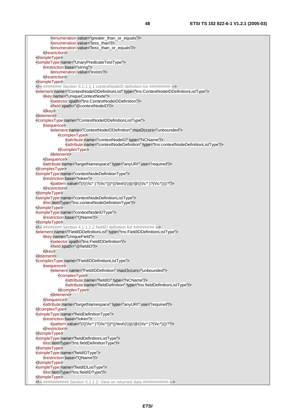<enumeration value="greater\_than\_or\_equals"/> <enumeration value="less\_than"/> <enumeration value="less\_than\_or\_equals"/> </restriction> </simpleType> <simpleType name="UnaryPredicateTestType"> <restriction base="string"> <enumeration value="exists"/> </restriction> </simpleType> <!-- ######## Section 5.1.1.1.1 contextNodeID definition list ######### --> <element name="ContextNodeIDDefinitionList" type="tns:ContextNodeIDDefinitionListType"> <key name="UniqueContextNode"> <selector xpath="tns:ContextNodeIDDefinition"/> <field xpath="@contextNodeID"/> </key> </element> <complexType name="ContextNodeIDDefinitionListType"> <sequence> <element name="ContextNodeIDDefinition" maxOccurs="unbounded"> <complexType> <attribute name="contextNodeID" type="NCName"/> <attribute name="contextNodeDefinition" type="tns:contextNodeDefinitionListType"/> </complexType> </element> </sequence> <attribute name="targetNamespace" type="anyURI" use="required"/> </complexType> <simpleType name="contextNodeDefinitionType"> <restriction base="token">  $\leq$ pattern value="(/((\i\c\*:)?(\i\c\*)))\*((/text\(\))|(/@((\i\c\*:)?(\i\c\*))))?"/ $\leq$  </restriction> </simpleType> <simpleType name="contextNodeDefinitionListType"> <list itemType="tns:contextNodeDefinitionType"/> </simpleType> <simpleType name="contextNodeIDType"> <restriction base="QName"/> </simpleType>  $\leq$  - ######### Section 4.1.1.1.2 fieldID definition list ######### --> <element name="FieldIDDefinitionList" type="tns:FieldIDDefinitionListType"> <key name="UniqueField"> <selector xpath="tns:FieldIDDefinition"/> <field xpath="@fieldID"/> </key> </element> <complexType name="FieldIDDefinitionListType"> <sequence> <element name="FieldIDDefinition" maxOccurs="unbounded"> <complexType> <attribute name="fieldID" type="NCName"/> <attribute name="fieldDefinition" type="tns:fieldDefinitionListType"/> </complexType> </element> </sequence> <attribute name="targetNamespace" type="anyURI" use="required"/> </complexType> <simpleType name="fieldDefinitionType"> <restriction base="token">  $\leq$ pattern value="(/((\i\c\*:)?(\i\c\*)))\*((/text\(\))|(/@((\i\c\*:)?(\i\c\*))))?"/ $\leq$  </restriction> </simpleType> <simpleType name="fieldDefinitionListType"> <list itemType="tns:fieldDefinitionType"/> </simpleType> <simpleType name="fieldIDType"> <restriction base="QName"/> </simpleType> <simpleType name="fieldIDListType"> <list itemType="tns:fieldIDType"/> </simpleType> <!-- ############ Section 5.1.1.2: View on returned data ########### -->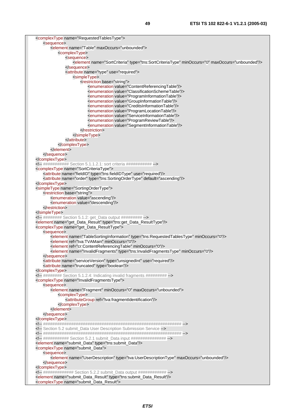| <complextype name="RequestedTablesType"></complextype>                                                                                                               |  |
|----------------------------------------------------------------------------------------------------------------------------------------------------------------------|--|
| <sequence><br/><element maxoccurs="unbounded" name="Table"></element></sequence>                                                                                     |  |
| <complextype></complextype>                                                                                                                                          |  |
| <sequence></sequence>                                                                                                                                                |  |
| <element maxoccurs="unbounded" minoccurs="0" name="SortCriteria" type="tns:SortCriteriaType"></element>                                                              |  |
|                                                                                                                                                                      |  |
| <attribute name="type" use="required"></attribute>                                                                                                                   |  |
| <simpletype></simpletype>                                                                                                                                            |  |
| <restriction base="string"></restriction>                                                                                                                            |  |
| <enumeration value="ContentReferencingTable"></enumeration>                                                                                                          |  |
| <enumeration value="ClassificationSchemeTable"></enumeration>                                                                                                        |  |
| <enumeration value="ProgramInformationTable"></enumeration>                                                                                                          |  |
| <enumeration value="GroupInformationTable"></enumeration>                                                                                                            |  |
| <enumeration value="CreditsInformationTable"></enumeration>                                                                                                          |  |
| <enumeration value="ProgramLocationTable"></enumeration><br><enumeration value="ServiceInformationTable"></enumeration>                                              |  |
| <enumeration value="ProgramReviewTable"></enumeration>                                                                                                               |  |
| <enumeration value="SegmentInformationTable"></enumeration>                                                                                                          |  |
|                                                                                                                                                                      |  |
|                                                                                                                                                                      |  |
|                                                                                                                                                                      |  |
|                                                                                                                                                                      |  |
| $<$ /element>                                                                                                                                                        |  |
|                                                                                                                                                                      |  |
|                                                                                                                                                                      |  |
| ########### Section 5.1.1.2.1: sort criteria ###########                                                                                                             |  |
| <complextype name="SortCriteriaType"></complextype>                                                                                                                  |  |
| <attribute name="fieldID" type="tns:fieldIDType" use="required"></attribute><br><attribute default="ascending" name="order" type="tns:SortingOrderType"></attribute> |  |
|                                                                                                                                                                      |  |
| <simpletype name="SortingOrderType"></simpletype>                                                                                                                    |  |
| <restriction base="string"></restriction>                                                                                                                            |  |
| <enumeration value="ascending"></enumeration>                                                                                                                        |  |
| <enumeration value="descending"></enumeration>                                                                                                                       |  |
|                                                                                                                                                                      |  |
|                                                                                                                                                                      |  |
| ######## Section 5.1.2: get_Data output #########                                                                                                                    |  |
| <element name="get_Data_Result" type="tns:get_Data_ResultType"></element>                                                                                            |  |
| <complextype name="get_Data_ResultType"></complextype>                                                                                                               |  |
| <sequence><br/><element minoccurs="0" name="TableSortingInformation" type="tns:RequestedTablesType"></element></sequence>                                            |  |
| <element minoccurs="0" ref="tva:TVAMain"></element>                                                                                                                  |  |
| <element minoccurs="0" ref="cr:ContentReferencingTable"></element>                                                                                                   |  |
| <element minoccurs="0" name="InvalidFragments" type="tns:InvalidFragmentsType"></element>                                                                            |  |
|                                                                                                                                                                      |  |
| <attribute name="serviceVersion" type="unsignedInt" use="required"></attribute>                                                                                      |  |
| <attribute name="truncated" type="boolean"></attribute>                                                                                                              |  |
|                                                                                                                                                                      |  |
| ######### Section 5.1.2.4: Indicating invalid fragments ##########                                                                                                   |  |
| <complextype name="InvalidFragmentsType"></complextype>                                                                                                              |  |
| <sequence></sequence>                                                                                                                                                |  |
| <element maxoccurs="unbounded" minoccurs="0" name="Fragment"><br/><complextype></complextype></element>                                                              |  |
| <attributegroup ref="tva:fragmentIdentification"></attributegroup>                                                                                                   |  |
|                                                                                                                                                                      |  |
|                                                                                                                                                                      |  |
|                                                                                                                                                                      |  |
|                                                                                                                                                                      |  |
|                                                                                                                                                                      |  |
| Section 5.2 submit_Data User Description Submission Service                                                                                                          |  |
|                                                                                                                                                                      |  |
| ########### Section 5.2.1 submit_Data input ###############                                                                                                          |  |
| <element name="submit_Data" type="tns:submit_Data"></element>                                                                                                        |  |
| <complextype name="submit_Data"></complextype>                                                                                                                       |  |
| <sequence></sequence>                                                                                                                                                |  |
| <element maxoccurs="unbounded" name="UserDescription" type="tva:UserDescriptionType"></element>                                                                      |  |
| <br>                                                                                                                                                                 |  |
| ############# Section 5.2.2 submit_Data output ############                                                                                                          |  |
| <element name="submit_Data_Result" type="tns:submit_Data_Result"></element>                                                                                          |  |
| <complextype name="submit_Data_Result"></complextype>                                                                                                                |  |
|                                                                                                                                                                      |  |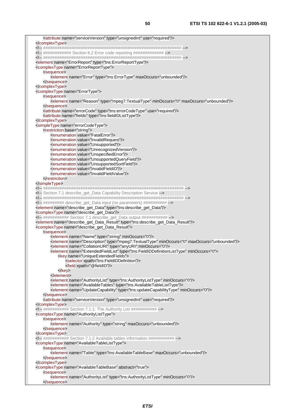|                                              | <attribute name="serviceVersion" type="unsignedInt" use="required"></attribute>                                                                           |
|----------------------------------------------|-----------------------------------------------------------------------------------------------------------------------------------------------------------|
|                                              |                                                                                                                                                           |
|                                              | ############# Section 6.2 Error code reporting ##############                                                                                             |
|                                              |                                                                                                                                                           |
|                                              | <element name="ErrorReport" type="tns:ErrorReportType"></element>                                                                                         |
|                                              | <complextype name="ErrorReportType"></complextype>                                                                                                        |
| <sequence></sequence>                        |                                                                                                                                                           |
|                                              | <element maxoccurs="unbounded" name="Error" type="tns:ErrorType"></element>                                                                               |
|                                              |                                                                                                                                                           |
|                                              |                                                                                                                                                           |
| <complextype name="ErrorType"></complextype> |                                                                                                                                                           |
| <sequence></sequence>                        |                                                                                                                                                           |
|                                              | <element maxoccurs="unbounded" minoccurs="0" name="Reason" type="mpeg7:TextualType"></element>                                                            |
|                                              |                                                                                                                                                           |
|                                              | <attribute name="errorCode" type="tns:errorCodeType" use="required"></attribute>                                                                          |
|                                              | <attribute name="fields" type="tns:fieldIDListType"></attribute>                                                                                          |
|                                              |                                                                                                                                                           |
| <restriction base="string"></restriction>    | <simpletype name="errorCodeType"></simpletype>                                                                                                            |
|                                              | <enumeration value="FatalError"></enumeration>                                                                                                            |
|                                              | <enumeration value="InvalidRequest"></enumeration>                                                                                                        |
|                                              | <enumeration value="Unsupported"></enumeration>                                                                                                           |
|                                              | <enumeration value="UnrecognizedVersion"></enumeration>                                                                                                   |
|                                              | <enumeration value="UnspecifiedError"></enumeration>                                                                                                      |
|                                              | <enumeration value="UnsupportedQueryField"></enumeration>                                                                                                 |
|                                              | <enumeration value="UnsupportedSortField"></enumeration>                                                                                                  |
|                                              | <enumeration value="InvalidFieldID"></enumeration>                                                                                                        |
|                                              | <enumeration value="InvalidFieldValue"></enumeration>                                                                                                     |
|                                              |                                                                                                                                                           |
|                                              |                                                                                                                                                           |
|                                              |                                                                                                                                                           |
|                                              | Section 7.1 describe_get_Data Capability Description Service                                                                                              |
|                                              |                                                                                                                                                           |
|                                              | ########## describe_get_Data input (no parameters) ##########                                                                                             |
|                                              | <element name="describe_get_Data" type="tns:describe_get_Data"></element>                                                                                 |
|                                              | <complextype name="describe_get_Data"></complextype>                                                                                                      |
|                                              | ############ Section 7.1 describe_get_Data output ############<br><element name="describe_get_Data_Result" type="tns:describe_get_Data_Result"></element> |
|                                              | <complextype name="describe_get_Data_Result"></complextype>                                                                                               |
| <sequence></sequence>                        |                                                                                                                                                           |
|                                              | <element minoccurs="0" name="Name" type="string"></element>                                                                                               |
|                                              | <element maxoccurs="unbounded" minoccurs="0" name="Description" type="mpeg7:TextualType"></element>                                                       |
|                                              | <element minoccurs="0" name="CollationURI" type="anyURI"></element>                                                                                       |
|                                              | <element minoccurs="0" name="ExtendedFieldList" type="tns:FieldIDDefinitionListType"></element>                                                           |
|                                              | <key name="UniqueExtendedFields"></key>                                                                                                                   |
|                                              | <selector xpath="tns:FieldIDDefinition"></selector>                                                                                                       |
|                                              | <field xpath="@fieldID"></field>                                                                                                                          |
|                                              |                                                                                                                                                           |
|                                              |                                                                                                                                                           |
|                                              | <element minoccurs="0" name="AuthorityList" type="tns:AuthorityListType"></element>                                                                       |
|                                              | <element name="AvailableTables" type="tns:AvailableTableListType"></element>                                                                              |
|                                              | <element minoccurs="0" name="UpdateCapability" type="tns:updateCapabilityType"></element>                                                                 |
|                                              |                                                                                                                                                           |
|                                              | <attribute name="serviceVersion" type="unsignedInt" use="required"></attribute>                                                                           |
|                                              |                                                                                                                                                           |
|                                              | ########### Section 7.1.1: The Authority List ###########                                                                                                 |
|                                              | <complextype name="AuthorityListType"></complextype>                                                                                                      |
| <sequence></sequence>                        | <element maxoccurs="unbounded" name="Authority" type="string"></element>                                                                                  |
|                                              |                                                                                                                                                           |
| <br>                                         |                                                                                                                                                           |
|                                              | ############ Section 7.1.2 Available tables information ############                                                                                      |
|                                              | <complextype name="AvailableTableListType"></complextype>                                                                                                 |
| <sequence></sequence>                        |                                                                                                                                                           |
|                                              | <element maxoccurs="unbounded" name="Table" type="tns:AvailableTableBase"></element>                                                                      |
|                                              |                                                                                                                                                           |
|                                              |                                                                                                                                                           |
|                                              | <complextype abstract="true" name="AvailableTableBase"></complextype>                                                                                     |
| <sequence></sequence>                        |                                                                                                                                                           |
|                                              | <element minoccurs="0" name="AuthorityList" type="tns:AuthorityListType"></element>                                                                       |
|                                              |                                                                                                                                                           |
|                                              |                                                                                                                                                           |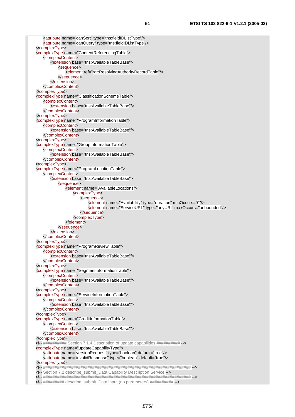<attribute name="canSort" type="tns:fieldIDListType"/> <attribute name="canQuery" type="tns:fieldIDListType"/> </complexType> <complexType name="ContentReferencingTable"> <complexContent> <extension base="tns:AvailableTableBase"> <sequence> <element ref="rar:ResolvingAuthorityRecordTable"/> </sequence> </extension> </complexContent> </complexType> <complexType name="ClassificationSchemeTable"> <complexContent> <extension base="tns:AvailableTableBase"/> </complexContent> </complexType> <complexType name="ProgramInformationTable"> <complexContent> <extension base="tns:AvailableTableBase"/> </complexContent> </complexType> <complexType name="GroupInformationTable"> <complexContent> <extension base="tns:AvailableTableBase"/> </complexContent> </complexType> <complexType name="ProgramLocationTable"> <complexContent> <extension base="tns:AvailableTableBase"> <sequence> <element name="AvailableLocations"> <complexType> <sequence> <element name="Availability" type="duration" minOccurs="0"/> <element name="ServiceURL" type="anyURI" maxOccurs="unbounded"/> </sequence> </complexType> </element> </sequence> </extension> </complexContent> </complexType> <complexType name="ProgramReviewTable"> <complexContent> <extension base="tns:AvailableTableBase"/> </complexContent> </complexType> <complexType name="SegmentInformationTable"> <complexContent> <extension base="tns:AvailableTableBase"/> </complexContent> </complexType> <complexType name="ServiceInformationTable"> <complexContent> <extension base="tns:AvailableTableBase"/> </complexContent> </complexType> <complexType name="CreditInformationTable"> <complexContent> <extension base="tns:AvailableTableBase"/> </complexContent> </complexType> <!-- ########## Section 7.1.4 Description of update capabilities ########## --> <complexType name="updateCapabilityType"> <attribute name="versionRequest" type="boolean" default="true"/> <attribute name="invalidResponse" type="boolean" default="true"/> </complexType> <!-- ############################################################### --> <!-- Section 7.2 describe\_submit\_Data Capability Description Service --> <!-- ############################################################### --> <!-- ######### describe\_submit\_Data input (no parameters) ########## -->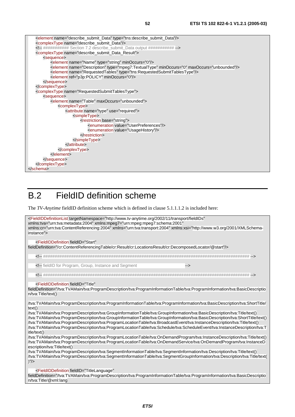<element name="describe\_submit\_Data" type="tns:describe\_submit\_Data"/> <complexType name="describe\_submit\_Data"/> <!-- ########### Section 7.2 describe\_submit\_Data output ########### --> <complexType name="describe\_submit\_Data\_Result"> <sequence> <element name="Name" type="string" minOccurs="0"/> <element name="Description" type="mpeg7:TextualType" minOccurs="0" maxOccurs="unbounded"/> <element name="RequestedTables" type="tns:RequestedSubmitTablesType"/> <element ref="p3p:POLICY" minOccurs="0"/> </sequence> </complexType> <complexType name="RequestedSubmitTablesType"> <sequence> <element name="Table" maxOccurs="unbounded"> <complexType> <attribute name="type" use="required"> <simpleType> <restriction base="string"> <enumeration value="UserPreferences"/> <enumeration value="UsageHistory"/> </restriction> </simpleType> </attribute> </complexType> </element> </sequence> </complexType> </schema>

## B.2 FieldID definition scheme

The *TV-Anytime* fieldID definition scheme which is defined in clause 5.1.1.1.2 is included here:

<FieldIDDefinitionList targetNamespace="http://www.tv-anytime.org/2002/11/transport/fieldIDs" xmlns:tva="urn:tva:metadata:2004" xmlns:mpeg7="urn:mpeg:mpeg7:schema:2001" xmlns:cr="urn:tva:ContentReferencing:2004" xmlns="urn:tva:transport:2004" xmlns:xsi="http://www.w3.org/2001/XMLSchemainstance"> <FieldIDDefinition fieldID="Start" fieldDefinition="/cr:ContentReferencingTable/cr:Result/cr:LocationsResult/cr:DecomposedLocator/@start"/> <!-- ######################################################################################## --> <!-- fieldID for Program, Group, Instance and Segment --> <!-- ######################################################################################## --> <FieldIDDefinition fieldID="Title" fieldDefinition="/tva:TVAMain/tva:ProgramDescription/tva:ProgramInformationTable/tva:ProgramInformation/tva:BasicDescriptio n/tva:Title/text() /tva:TVAMain/tva:ProgramDescription/tva:ProgramInformationTable/tva:ProgramInformation/tva:BasicDescription/tva:ShortTitle/ text()

/tva:TVAMain/tva:ProgramDescription/tva:GroupInformationTable/tva:GroupInformation/tva:BasicDescription/tva:Title/text() /tva:TVAMain/tva:ProgramDescription/tva:GroupInformationTable/tva:GroupInformation/tva:BasicDescription/tva:ShortTitle/text() /tva:TVAMain/tva:ProgramDescription/tva:ProgramLocationTable/tva:BroadcastEvent/tva:InstanceDescription/tva:Title/text() /tva:TVAMain/tva:ProgramDescription/tva:ProgramLocationTable/tva:Schedule/tva:ScheduleEvent/tva:InstanceDescription/tva:T itle/text()

/tva:TVAMain/tva:ProgramDescription/tva:ProgramLocationTable/tva:OnDemandProgram/tva:InstanceDescription/tva:Title/text() /tva:TVAMain/tva:ProgramDescription/tva:ProgramLocationTable/tva:OnDemandService/tva:OnDemandProgram/tva:InstanceD escription/tva:Title/text()

/tva:TVAMain/tva:ProgramDescription/tva:SegmentInformationTable/tva:SegmentInformation/tva:Description/tva:Title/text() /tva:TVAMain/tva:ProgramDescription/tva:SegmentInformationTable/tva:SegmentGroupInformation/tva:Description/tva:Title/text(  $)''$ />

<FieldIDDefinition fieldID="TitleLanguage"

fieldDefinition="/tva:TVAMain/tva:ProgramDescription/tva:ProgramInformationTable/tva:ProgramInformation/tva:BasicDescriptio n/tva:Title/@xml:lang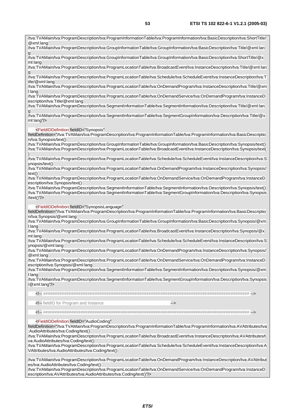/tva:TVAMain/tva:ProgramDescription/tva:ProgramInformationTable/tva:ProgramInformation/tva:BasicDescription/tva:ShortTitle/

/tva:TVAMain/tva:ProgramDescription/tva:GroupInformationTable/tva:GroupInformation/tva:BasicDescription/tva:Title/@xml:lan

@xml:lang

| g<br>/tva:TVAMain/tva:ProgramDescription/tva:GroupInformationTable/tva:GroupInformation/tva:BasicDescription/tva:ShortTitle/@x                                                                                                                            |
|-----------------------------------------------------------------------------------------------------------------------------------------------------------------------------------------------------------------------------------------------------------|
| ml:lang                                                                                                                                                                                                                                                   |
| /tva:TVAMain/tva:ProgramDescription/tva:ProgramLocationTable/tva:BroadcastEvent/tva:InstanceDescription/tva:Title/@xml:Ian                                                                                                                                |
| /tva:TVAMain/tva:ProgramDescription/tva:ProgramLocationTable/tva:Schedule/tva:ScheduleEvent/tva:InstanceDescription/tva:T<br>itle/@xml:lang                                                                                                               |
| /tva:TVAMain/tva:ProgramDescription/tva:ProgramLocationTable/tva:OnDemandProgram/tva:InstanceDescription/tva:Title/@xm<br>I:lang                                                                                                                          |
| /tva:TVAMain/tva:ProgramDescription/tva:ProgramLocationTable/tva:OnDemandService/tva:OnDemandProgram/tva:InstanceD<br>escription/tva:Title/@xml:lang                                                                                                      |
| /tva:TVAMain/tva:ProgramDescription/tva:SegmentInformationTable/tva:SegmentInformation/tva:Description/tva:Title/@xml:lan                                                                                                                                 |
| /tva:TVAMain/tva:ProgramDescription/tva:SegmentInformationTable/tva:SegmentGroupInformation/tva:Description/tva:Title/@x<br>$ml:lang'/\rangle$                                                                                                            |
| <fieldiddefinition <="" fieldid="Synopsis" td=""></fieldiddefinition>                                                                                                                                                                                     |
| fieldDefinition="/tva:TVAMain/tva:ProgramDescription/tva:ProgramInformationTable/tva:ProgramInformation/tva:BasicDescriptio<br>n/tva:Synopsis/text()                                                                                                      |
| /tva:TVAMain/tva:ProgramDescription/tva:GroupInformationTable/tva:GroupInformation/tva:BasicDescription/tva:Synopsis/text()<br>/tva:TVAMain/tva:ProgramDescription/tva:ProgramLocationTable/tva:BroadcastEvent/tva:InstanceDescription/tva:Synopsis/text( |
| /tva:TVAMain/tva:ProgramDescription/tva:ProgramLocationTable/tva:Schedule/tva:ScheduleEvent/tva:InstanceDescription/tva:S<br>ynopsis/text()                                                                                                               |
| /tva:TVAMain/tva:ProgramDescription/tva:ProgramLocationTable/tva:OnDemandProgram/tva:InstanceDescription/tva:Synopsis/<br>text()                                                                                                                          |
| /tva:TVAMain/tva:ProgramDescription/tva:ProgramLocationTable/tva:OnDemandService/tva:OnDemandProgram/tva:InstanceD<br>escription/tva:Synopsis/text()                                                                                                      |
| /tva:TVAMain/tva:ProgramDescription/tva:SegmentInformationTable/tva:SegmentInformation/tva:Description/tva:Synopsis/text()<br>/tva:TVAMain/tva:ProgramDescription/tva:SegmentInformationTable/tva:SegmentGroupInformation/tva:Description/tva:Synopsis    |
| /text()" $/$                                                                                                                                                                                                                                              |
| <fieldiddefinition <br="" fieldid="SynopsisLanguage">fieldDefinition="/tva:TVAMain/tva:ProgramDescription/tva:ProgramInformationTable/tva:ProgramInformation/tva:BasicDescriptio</fieldiddefinition>                                                      |
| n/tva:Synopsis/@xml:lang<br>/tva:TVAMain/tva:ProgramDescription/tva:GroupInformationTable/tva:GroupInformation/tva:BasicDescription/tva:Synopsis/@xm                                                                                                      |
| I:lang<br>/tva:TVAMain/tva:ProgramDescription/tva:ProgramLocationTable/tva:BroadcastEvent/tva:InstanceDescription/tva:Synopsis/@x                                                                                                                         |
| ml:lang<br>/tva:TVAMain/tva:ProgramDescription/tva:ProgramLocationTable/tva:Schedule/tva:ScheduleEvent/tva:InstanceDescription/tva:S                                                                                                                      |
| ynopsis/@xml:lang<br>/tva:TVAMain/tva:ProgramDescription/tva:ProgramLocationTable/tva:OnDemandProgram/tva:InstanceDescription/tva:Synopsis/                                                                                                               |
| @xml:lang<br>/tva:TVAMain/tva:ProgramDescription/tva:ProgramLocationTable/tva:OnDemandService/tva:OnDemandProgram/tva:InstanceD                                                                                                                           |
| escription/tva:Synopsis/@xml:lang<br>/tva:TVAMain/tva:ProgramDescription/tva:SegmentInformationTable/tva:SegmentInformation/tva:Description/tva:Synopsis/@xm                                                                                              |
| l:lang                                                                                                                                                                                                                                                    |
| /tva:TVAMain/tva:ProgramDescription/tva:SegmentInformationTable/tva:SegmentGroupInformation/tva:Description/tva:Synopsis<br>/@xml:lang"/>                                                                                                                 |
|                                                                                                                                                                                                                                                           |
| fieldID for Program and Instance<br>                                                                                                                                                                                                                      |
|                                                                                                                                                                                                                                                           |
| <fieldiddefinition <="" fieldid="AudioCoding" td=""></fieldiddefinition>                                                                                                                                                                                  |
| fieldDefinition="/tva:TVAMain/tva:ProgramDescription/tva:ProgramInformationTable/tva:ProgramInformation/tva:AVAttributes/tva<br>:AudioAttributes/tva:Coding/text()                                                                                        |
| /tva:TVAMain/tva:ProgramDescription/tva:ProgramLocationTable/tva:BroadcastEvent/tva:InstanceDescription/tva:AVAttributes/t                                                                                                                                |

va:AudioAttributes/tva:Coding/text() /tva:TVAMain/tva:ProgramDescription/tva:ProgramLocationTable/tva:Schedule/tva:ScheduleEvent/tva:InstanceDescription/tva:A VAttributes/tva:AudioAttributes/tva:Coding/text()

/tva:TVAMain/tva:ProgramDescription/tva:ProgramLocationTable/tva:OnDemandProgram/tva:InstanceDescription/tva:AVAttribut es/tva:AudioAttributes/tva:Coding/text()

/tva:TVAMain/tva:ProgramDescription/tva:ProgramLocationTable/tva:OnDemandService/tva:OnDemandProgram/tva:InstanceD escription/tva:AVAttributes/tva:AudioAttributes/tva:Coding/text()"/>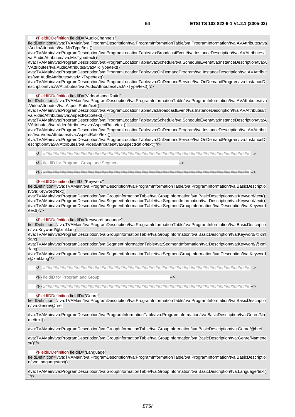<FieldIDDefinition fieldID="AudioChannels"

fieldDefinition="/tva:TVAMain/tva:ProgramDescription/tva:ProgramInformationTable/tva:ProgramInformation/tva:AVAttributes/tva :AudioAttributes/tva:MixType/text()

/tva:TVAMain/tva:ProgramDescription/tva:ProgramLocationTable/tva:BroadcastEvent/tva:InstanceDescription/tva:AVAttributes/t va:AudioAttributes/tva:MixType/text()

/tva:TVAMain/tva:ProgramDescription/tva:ProgramLocationTable/tva:Schedule/tva:ScheduleEvent/tva:InstanceDescription/tva:A VAttributes/tva:AudioAttributes/tva:MixType/text()

/tva:TVAMain/tva:ProgramDescription/tva:ProgramLocationTable/tva:OnDemandProgram/tva:InstanceDescription/tva:AVAttribut es/tva:AudioAttributes/tva:MixType/text()

/tva:TVAMain/tva:ProgramDescription/tva:ProgramLocationTable/tva:OnDemandService/tva:OnDemandProgram/tva:InstanceD escription/tva:AVAttributes/tva:AudioAttributes/tva:MixType/text()"/>

<FieldIDDefinition fieldID="VideoAspectRatio"

fieldDefinition="/tva:TVAMain/tva:ProgramDescription/tva:ProgramInformationTable/tva:ProgramInformation/tva:AVAttributes/tva :VideoAttributes/tva:AspectRatio/text()

/tva:TVAMain/tva:ProgramDescription/tva:ProgramLocationTable/tva:BroadcastEvent/tva:InstanceDescription/tva:AVAttributes/t va:VideoAttributes/tva:AspectRatio/text()

/tva:TVAMain/tva:ProgramDescription/tva:ProgramLocationTable/tva:Schedule/tva:ScheduleEvent/tva:InstanceDescription/tva:A VAttributes/tva:VideoAttributes/tva:AspectRatio/text()

/tva:TVAMain/tva:ProgramDescription/tva:ProgramLocationTable/tva:OnDemandProgram/tva:InstanceDescription/tva:AVAttribut es/tva:VideoAttributes/tva:AspectRatio/text()

/tva:TVAMain/tva:ProgramDescription/tva:ProgramLocationTable/tva:OnDemandService/tva:OnDemandProgram/tva:InstanceD escription/tva:AVAttributes/tva:VideoAttributes/tva:AspectRatio/text()"/>

<!-- ######################################################################################## -->

<!-- fieldID for Program, Group and Segment -->

<!-- ######################################################################################## -->

#### <FieldIDDefinition fieldID="Keyword"

fieldDefinition="/tva:TVAMain/tva:ProgramDescription/tva:ProgramInformationTable/tva:ProgramInformation/tva:BasicDescriptio n/tva:Keyword/text()

/tva:TVAMain/tva:ProgramDescription/tva:GroupInformationTable/tva:GroupInformation/tva:BasicDescription/tva:Keyword/text() /tva:TVAMain/tva:ProgramDescription/tva:SegmentInformationTable/tva:SegmentInformation/tva:Description/tva:Keyword/text() /tva:TVAMain/tva:ProgramDescription/tva:SegmentInformationTable/tva:SegmentGroupInformation/tva:Description/tva:Keyword /text()"/>

<FieldIDDefinition fieldID="KeywordLanguage"

fieldDefinition="/tva:TVAMain/tva:ProgramDescription/tva:ProgramInformationTable/tva:ProgramInformation/tva:BasicDescriptio n/tva:Keyword/@xml:lang

/tva:TVAMain/tva:ProgramDescription/tva:GroupInformationTable/tva:GroupInformation/tva:BasicDescription/tva:Keyword/@xml :lang

/tva:TVAMain/tva:ProgramDescription/tva:SegmentInformationTable/tva:SegmentInformation/tva:Description/tva:Keyword/@xml :lang

/tva:TVAMain/tva:ProgramDescription/tva:SegmentInformationTable/tva:SegmentGroupInformation/tva:Description/tva:Keyword /@xml:lang"/>

<!-- ######################################################################################## -->

<!-- fieldID for Program and Group -->

<!-- ######################################################################################## -->

<FieldIDDefinition fieldID="Genre"

fieldDefinition="/tva:TVAMain/tva:ProgramDescription/tva:ProgramInformationTable/tva:ProgramInformation/tva:BasicDescriptio n/tva:Genre/@href

/tva:TVAMain/tva:ProgramDescription/tva:ProgramInformationTable/tva:ProgramInformation/tva:BasicDescription/tva:Genre/Na me/text()

/tva:TVAMain/tva:ProgramDescription/tva:GroupInformationTable/tva:GroupInformation/tva:BasicDescription/tva:Genre/@href

/tva:TVAMain/tva:ProgramDescription/tva:GroupInformationTable/tva:GroupInformation/tva:BasicDescription/tva:Genre/Name/te xt()"/>

<FieldIDDefinition fieldID="Language"

fieldDefinition="/tva:TVAMain/tva:ProgramDescription/tva:ProgramInformationTable/tva:ProgramInformation/tva:BasicDescriptio n/tva:Language/text()

/tva:TVAMain/tva:ProgramDescription/tva:GroupInformationTable/tva:GroupInformation/tva:BasicDescription/tva:Language/text(  $)'$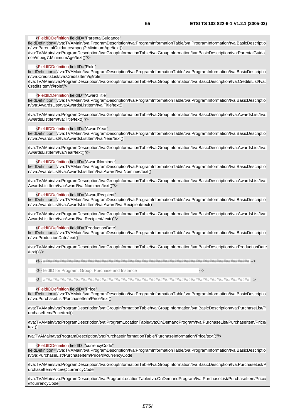fieldDefinition="/tva:TVAMain/tva:ProgramDescription/tva:ProgramInformationTable/tva:ProgramInformation/tva:BasicDescriptio n/tva:ParentalGuidance/mpeg7:MinimumAge/text() /tva:TVAMain/tva:ProgramDescription/tva:GroupInformationTable/tva:GroupInformation/tva:BasicDescription/tva:ParentalGuida nce/mpeg7:MinimumAge/text()"/> <FieldIDDefinition fieldID="Role" fieldDefinition="/tva:TVAMain/tva:ProgramDescription/tva:ProgramInformationTable/tva:ProgramInformation/tva:BasicDescriptio n/tva:CreditsList/tva:CreditsItem/@role /tva:TVAMain/tva:ProgramDescription/tva:GroupInformationTable/tva:GroupInformation/tva:BasicDescription/tva:CreditsList/tva: CreditsItem/@role"/> <FieldIDDefinition fieldID="AwardTitle" fieldDefinition="/tva:TVAMain/tva:ProgramDescription/tva:ProgramInformationTable/tva:ProgramInformation/tva:BasicDescriptio n/tva:AwardsList/tva:AwardsListItem/tva:Title/text() /tva:TVAMain/tva:ProgramDescription/tva:GroupInformationTable/tva:GroupInformation/tva:BasicDescription/tva:AwardsList/tva: AwardsListItem/tva:Title/text()"/> <FieldIDDefinition fieldID="AwardYear"

fieldDefinition="/tva:TVAMain/tva:ProgramDescription/tva:ProgramInformationTable/tva:ProgramInformation/tva:BasicDescriptio n/tva:AwardsList/tva:AwardsListItem/tva:Year/text()

/tva:TVAMain/tva:ProgramDescription/tva:GroupInformationTable/tva:GroupInformation/tva:BasicDescription/tva:AwardsList/tva: AwardsListItem/tva:Year/text()"/>

<FieldIDDefinition fieldID="AwardNominee"

<FieldIDDefinition fieldID="ParentalGuidance"

fieldDefinition="/tva:TVAMain/tva:ProgramDescription/tva:ProgramInformationTable/tva:ProgramInformation/tva:BasicDescriptio n/tva:AwardsList/tva:AwardsListItem/tva:Award/tva:Nominee/text()

/tva:TVAMain/tva:ProgramDescription/tva:GroupInformationTable/tva:GroupInformation/tva:BasicDescription/tva:AwardsList/tva: AwardsListItem/tva:Award/tva:Nominee/text()"/>

<FieldIDDefinition fieldID="AwardRecpient"

fieldDefinition="/tva:TVAMain/tva:ProgramDescription/tva:ProgramInformationTable/tva:ProgramInformation/tva:BasicDescriptio n/tva:AwardsList/tva:AwardsListItem/tva:Award/tva:Recipient/text()

/tva:TVAMain/tva:ProgramDescription/tva:GroupInformationTable/tva:GroupInformation/tva:BasicDescription/tva:AwardsList/tva: AwardsListItem/tva:Award/tva:Recipient/text()"/>

<FieldIDDefinition fieldID="ProductionDate"

fieldDefinition="/tva:TVAMain/tva:ProgramDescription/tva:ProgramInformationTable/tva:ProgramInformation/tva:BasicDescriptio n/tva:ProductionDate/text()

/tva:TVAMain/tva:ProgramDescription/tva:GroupInformationTable/tva:GroupInformation/tva:BasicDescription/tva:ProductionDate /text()"/>

<!-- ######################################################################################## -->

<!-- feldID for Program, Group, Purchase and Instance -->

<!-- ######################################################################################## -->

#### <FieldIDDefinition fieldID="Price"

fieldDefinition="/tva:TVAMain/tva:ProgramDescription/tva:ProgramInformationTable/tva:ProgramInformation/tva:BasicDescriptio n/tva:PurchaseList/PurchaseItem/Price/text()

/tva:TVAMain/tva:ProgramDescription/tva:GroupInformationTable/tva:GroupInformation/tva:BasicDescription/tva:PurchaseList/P urchaseItem/Price/text()

/tva:TVAMain/tva:ProgramDescription/tva:ProgramLocationTable/tva:OnDemandProgram/tva:PurchaseList/PurchaseItem/Price/ text()

tva:TVAMain/tva:ProgramDescription/tva:PurchaseInformationTable/PurchaseInformation/Price/text()"/>

<FieldIDDefinition fieldID="currencyCode"

fieldDefinition="/tva:TVAMain/tva:ProgramDescription/tva:ProgramInformationTable/tva:ProgramInformation/tva:BasicDescriptio n/tva:PurchaseList/PurchaseItem/Price/@currencyCode

/tva:TVAMain/tva:ProgramDescription/tva:GroupInformationTable/tva:GroupInformation/tva:BasicDescription/tva:PurchaseList/P urchaseItem/Price/@currencyCode

/tva:TVAMain/tva:ProgramDescription/tva:ProgramLocationTable/tva:OnDemandProgram/tva:PurchaseList/PurchaseItem/Price/ @currencyCode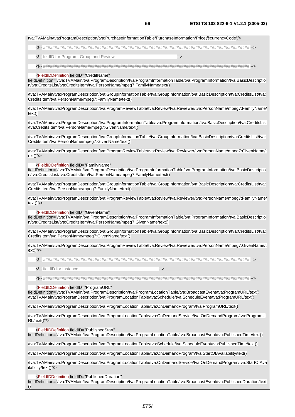

fieldDefinition="/tva:TVAMain/tva:ProgramDescription/tva:ProgramLocationTable/tva:BroadcastEvent/tva:PublishedDuration/text ()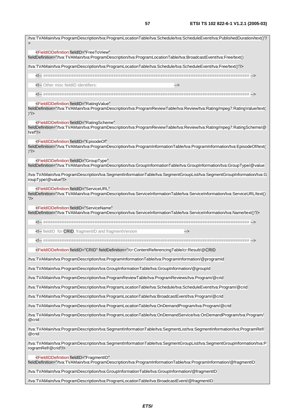/tva:TVAMain/tva:ProgramDescription/tva:ProgramLocationTable/tva:Schedule/tva:ScheduleEvent/tva:PublishedDuration/text()"/ > <FieldIDDefinition fieldID="FreeToView" fieldDefinition="/tva:TVAMain/tva:ProgramDescription/tva:ProgramLocationTable/tva:BroadcastEvent/tva:Free/text() /tva:TVAMain/tva:ProgramDescription/tva:ProgramLocationTable/tva:Schedule/tva:ScheduleEvent/tva:Free/text()"/> <!-- ######################################################################################## --> <!-- Other misc fieldID identifiers: <!-- ######################################################################################## --> <FieldIDDefinition fieldID="RatingValue" fieldDefinition="/tva:TVAMain/tva:ProgramDescription/tva:ProgramReviewTable/tva:Review/tva:Rating/mpeg7:RatingValue/text(  $)$ "/ $>$  <FieldIDDefinition fieldID="RatingScheme" fieldDefinition="/tva:TVAMain/tva:ProgramDescription/tva:ProgramReviewTable/tva:Review/tva:Rating/mpeg7:RatingScheme/@ href"/> <FieldIDDefinition fieldID="EpisodeOf" fieldDefinition="/tva:TVAMain/tva:ProgramDescription/tva:ProgramInformationTable/tva:ProgramInformation/tva:EpisodeOf/text(  $)$ "/> <FieldIDDefinition fieldID="GroupType" fieldDefinition="/tva:TVAMain/tva:ProgramDescription/tva:GroupInformationTable/tva:GroupInformation/tva:GroupType/@value /tva:TVAMain/tva:ProgramDescription/tva:SegmentInformationTable/tva:SegmentGroupList/tva:SegmentGroupInformation/tva:G roupType/@value"/> <FieldIDDefinition fieldID="ServiceURL" fieldDefinition="/tva:TVAMain/tva:ProgramDescription/tva:ServiceInformationTable/tva:ServiceInformation/tva:ServiceURL/text() "/> <FieldIDDefinition fieldID="ServiceName" fieldDefinition="/tva:TVAMain/tva:ProgramDescription/tva:ServiceInformationTable/tva:ServiceInformation/tva:Name/text()"/> <!-- ######################################################################################## --> <!-- fieldID for CRID, fragmentID and fragmentVersion --> <!-- ######################################################################################## --> <FieldIDDefinition fieldID="CRID" fieldDefinition="/cr:ContentReferencingTable/cr:Result/@CRID /tva:TVAMain/tva:ProgramDescription/tva:ProgramInformationTable/tva:ProgramInformation/@programId /tva:TVAMain/tva:ProgramDescription/tva:GroupInformationTable/tva:GroupInformation/@groupId /tva:TVAMain/tva:ProgramDescription/tva:ProgramReviewTable/tva:ProgramReviews/tva:Program/@crid /tva:TVAMain/tva:ProgramDescription/tva:ProgramLocationTable/tva:Schedule/tva:ScheduleEvent/tva:Program/@crid /tva:TVAMain/tva:ProgramDescription/tva:ProgramLocationTable/tva:BroadcastEvent/tva:Program/@crid /tva:TVAMain/tva:ProgramDescription/tva:ProgramLocationTable/tva:OnDemandProgram/tva:Program/@crid /tva:TVAMain/tva:ProgramDescription/tva:ProgramLocationTable/tva:OnDemandService/tva:OnDemandProgram/tva:Program/ @crid /tva:TVAMain/tva:ProgramDescription/tva:SegmentInformationTable/tva:SegmentList/tva:SegmentInformation/tva:ProgramRef/ @crid /tva:TVAMain/tva:ProgramDescription/tva:SegmentInformationTable/tva:SegmentGroupList/tva:SegmentGroupInformation/tva:P rogramRef/@crid"/> <FieldIDDefinition fieldID="FragmentID" fieldDefinition="/tva:TVAMain/tva:ProgramDescription/tva:ProgramInformationTable/tva:ProgramInformation/@fragmentID

/tva:TVAMain/tva:ProgramDescription/tva:GroupInformationTable/tva:GroupInformation/@fragmentID

/tva:TVAMain/tva:ProgramDescription/tva:ProgramLocationTable/tva:BroadcastEvent/@fragmentID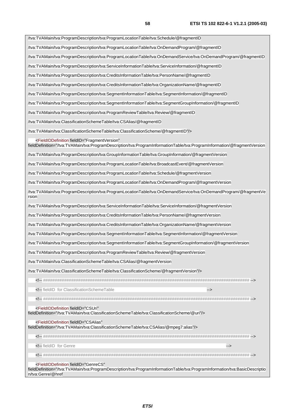| /tva:TVAMain/tva:ProgramDescription/tva:ProgramLocationTable/tva:Schedule/@fragmentID                                                                                                                             |
|-------------------------------------------------------------------------------------------------------------------------------------------------------------------------------------------------------------------|
|                                                                                                                                                                                                                   |
| /tva:TVAMain/tva:ProgramDescription/tva:ProgramLocationTable/tva:OnDemandProgram/@fragmentID                                                                                                                      |
| /tva:TVAMain/tva:ProgramDescription/tva:ProgramLocationTable/tva:OnDemandService/tva:OnDemandProgram/@fragmentID                                                                                                  |
| /tva:TVAMain/tva:ProgramDescription/tva:ServiceInformationTable/tva:ServiceInformation/@fragmentID                                                                                                                |
| /tva:TVAMain/tva:ProgramDescription/tva:CreditsInformationTable/tva:PersonName/@fragmentID                                                                                                                        |
| /tva:TVAMain/tva:ProgramDescription/tva:CreditsInformationTable/tva:OrganizationName/@fragmentID                                                                                                                  |
| /tva:TVAMain/tva:ProgramDescription/tva:SegmentInformationTable/tva:SegmentInformation/@fragmentID                                                                                                                |
| /tva:TVAMain/tva:ProgramDescription/tva:SegmentInformationTable/tva:SegmentGroupInformation/@fragmentID                                                                                                           |
| /tva:TVAMain/tva:ProgramDescription/tva:ProgramReviewTable/tva:Review/@fragmentID                                                                                                                                 |
| /tva:TVAMain/tva:ClassificationSchemeTable/tva:CSAlias/@fragmentID                                                                                                                                                |
| /tva:TVAMain/tva:ClassificationSchemeTable/tva:ClassificationScheme/@fragmentID"/>                                                                                                                                |
| <fieldiddefinition <br="" fieldid="FragmentVersion">fieldDefinition="/tva:TVAMain/tva:ProgramDescription/tva:ProgramInformationTable/tva:ProgramInformation/@fragmentVersion</fieldiddefinition>                  |
| /tva:TVAMain/tva:ProgramDescription/tva:GroupInformationTable/tva:GroupInformation/@fragmentVersion                                                                                                               |
| /tva:TVAMain/tva:ProgramDescription/tva:ProgramLocationTable/tva:BroadcastEvent/@fragmentVersion                                                                                                                  |
| /tva:TVAMain/tva:ProgramDescription/tva:ProgramLocationTable/tva:Schedule/@fragmentVersion                                                                                                                        |
| /tva:TVAMain/tva:ProgramDescription/tva:ProgramLocationTable/tva:OnDemandProgram/@fragmentVersion                                                                                                                 |
| /tva:TVAMain/tva:ProgramDescription/tva:ProgramLocationTable/tva:OnDemandService/tva:OnDemandProgram/@fragmentVe<br>rsion                                                                                         |
| /tva:TVAMain/tva:ProgramDescription/tva:ServiceInformationTable/tva:ServiceInformation/@fragmentVersion                                                                                                           |
| /tva:TVAMain/tva:ProgramDescription/tva:CreditsInformationTable/tva:PersonName/@fragmentVersion                                                                                                                   |
| /tva:TVAMain/tva:ProgramDescription/tva:CreditsInformationTable/tva:OrganizationName/@fragmentVersion                                                                                                             |
| /tva:TVAMain/tva:ProgramDescription/tva:SegmentInformationTable/tva:SegmentInformation/@fragmentVersion                                                                                                           |
| /tva:TVAMain/tva:ProgramDescription/tva:SegmentInformationTable/tva:SegmentGroupInformation/@fragmentVersion                                                                                                      |
| /tva:TVAMain/tva:ProgramDescription/tva:ProgramReviewTable/tva:Review/@fragmentVersion                                                                                                                            |
| /tva:TVAMain/tva:ClassificationSchemeTable/tva:CSAlias/@fragmentVersion                                                                                                                                           |
| /tva:TVAMain/tva:ClassificationSchemeTable/tva:ClassificationScheme/@fragmentVersion"/>                                                                                                                           |
|                                                                                                                                                                                                                   |
| fieldID for ClassificationSchemeTable<br>                                                                                                                                                                         |
| ###############################                                                                                                                                                                                   |
| <fieldiddefinition <br="" fieldid="CSUri">fieldDefinition="/tva:TVAMain/tva:ClassificationSchemeTable/tva:ClassificationScheme/@uri"/&gt;</fieldiddefinition>                                                     |
| <fieldiddefinition <br="" fieldid="CSAlias">fieldDefinition="/tva:TVAMain/tva:ClassificationSchemeTable/tva:CSAlias/@mpeg7:alias"/&gt;</fieldiddefinition>                                                        |
|                                                                                                                                                                                                                   |
| fieldID for Genre<br>                                                                                                                                                                                             |
|                                                                                                                                                                                                                   |
| <fieldiddefinition <br="" fieldid="GenreCS">fieldDefinition="/tva:TVAMain/tva:ProgramDescription/tva:ProgramInformationTable/tva:ProgramInformation/tva:BasicDescriptio<br/>n/tva:Genre/@href</fieldiddefinition> |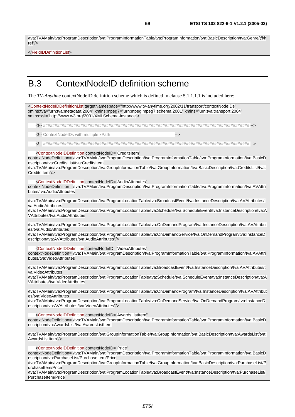/tva:TVAMain/tva:ProgramDescription/tva:ProgramInformationTable/tva:ProgramInformation/tva:BasicDescription/tva:Genre/@h ref"/>

</FieldIDDefinitionList>

#### B.3 ContextNodeID definition scheme

The *TV-Anytime* contextNodeID definition scheme which is defined in clause 5.1.1.1.1 is included here:

<ContextNodeIDDefinitionList targetNamespace="http://www.tv-anytime.org/2002/11/transport/contextNodeIDs" xmlns:tva="urn:tva:metadata:2004" xmlns:mpeg7="urn:mpeg:mpeg7:schema:2001" xmlns="urn:tva:transport:2004" xmlns:xsi="http://www.w3.org/2001/XMLSchema-instance"> <!-- ######################################################################################## --> <!-- ContextNodeIDs with multiple xPath --> <!-- ######################################################################################## --> <ContextNodeIDDefinition contextNodeID="CreditsItem" contextNodeDefinition="/tva:TVAMain/tva:ProgramDescription/tva:ProgramInformationTable/tva:ProgramInformation/tva:BasicD escription/tva:CreditsList/tva:CreditsItem /tva:TVAMain/tva:ProgramDescription/tva:GroupInformationTable/tva:GroupInformation/tva:BasicDescription/tva:CreditsList/tva: CreditsItem"/> <ContextNodeIDDefinition contextNodeID="AudioAttributes" contextNodeDefinition="/tva:TVAMain/tva:ProgramDescription/tva:ProgramInformationTable/tva:ProgramInformation/tva:AVAttri butes/tva:AudioAttributes /tva:TVAMain/tva:ProgramDescription/tva:ProgramLocationTable/tva:BroadcastEvent/tva:InstanceDescription/tva:AVAttributes/t va:AudioAttributes /tva:TVAMain/tva:ProgramDescription/tva:ProgramLocationTable/tva:Schedule/tva:ScheduleEvent/tva:InstanceDescription/tva:A VAttributes/tva:AudioAttributes /tva:TVAMain/tva:ProgramDescription/tva:ProgramLocationTable/tva:OnDemandProgram/tva:InstanceDescription/tva:AVAttribut es/tva:AudioAttributes /tva:TVAMain/tva:ProgramDescription/tva:ProgramLocationTable/tva:OnDemandService/tva:OnDemandProgram/tva:InstanceD escription/tva:AVAttributes/tva:AudioAttributes"/> <ContextNodeIDDefinition contextNodeID="VideoAttributes" contextNodeDefinition="/tva:TVAMain/tva:ProgramDescription/tva:ProgramInformationTable/tva:ProgramInformation/tva:AVAttri butes/tva:VideoAttributes /tva:TVAMain/tva:ProgramDescription/tva:ProgramLocationTable/tva:BroadcastEvent/tva:InstanceDescription/tva:AVAttributes/t va:VideoAttributes /tva:TVAMain/tva:ProgramDescription/tva:ProgramLocationTable/tva:Schedule/tva:ScheduleEvent/tva:InstanceDescription/tva:A VAttributes/tva:VideoAttributes /tva:TVAMain/tva:ProgramDescription/tva:ProgramLocationTable/tva:OnDemandProgram/tva:InstanceDescription/tva:AVAttribut es/tva:VideoAttributes /tva:TVAMain/tva:ProgramDescription/tva:ProgramLocationTable/tva:OnDemandService/tva:OnDemandProgram/tva:InstanceD escription/tva:AVAttributes/tva:VideoAttributes"/> <ContextNodeIDDefinition contextNodeID="AwardsListItem" contextNodeDefinition="/tva:TVAMain/tva:ProgramDescription/tva:ProgramInformationTable/tva:ProgramInformation/tva:BasicD escription/tva:AwardsList/tva:AwardsListItem

/tva:TVAMain/tva:ProgramDescription/tva:GroupInformationTable/tva:GroupInformation/tva:BasicDescription/tva:AwardsList/tva: AwardsListItem"/>

<ContextNodeIDDefinition contextNodeID="Price"

contextNodeDefinition="/tva:TVAMain/tva:ProgramDescription/tva:ProgramInformationTable/tva:ProgramInformation/tva:BasicD escription/tva:PurchaseList/PurchaseItem/Price

/tva:TVAMain/tva:ProgramDescription/tva:GroupInformationTable/tva:GroupInformation/tva:BasicDescription/tva:PurchaseList/P urchaseItem/Price

/tva:TVAMain/tva:ProgramDescription/tva:ProgramLocationTable/tva:BroadcastEvent/tva:InstanceDescription/tva:PurchaseList/ PurchaseItem/Price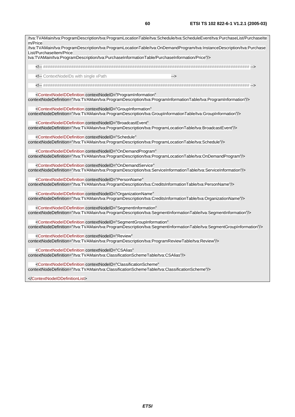| m/Price                                                                                                                                                                                                                                 | /tva:TVAMain/tva:ProgramDescription/tva:ProgramLocationTable/tva:Schedule/tva:ScheduleEvent/tva:PurchaseList/PurchaseIte |
|-----------------------------------------------------------------------------------------------------------------------------------------------------------------------------------------------------------------------------------------|--------------------------------------------------------------------------------------------------------------------------|
| List/PurchaseItem/Price                                                                                                                                                                                                                 | /tva:TVAMain/tva:ProgramDescription/tva:ProgramLocationTable/tva:OnDemandProgram/tva:InstanceDescription/tva:Purchase    |
| tva:TVAMain/tva:ProgramDescription/tva:PurchaseInformationTable/PurchaseInformation/Price"/>                                                                                                                                            |                                                                                                                          |
|                                                                                                                                                                                                                                         |                                                                                                                          |
| ContextNodelDs with single xPath</td><th>                                                                                                                                                                                               |                                                                                                                          |
|                                                                                                                                                                                                                                         |                                                                                                                          |
| <contextnodelddefinition <="" contextnodeid="ProgramInformation" td=""><th>contextNodeDefinition="/tva:TVAMain/tva:ProgramDescription/tva:ProgramInformationTable/tva:ProgramInformation"/&gt;</th></contextnodelddefinition>           | contextNodeDefinition="/tva:TVAMain/tva:ProgramDescription/tva:ProgramInformationTable/tva:ProgramInformation"/>         |
| <contextnodeiddefinition <="" contextnodeid="GroupInformation" td=""><th>contextNodeDefinition="/tva:TVAMain/tva:ProgramDescription/tva:GroupInformationTable/tva:GroupInformation"/&gt;</th></contextnodeiddefinition>                 | contextNodeDefinition="/tva:TVAMain/tva:ProgramDescription/tva:GroupInformationTable/tva:GroupInformation"/>             |
| <contextnodeiddefinition <="" contextnodeid="BroadcastEvent" td=""><th>contextNodeDefinition="/tva:TVAMain/tva:ProgramDescription/tva:ProgramLocationTable/tva:BroadcastEvent"/&gt;</th></contextnodeiddefinition>                      | contextNodeDefinition="/tva:TVAMain/tva:ProgramDescription/tva:ProgramLocationTable/tva:BroadcastEvent"/>                |
| <contextnodelddefinition <="" contextnodeld="Schedule" td=""><th>contextNodeDefinition="/tva:TVAMain/tva:ProgramDescription/tva:ProgramLocationTable/tva:Schedule"/&gt;</th></contextnodelddefinition>                                  | contextNodeDefinition="/tva:TVAMain/tva:ProgramDescription/tva:ProgramLocationTable/tva:Schedule"/>                      |
| <contextnodelddefinition <="" contextnodeld="OnDemandProgram" td=""><th>contextNodeDefinition="/tva:TVAMain/tva:ProgramDescription/tva:ProgramLocationTable/tva:OnDemandProgram"/&gt;</th></contextnodelddefinition>                    | contextNodeDefinition="/tva:TVAMain/tva:ProgramDescription/tva:ProgramLocationTable/tva:OnDemandProgram"/>               |
| <contextnodelddefinition <="" contextnodeld="OnDemandService" td=""><th>contextNodeDefinition="/tva:TVAMain/tva:ProgramDescription/tva:ServiceInformationTable/tva:ServiceInformation"/&gt;</th></contextnodelddefinition>              | contextNodeDefinition="/tva:TVAMain/tva:ProgramDescription/tva:ServiceInformationTable/tva:ServiceInformation"/>         |
| <contextnodeiddefinition <="" contextnodeid="PersonName" td=""><th>contextNodeDefinition="/tva:TVAMain/tva:ProgramDescription/tva:CreditsInformationTable/tva:PersonName"/&gt;</th></contextnodeiddefinition>                           | contextNodeDefinition="/tva:TVAMain/tva:ProgramDescription/tva:CreditsInformationTable/tva:PersonName"/>                 |
| <contextnodeiddefinition <="" contextnodeid="OrganizationName" td=""><th>contextNodeDefinition="/tva:TVAMain/tva:ProgramDescription/tva:CreditsInformationTable/tva:OrganizationName"/&gt;</th></contextnodeiddefinition>               | contextNodeDefinition="/tva:TVAMain/tva:ProgramDescription/tva:CreditsInformationTable/tva:OrganizationName"/>           |
| <contextnodelddefinition <="" contextnodeid="SegmentInformation" td=""><th>contextNodeDefinition="/tva:TVAMain/tva:ProgramDescription/tva:SegmentInformationTable/tva:SegmentInformation"/&gt;</th></contextnodelddefinition>           | contextNodeDefinition="/tva:TVAMain/tva:ProgramDescription/tva:SegmentInformationTable/tva:SegmentInformation"/>         |
| <contextnodelddefinition <="" contextnodeid="SegmentGroupInformation" td=""><th>contextNodeDefinition="/tva:TVAMain/tva:ProgramDescription/tva:SegmentInformationTable/tva:SegmentGroupInformation"/&gt;</th></contextnodelddefinition> | contextNodeDefinition="/tva:TVAMain/tva:ProgramDescription/tva:SegmentInformationTable/tva:SegmentGroupInformation"/>    |
| <contextnodeiddefinition <="" contextnodeid="Review" td=""><th>contextNodeDefinition="/tva:TVAMain/tva:ProgramDescription/tva:ProgramReviewTable/tva:Review"/&gt;</th></contextnodeiddefinition>                                        | contextNodeDefinition="/tva:TVAMain/tva:ProgramDescription/tva:ProgramReviewTable/tva:Review"/>                          |
| <contextnodeiddefinition <br="" contextnodeid="CSAlias">contextNodeDefinition="/tva:TVAMain/tva:ClassificationSchemeTable/tva:CSAlias"/&gt;</contextnodeiddefinition>                                                                   |                                                                                                                          |
| <contextnodeiddefinition <br="" contextnodeid="ClassificationScheme">contextNodeDefinition="/tva:TVAMain/tva:ClassificationSchemeTable/tva:ClassificationScheme"/&gt;</contextnodeiddefinition>                                         |                                                                                                                          |
|                                                                                                                                                                                                                                         |                                                                                                                          |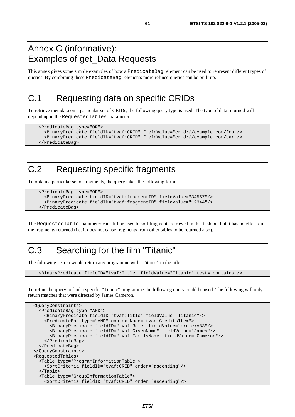#### Annex C (informative): Examples of get\_Data Requests

This annex gives some simple examples of how a PredicateBag element can be used to represent different types of queries. By combining these PredicateBag elements more refined queries can be built up.

## C.1 Requesting data on specific CRIDs

To retrieve metadata on a particular set of CRIDs, the following query type is used. The type of data returned will depend upon the RequestedTables parameter.

```
 <PredicateBag type="OR"> 
   <BinaryPredicate fieldID="tvaf:CRID" fieldValue="crid://example.com/foo"/> 
   <BinaryPredicate fieldID="tvaf:CRID" fieldValue="crid://example.com/bar"/> 
 </PredicateBag>
```
## C.2 Requesting specific fragments

To obtain a particular set of fragments, the query takes the following form.

```
 <PredicateBag type="OR"> 
   <BinaryPredicate fieldID="tvaf:fragmentID" fieldValue="34567"/> 
   <BinaryPredicate fieldID="tvaf:fragmentID" fieldValue="12344"/> 
 </PredicateBag>
```
The RequestedTable parameter can still be used to sort fragments retrieved in this fashion, but it has no effect on the fragments returned (i.e. it does not cause fragments from other tables to be returned also).

## C.3 Searching for the film "Titanic"

The following search would return any programme with "Titanic" in the title.

<BinaryPredicate fieldID="tvaf:Title" fieldValue="Titanic" test="contains"/>

To refine the query to find a specific "Titanic" programme the following query could be used. The following will only return matches that were directed by James Cameron.

```
 <QueryConstraints> 
   <PredicateBag type="AND"> 
     <BinaryPredicate fieldID="tvaf:Title" fieldValue="Titanic"/> 
     <PredicateBag type="AND" contextNode="tvac:CreditsItem"> 
       <BinaryPredicate fieldID="tvaf:Role" fieldValue=":role:V83"/> 
       <BinaryPredicate fieldID="tvaf:GivenName" fieldValue="James"/> 
       <BinaryPredicate fieldID="tvaf:FamilyName" fieldValue="Cameron"/> 
     </PredicateBag> 
  </PredicateBag> 
 </QueryConstraints> 
 <RequestedTables> 
   <Table type="ProgramInformationTable"> 
     <SortCriteria fieldID="tvaf:CRID" order="ascending"/> 
   </Table> 
   <Table type="GroupInformationTable"> 
     <SortCriteria fieldID="tvaf:CRID" order="ascending"/>
```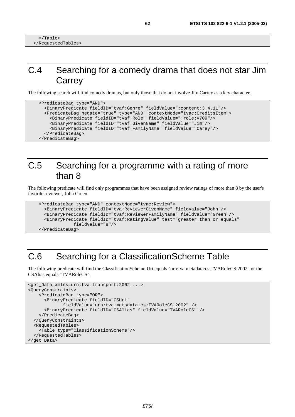## C.4 Searching for a comedy drama that does not star Jim **Carrey**

The following search will find comedy dramas, but only those that do not involve Jim Carrey as a key character.

```
 <PredicateBag type="AND"> 
   <BinaryPredicate fieldID="tvaf:Genre" fieldValue=":content:3.4.11"/> 
   <PredicateBag negate="true" type="AND" contextNode="tvac:CreditsItem"> 
     <BinaryPredicate fieldID="tvaf:Role" fieldValue=":role:V709"/> 
     <BinaryPredicate fieldID="tvaf:GivenName" fieldValue="Jim"/> 
     <BinaryPredicate fieldID="tvaf:FamilyName" fieldValue="Carey"/> 
   </PredicateBag> 
 </PredicateBag>
```
#### C.5 Searching for a programme with a rating of more than 8

The following predicate will find only programmes that have been assigned review ratings of more than 8 by the user's favorite reviewer, John Green.

```
 <PredicateBag type="AND" contextNode="tvac:Review"> 
   <BinaryPredicate fieldID="tva:ReviewerGivenName" fieldValue="John"/> 
   <BinaryPredicate fieldID="tvaf:ReviewerFamilyName" fieldValue="Green"/> 
   <BinaryPredicate fieldID="tvaf:RatingValue" test="greater_than_or_equals" 
              fieldValue="8"/> 
 </PredicateBag>
```
## C.6 Searching for a ClassificationScheme Table

The following predicate will find the ClassificationScheme Uri equals "urn:tva:metadata:cs:TVARoleCS:2002" or the CSAlias equals "TVARoleCS".

```
<get_Data xmlns=urn:tva:transport:2002 ...> 
<QueryConstraints> 
     <PredicateBag type="OR"> 
       <BinaryPredicate fieldID="CSUri" 
              fieldValue="urn:tva:metadata:cs:TVARoleCS:2002" /> 
       <BinaryPredicate fieldID="CSAlias" fieldValue="TVARoleCS" /> 
     </PredicateBag> 
   </QueryConstraints> 
   <RequestedTables> 
     <Table type="ClassificationScheme"/> 
   </RequestedTables> 
</get_Data>
```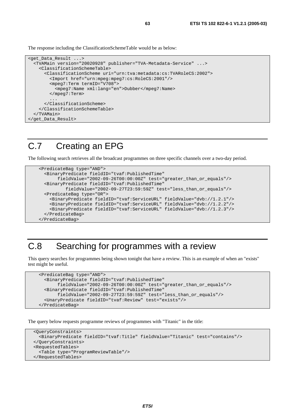The response including the ClassificationSchemeTable would be as below:

```
<get_Data_Result ...> 
   <TVAMain version="20020928" publisher="TVA-Metadata-Service" ...> 
     <ClassificationSchemeTable> 
       <ClassificationScheme uri="urn:tva:metadata:cs:TVARoleCS:2002"> 
         <Import href="urn:mpeg:mpeg7:cs:RoleCS:2001"/> 
         <mpeg7:Term termID="V708"> 
           <mpeg7:Name xml:lang="en">Dubber</mpeg7:Name> 
         </mpeg7:Term> 
 ... 
       </ClassificationScheme> 
     </ClassificationSchemeTable> 
   </TVAMain> 
</get_Data_Result>
```
#### C.7 Creating an EPG

The following search retrieves all the broadcast programmes on three specific channels over a two-day period.

```
 <PredicateBag type="AND"> 
   <BinaryPredicate fieldID="tvaf:PublishedTime" 
        fieldValue="2002-09-26T00:00:00Z" test="greater_than_or_equals"/> 
   <BinaryPredicate fieldID="tvaf:PublishedTime" 
           fieldValue="2002-09-27T23:59:59Z" test="less_than_or_equals"/> 
   <PredicateBag type="OR"> 
     <BinaryPredicate fieldID="tvaf:ServiceURL" fieldValue="dvb://1.2.1"/> 
     <BinaryPredicate fieldID="tvaf:ServiceURL" fieldValue="dvb://1.2.2"/> 
     <BinaryPredicate fieldID="tvaf:ServiceURL" fieldValue="dvb://1.2.3"/> 
   </PredicateBag> 
 </PredicateBag>
```
#### C.8 Searching for programmes with a review

This query searches for programmes being shown tonight that have a review. This is an example of when an "exists" test might be useful.

```
 <PredicateBag type="AND"> 
   <BinaryPredicate fieldID="tvaf:PublishedTime" 
        fieldValue="2002-09-26T00:00:00Z" test="greater_than_or_equals"/> 
   <BinaryPredicate fieldID="tvaf:PublishedTime" 
        fieldValue="2002-09-27T23:59:59Z" test="less_than_or_equals"/> 
   <UnaryPredicate fieldID="tvaf:Review" test="exists"/> 
 </PredicateBag>
```
The query below requests programme reviews of programmes with "Titanic" in the title:

```
 <QueryConstraints> 
   <BinaryPredicate fieldID="tvaf:Title" fieldValue="Titanic" test="contains"/> 
 </QueryConstraints> 
 <RequestedTables> 
   <Table type="ProgramReviewTable"/> 
 </RequestedTables>
```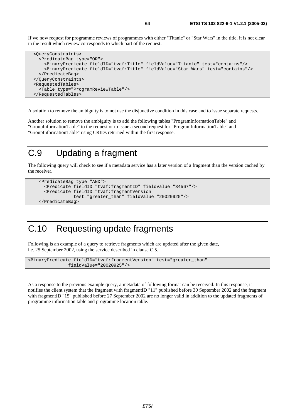If we now request for programme reviews of programmes with either "Titanic" or "Star Wars" in the title, it is not clear in the result which review corresponds to which part of the request.

```
 <QueryConstraints> 
   <PredicateBag type="OR"> 
     <BinaryPredicate fieldID="tvaf:Title" fieldValue="Titanic" test="contains"/> 
     <BinaryPredicate fieldID="tvaf:Title" fieldValue="Star Wars" test="contains"/> 
   </PredicateBag> 
 </QueryConstraints> 
 <RequestedTables> 
   <Table type="ProgramReviewTable"/> 
 </RequestedTables>
```
A solution to remove the ambiguity is to not use the disjunctive condition in this case and to issue separate requests.

Another solution to remove the ambiguity is to add the following tables "ProgramInformationTable" and "GroupInformationTable" to the request or to issue a second request for "ProgramInformationTable" and "GroupInformationTable" using CRIDs returned within the first response.

#### C.9 Updating a fragment

The following query will check to see if a metadata service has a later version of a fragment than the version cached by the receiver.

```
 <PredicateBag type="AND"> 
   <Predicate fieldID="tvaf:fragmentID" fieldValue="34567"/> 
   <Predicate fieldID="tvaf:fragmentVersion" 
              test="greater_than" fieldValue="20020925"/> 
 </PredicateBag>
```
## C.10 Requesting update fragments

Following is an example of a query to retrieve fragments which are updated after the given date, i.e. 25 September 2002, using the service described in clause C.5.

```
<BinaryPredicate fieldID="tvaf:fragmentVersion" test="greater_than" 
                fieldValue="20020925"/>
```
As a response to the previous example query, a metadata of following format can be received. In this response, it notifies the client system that the fragment with fragmentID "11" published before 30 September 2002 and the fragment with fragmentID "15" published before 27 September 2002 are no longer valid in addition to the updated fragments of programme information table and programme location table.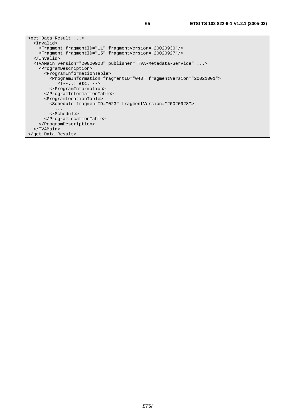```
<get_Data_Result ...> 
   <Invalid> 
     <Fragment fragmentID="11" fragmentVersion="20020930"/> 
     <Fragment fragmentID="15" fragmentVersion="20020927"/> 
   </Invalid> 
   <TVAMain version="20020928" publisher="TVA-Metadata-Service" ...> 
     <ProgramDescription> 
       <ProgramInformationTable> 
         <ProgramInformation fragmentID="040" fragmentVersion="20021001"> 
            <!--..: etc. --> 
         </ProgramInformation> 
       </ProgramInformationTable> 
       <ProgramLocationTable> 
         <Schedule fragmentID="023" fragmentVersion="20020928"> 
           ... 
         </Schedule> 
       </ProgramLocationTable> 
     </ProgramDescription> 
   </TVAMain> 
</get_Data_Result>
```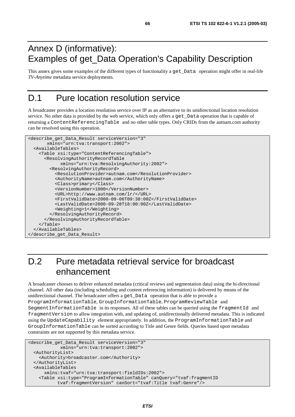## Annex D (informative): Examples of get\_Data Operation's Capability Description

This annex gives some examples of the different types of functionality a get\_Data operation might offer in real-life *TV-Anytime* metadata service deployments.

## D.1 Pure location resolution service

A broadcaster provides a location resolution service over IP as an alternative to its unidirectional location resolution service. No other data is provided by the web service, which only offers a get\_Data operation that is capable of returning a ContentReferencingTable and no other table types. Only CRIDs from the autnam.com authority can be resolved using this operation.

```
<describe_get_Data_Result serviceVersion="3" 
        xmlns="urn:tva:transport:2002"> 
  <AvailableTables> 
     <Table xsi:type="ContentReferencingTable"> 
       <ResolvingAuthorityRecordTable 
             xmlns="urn:tva:ResolvingAuthority:2002"> 
         <ResolvingAuthorityRecord> 
           <ResolutionProvider>autnam.com</ResolutionProvider> 
           <AuthorityName>autnam.com</AuthorityName> 
           <Class>primary</Class> 
           <VersionNumber>1000</VersionNumber> 
           <URL>http://www.autnam.com/lr/</URL> 
           <FirstValidDate>2000-09-06T09:30:00Z</FirstValidDate> 
           <LastValidDate>2000-09-28T18:00:00Z</LastValidDate> 
           <Weighting>1</Weighting> 
         </ResolvingAuthorityRecord> 
       </ResolvingAuthorityRecordTable> 
     </Table> 
  </AvailableTables> 
</describe_get_Data_Result>
```
## D.2 Pure metadata retrieval service for broadcast enhancement

A broadcaster chooses to deliver enhanced metadata (critical reviews and segmentation data) using the bi-directional channel. All other data (including scheduling and content referencing information) is delivered by means of the unidirectional channel. The broadcaster offers a get\_Data operation that is able to provide a ProgramInformationTable, GroupInformationTable, ProgramReviewTable and SegmentInformationTable in its responses. All of these tables can be queried using the fragmentId and fragmentVersion to allow integration with, and updating of, unidirectionally delivered metadata. This is indicated using the UpdateCapability element appropriately. In addition, the ProgramInformationTable and GroupInformationTable can be sorted according to Title and Genre fields. Queries based upon metadata constraints are not supported by this metadata service.

```
<describe_get_Data_Result serviceVersion="3" 
             xmlns="urn:tva:transport:2002"> 
   <AuthorityList> 
     <Authority>broadcaster.com</Authority> 
   </AuthorityList> 
   <AvailableTables 
       xmlns:tvaf="urn:tva:transport:fieldIDs:2002"> 
     <Table xsi:type="ProgramInformationTable" canQuery="tvaf:fragmentID 
            tvaf:fragmentVersion" canSort="tvaf:Title tvaf:Genre"/>
```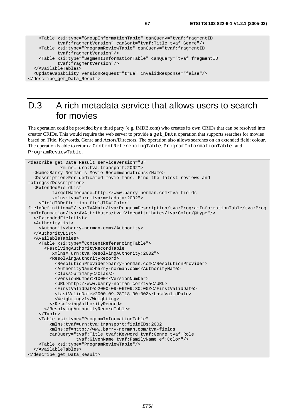```
 <Table xsi:type="GroupInformationTable" canQuery="tvaf:fragmentID 
            tvaf:fragmentVersion" canSort="tvaf:Title tvaf:Genre"/> 
    <Table xsi:type="ProgramReviewTable" canQuery="tvaf:fragmentID 
            tvaf:fragmentVersion"/> 
    <Table xsi:type="SegmentInformationTable" canQuery="tvaf:fragmentID 
            tvaf:fragmentVersion"/> 
  </AvailableTables> 
  <UpdateCapability versionRequest="true" invalidResponse="false"/> 
</describe_get_Data_Result>
```
### D.3 A rich metadata service that allows users to search for movies

The operation could be provided by a third party (e.g. IMDB.com) who creates its own CRIDs that can be resolved into creator CRIDs. This would require the web server to provide a get\_Data operation that supports searches for movies based on Title, Keywords, Genre and Actors/Directors. The operation also allows searches on an extended field: colour. The operation is able to return a ContentReferencingTable, ProgramInformationTable and ProgramReviewTable.

```
<describe_get_Data_Result serviceVersion="3" 
             xmlns="urn:tva:transport:2002"> 
   <Name>Barry Norman's Movie Recommendations</Name> 
   <Description>For dedicated movie fans. Find the latest reviews and 
ratings</Description> 
   <ExtendedFieldList 
          targetNamespace=http://www.barry-norman.com/tva-fields 
          xmlns:tva="urn:tva:metadata:2002"> 
     <FieldIDDefinition fieldID="Color" 
fieldDefinition="/tva:TVAMain/tva:ProgramDescription/tva:ProgramInformationTable/tva:Prog
ramInformation/tva:AVAttributes/tva:VideoAttributes/tva:Color/@type"/> 
   </ExtendedFieldList> 
   <AuthorityList> 
     <Authority>barry-norman.com</Authority> 
   </AuthorityList> 
   <AvailableTables> 
     <Table xsi:type="ContentReferencingTable"> 
       <ResolvingAuthorityRecordTable 
          xmlns="urn:tva:ResolvingAuthority:2002"> 
         <ResolvingAuthorityRecord> 
           <ResolutionProvider>barry-norman.com</ResolutionProvider> 
           <AuthorityName>barry-norman.com</AuthorityName> 
           <Class>primary</Class> 
           <VersionNumber>1000</VersionNumber> 
           <URL>http://www.barry-norman.com/tva</URL> 
           <FirstValidDate>2000-09-06T09:30:00Z</FirstValidDate> 
           <LastValidDate>2000-09-28T18:00:00Z</LastValidDate> 
           <Weighting>1</Weighting> 
         </ResolvingAuthorityRecord> 
       </ResolvingAuthorityRecordTable> 
     </Table> 
     <Table xsi:type="ProgramInformationTable" 
         xmlns:tvaf=urn:tva:transport:fieldIDs:2002 
         xmlns:ef=http://www.barry-norman.com/tva-fields 
         canQuery="tvaf:Title tvaf:Keyword tvaf:Genre tvaf:Role 
                    tvaf:GivenName tvaf:FamilyName ef:Color"/> 
     <Table xsi:type="ProgramReviewTable"/> 
   </AvailableTables> 
</describe_get_Data_Result>
```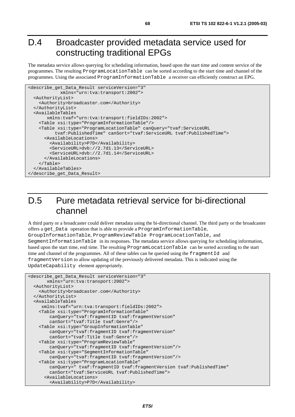#### D.4 Broadcaster provided metadata service used for constructing traditional EPGs

The metadata service allows querying for scheduling information, based upon the start time and content service of the programmes. The resulting ProgramLocationTable can be sorted according to the start time and channel of the programmes. Using the associated ProgramInformationTable a receiver can efficiently construct an EPG.

```
<describe_get_Data_Result serviceVersion="3" 
             xmlns="urn:tva:transport:2002"> 
  <AuthorityList> 
     <Authority>broadcaster.com</Authority> 
  </AuthorityList> 
  <AvailableTables 
        xmlns:tvaf="urn:tva:transport:fieldIDs:2002"> 
     <Table xsi:type="ProgramInformationTable"/> 
     <Table xsi:type="ProgramLocationTable" canQuery="tvaf:ServiceURL 
           tvaf:PublishedTime" canSort="tvaf:ServiceURL tvaf:PublishedTime"> 
       <AvailableLocations> 
         <Availability>P7D</Availability> 
         <ServiceURL>dvb://2.7d1.13</ServiceURL> 
         <ServiceURL>dvb://2.7d1.14</ServiceURL> 
       </AvailableLocations> 
     </Table> 
  </AvailableTables> 
</describe_get_Data_Result>
```
#### D.5 Pure metadata retrieval service for bi-directional channel

A third party or a broadcaster could deliver metadata using the bi-directional channel. The third party or the broadcaster offers a get\_Data operation that is able to provide a ProgramInformationTable, GroupInformationTable, ProgramReviewTable ProgramLocationTable, and SegmentInformationTable in its responses. The metadata service allows querying for scheduling information, based upon the start time, end time. The resulting ProgramLocationTable can be sorted according to the start time and channel of the programmes. All of these tables can be queried using the fragmentId and fragmentVersion to allow updating of the previously delivered metadata. This is indicated using the UpdateCapability element appropriately.

```
<describe_get_Data_Result serviceVersion="3" 
        xmlns="urn:tva:transport:2002"> 
   <AuthorityList> 
     <Authority>broadcaster.com</Authority> 
   </AuthorityList> 
   <AvailableTables 
     xmlns:tvaf="urn:tva:transport:fieldIDs:2002"> 
     <Table xsi:type="ProgramInformationTable" 
         canQuery="tvaf:fragmentID tvaf:fragmentVersion" 
         canSort="tvaf:Title tvaf:Genre"/> 
     <Table xsi:type="GroupInformationTable" 
         canQuery="tvaf:fragmentID tvaf:fragmentVersion" 
         canSort="tvaf:Title tvaf:Genre"/> 
     <Table xsi:type="ProgramReviewTable" 
         canQuery="tvaf:fragmentID tvaf:fragmentVersion"/> 
     <Table xsi:type="SegmentInformationTable" 
         canQuery="tvaf:fragmentID tvaf:fragmentVersion"/> 
     <Table xsi:type="ProgramLocationTable" 
         canQuery=" tvaf:fragmentID tvaf:fragmentVersion tvaf:PublishedTime" 
         canSort="tvaf:ServiceURL tvaf:PublishedTime"> 
       <AvailableLocations> 
         <Availability>P7D</Availability>
```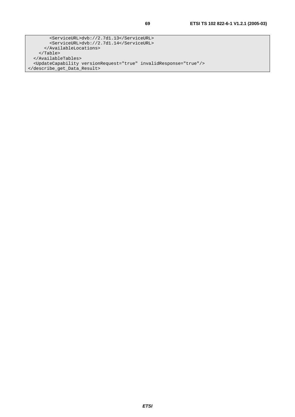<ServiceURL>dvb://2.7d1.13</ServiceURL> <ServiceURL>dvb://2.7d1.14</ServiceURL> </AvailableLocations> </Table> </AvailableTables> <UpdateCapability versionRequest="true" invalidResponse="true"/> </describe\_get\_Data\_Result>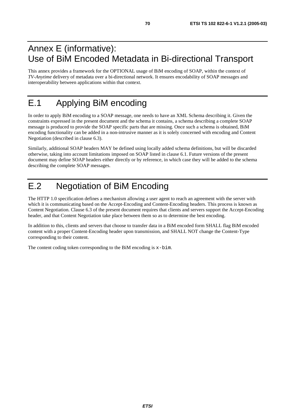### Annex E (informative): Use of BiM Encoded Metadata in Bi-directional Transport

This annex provides a framework for the OPTIONAL usage of BiM encoding of SOAP, within the context of *TV-Anytime* delivery of metadata over a bi-directional network. It ensures encodability of SOAP messages and interoperability between applications within that context.

## E.1 Applying BiM encoding

In order to apply BiM encoding to a SOAP message, one needs to have an XML Schema describing it. Given the constraints expressed in the present document and the schema it contains, a schema describing a complete SOAP message is produced to provide the SOAP specific parts that are missing. Once such a schema is obtained, BiM encoding functionality can be added in a non-intrusive manner as it is solely concerned with encoding and Content Negotiation (described in clause 6.3).

Similarly, additional SOAP headers MAY be defined using locally added schema definitions, but will be discarded otherwise, taking into account limitations imposed on SOAP listed in clause 6.1. Future versions of the present document may define SOAP headers either directly or by reference, in which case they will be added to the schema describing the complete SOAP messages.

## E.2 Negotiation of BiM Encoding

The HTTP 1.0 specification defines a mechanism allowing a user agent to reach an agreement with the server with which it is communicating based on the Accept-Encoding and Content-Encoding headers. This process is known as Content Negotiation. Clause 6.3 of the present document requires that clients and servers support the Accept-Encoding header, and that Content Negotiation take place between them so as to determine the best encoding.

In addition to this, clients and servers that choose to transfer data in a BiM encoded form SHALL flag BiM encoded content with a proper Content-Encoding header upon transmission, and SHALL NOT change the Content-Type corresponding to their content.

The content coding token corresponding to the BiM encoding is x-bim.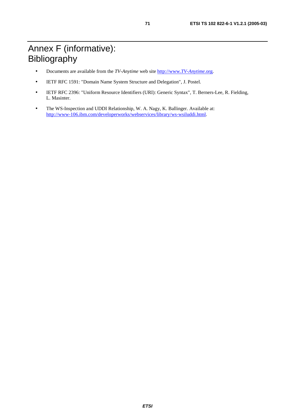- Documents are available from the *TV-Anytime* web site [http://www.](http://www.tv-anytime.org/)*TV-Anytime*.org.
- IETF RFC 1591: "Domain Name System Structure and Delegation", J. Postel.
- IETF RFC 2396: "Uniform Resource Identifiers (URI): Generic Syntax", T. Berners-Lee, R. Fielding, L. Masinter.
- The WS-Inspection and UDDI Relationship, W. A. Nagy, K. Ballinger. Available at: <http://www-106.ibm.com/developerworks/webservices/library/ws-wsiluddi.html>.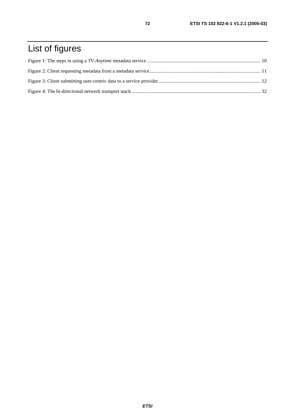# List of figures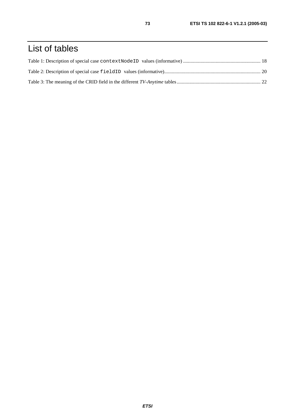## List of tables